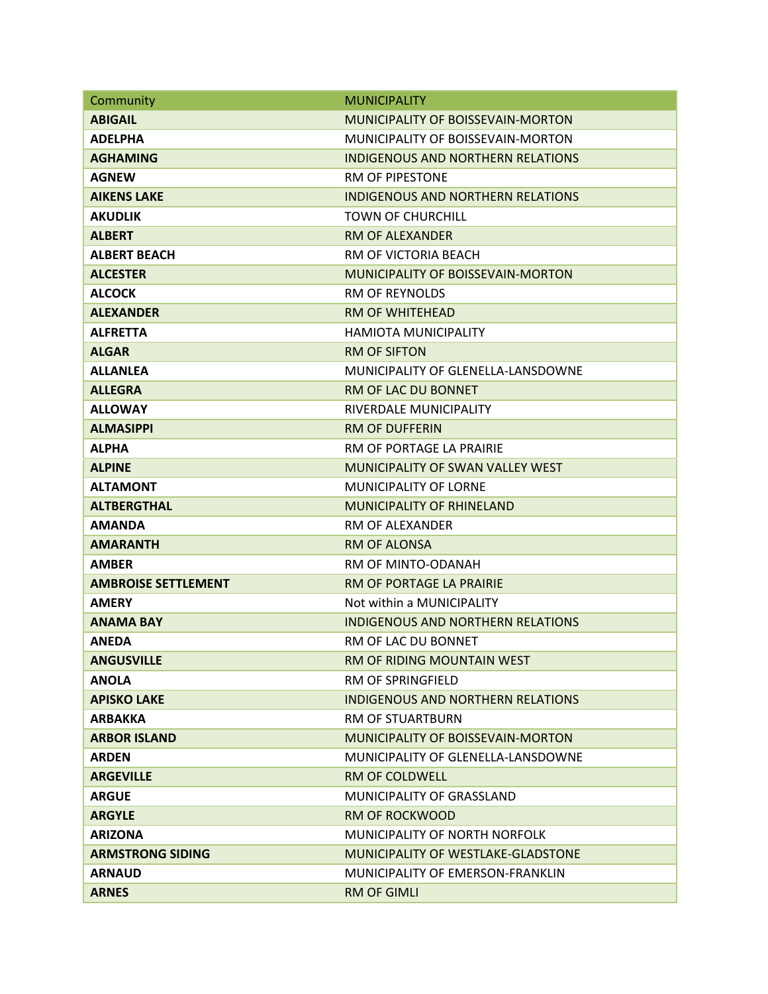| Community                  | <b>MUNICIPALITY</b>                       |
|----------------------------|-------------------------------------------|
| <b>ABIGAIL</b>             | <b>MUNICIPALITY OF BOISSEVAIN-MORTON</b>  |
| <b>ADELPHA</b>             | MUNICIPALITY OF BOISSEVAIN-MORTON         |
| <b>AGHAMING</b>            | <b>INDIGENOUS AND NORTHERN RELATIONS</b>  |
| <b>AGNEW</b>               | <b>RM OF PIPESTONE</b>                    |
| <b>AIKENS LAKE</b>         | INDIGENOUS AND NORTHERN RELATIONS         |
| <b>AKUDLIK</b>             | <b>TOWN OF CHURCHILL</b>                  |
| <b>ALBERT</b>              | RM OF ALEXANDER                           |
| <b>ALBERT BEACH</b>        | RM OF VICTORIA BEACH                      |
| <b>ALCESTER</b>            | MUNICIPALITY OF BOISSEVAIN-MORTON         |
| <b>ALCOCK</b>              | <b>RM OF REYNOLDS</b>                     |
| <b>ALEXANDER</b>           | <b>RM OF WHITEHEAD</b>                    |
| <b>ALFRETTA</b>            | HAMIOTA MUNICIPALITY                      |
| <b>ALGAR</b>               | <b>RM OF SIFTON</b>                       |
| <b>ALLANLEA</b>            | MUNICIPALITY OF GLENELLA-LANSDOWNE        |
| <b>ALLEGRA</b>             | RM OF LAC DU BONNET                       |
| <b>ALLOWAY</b>             | RIVERDALE MUNICIPALITY                    |
| <b>ALMASIPPI</b>           | <b>RM OF DUFFERIN</b>                     |
| <b>ALPHA</b>               | RM OF PORTAGE LA PRAIRIE                  |
| <b>ALPINE</b>              | MUNICIPALITY OF SWAN VALLEY WEST          |
| <b>ALTAMONT</b>            | <b>MUNICIPALITY OF LORNE</b>              |
| <b>ALTBERGTHAL</b>         | <b>MUNICIPALITY OF RHINELAND</b>          |
| <b>AMANDA</b>              | <b>RM OF ALEXANDER</b>                    |
| <b>AMARANTH</b>            | <b>RM OF ALONSA</b>                       |
| <b>AMBER</b>               | RM OF MINTO-ODANAH                        |
| <b>AMBROISE SETTLEMENT</b> | RM OF PORTAGE LA PRAIRIE                  |
| <b>AMERY</b>               | Not within a MUNICIPALITY                 |
| <b>ANAMA BAY</b>           | <b>INDIGENOUS AND NORTHERN RELATIONS</b>  |
| <b>ANEDA</b>               | RM OF LAC DU BONNET                       |
| <b>ANGUSVILLE</b>          | RM OF RIDING MOUNTAIN WEST                |
| <b>ANOLA</b>               | <b>RM OF SPRINGFIELD</b>                  |
| <b>APISKO LAKE</b>         | <b>INDIGENOUS AND NORTHERN RELATIONS</b>  |
| <b>ARBAKKA</b>             | <b>RM OF STUARTBURN</b>                   |
| <b>ARBOR ISLAND</b>        | <b>MUNICIPALITY OF BOISSEVAIN-MORTON</b>  |
| <b>ARDEN</b>               | MUNICIPALITY OF GLENELLA-LANSDOWNE        |
| <b>ARGEVILLE</b>           | RM OF COLDWELL                            |
| <b>ARGUE</b>               | MUNICIPALITY OF GRASSLAND                 |
| <b>ARGYLE</b>              | <b>RM OF ROCKWOOD</b>                     |
| <b>ARIZONA</b>             | MUNICIPALITY OF NORTH NORFOLK             |
| <b>ARMSTRONG SIDING</b>    | <b>MUNICIPALITY OF WESTLAKE-GLADSTONE</b> |
| <b>ARNAUD</b>              | <b>MUNICIPALITY OF EMERSON-FRANKLIN</b>   |
| <b>ARNES</b>               | <b>RM OF GIMLI</b>                        |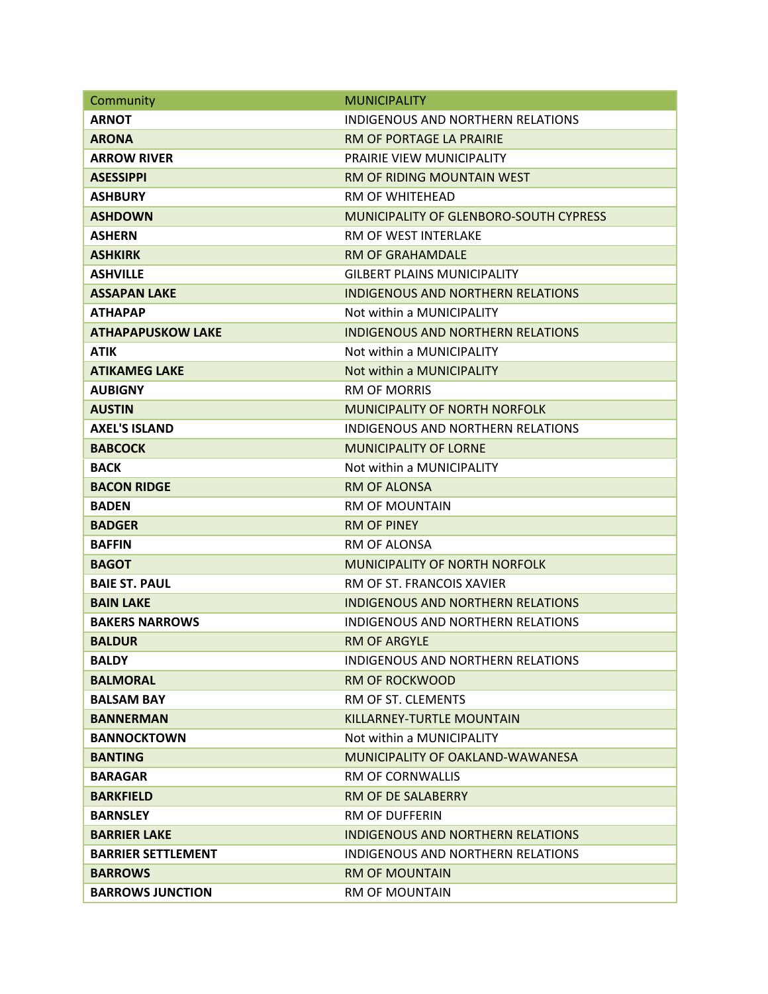| Community                 | <b>MUNICIPALITY</b>                           |
|---------------------------|-----------------------------------------------|
| <b>ARNOT</b>              | INDIGENOUS AND NORTHERN RELATIONS             |
| <b>ARONA</b>              | RM OF PORTAGE LA PRAIRIE                      |
| <b>ARROW RIVER</b>        | <b>PRAIRIE VIEW MUNICIPALITY</b>              |
| <b>ASESSIPPI</b>          | RM OF RIDING MOUNTAIN WEST                    |
| <b>ASHBURY</b>            | RM OF WHITEHEAD                               |
| <b>ASHDOWN</b>            | <b>MUNICIPALITY OF GLENBORO-SOUTH CYPRESS</b> |
| <b>ASHERN</b>             | <b>RM OF WEST INTERLAKE</b>                   |
| <b>ASHKIRK</b>            | <b>RM OF GRAHAMDALE</b>                       |
| <b>ASHVILLE</b>           | <b>GILBERT PLAINS MUNICIPALITY</b>            |
| <b>ASSAPAN LAKE</b>       | <b>INDIGENOUS AND NORTHERN RELATIONS</b>      |
| <b>ATHAPAP</b>            | Not within a MUNICIPALITY                     |
| <b>ATHAPAPUSKOW LAKE</b>  | <b>INDIGENOUS AND NORTHERN RELATIONS</b>      |
| <b>ATIK</b>               | Not within a MUNICIPALITY                     |
| <b>ATIKAMEG LAKE</b>      | Not within a MUNICIPALITY                     |
| <b>AUBIGNY</b>            | <b>RM OF MORRIS</b>                           |
| <b>AUSTIN</b>             | MUNICIPALITY OF NORTH NORFOLK                 |
| <b>AXEL'S ISLAND</b>      | <b>INDIGENOUS AND NORTHERN RELATIONS</b>      |
| <b>BABCOCK</b>            | <b>MUNICIPALITY OF LORNE</b>                  |
| <b>BACK</b>               | Not within a MUNICIPALITY                     |
| <b>BACON RIDGE</b>        | <b>RM OF ALONSA</b>                           |
| <b>BADEN</b>              | RM OF MOUNTAIN                                |
| <b>BADGER</b>             | <b>RM OF PINEY</b>                            |
| <b>BAFFIN</b>             | RM OF ALONSA                                  |
| <b>BAGOT</b>              | <b>MUNICIPALITY OF NORTH NORFOLK</b>          |
| <b>BAIE ST. PAUL</b>      | RM OF ST. FRANCOIS XAVIER                     |
| <b>BAIN LAKE</b>          | <b>INDIGENOUS AND NORTHERN RELATIONS</b>      |
| <b>BAKERS NARROWS</b>     | <b>INDIGENOUS AND NORTHERN RELATIONS</b>      |
| <b>BALDUR</b>             | <b>RM OF ARGYLE</b>                           |
| <b>BALDY</b>              | INDIGENOUS AND NORTHERN RELATIONS             |
| <b>BALMORAL</b>           | <b>RM OF ROCKWOOD</b>                         |
| <b>BALSAM BAY</b>         | RM OF ST. CLEMENTS                            |
| <b>BANNERMAN</b>          | KILLARNEY-TURTLE MOUNTAIN                     |
| <b>BANNOCKTOWN</b>        | Not within a MUNICIPALITY                     |
| <b>BANTING</b>            | MUNICIPALITY OF OAKLAND-WAWANESA              |
| <b>BARAGAR</b>            | <b>RM OF CORNWALLIS</b>                       |
| <b>BARKFIELD</b>          | <b>RM OF DE SALABERRY</b>                     |
| <b>BARNSLEY</b>           | RM OF DUFFERIN                                |
| <b>BARRIER LAKE</b>       | <b>INDIGENOUS AND NORTHERN RELATIONS</b>      |
| <b>BARRIER SETTLEMENT</b> | INDIGENOUS AND NORTHERN RELATIONS             |
| <b>BARROWS</b>            | <b>RM OF MOUNTAIN</b>                         |
| <b>BARROWS JUNCTION</b>   | <b>RM OF MOUNTAIN</b>                         |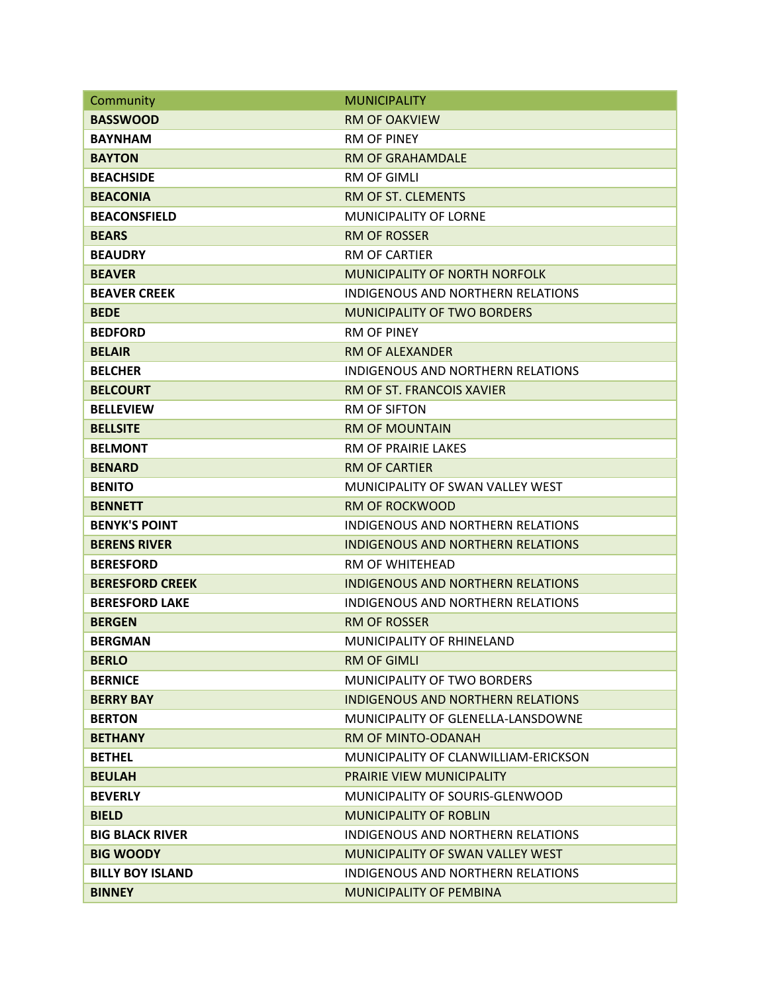| Community               | <b>MUNICIPALITY</b>                      |
|-------------------------|------------------------------------------|
| <b>BASSWOOD</b>         | <b>RM OF OAKVIEW</b>                     |
| <b>BAYNHAM</b>          | <b>RM OF PINEY</b>                       |
| <b>BAYTON</b>           | RM OF GRAHAMDALE                         |
| <b>BEACHSIDE</b>        | <b>RM OF GIMLI</b>                       |
| <b>BEACONIA</b>         | RM OF ST. CLEMENTS                       |
| <b>BEACONSFIELD</b>     | <b>MUNICIPALITY OF LORNE</b>             |
| <b>BEARS</b>            | <b>RM OF ROSSER</b>                      |
| <b>BEAUDRY</b>          | <b>RM OF CARTIFR</b>                     |
| <b>BEAVER</b>           | MUNICIPALITY OF NORTH NORFOLK            |
| <b>BEAVER CREEK</b>     | <b>INDIGENOUS AND NORTHERN RELATIONS</b> |
| <b>BEDE</b>             | <b>MUNICIPALITY OF TWO BORDERS</b>       |
| <b>BEDFORD</b>          | <b>RM OF PINEY</b>                       |
| <b>BELAIR</b>           | <b>RM OF ALEXANDER</b>                   |
| <b>BELCHER</b>          | <b>INDIGENOUS AND NORTHERN RELATIONS</b> |
| <b>BELCOURT</b>         | RM OF ST. FRANCOIS XAVIER                |
| <b>BELLEVIEW</b>        | <b>RM OF SIFTON</b>                      |
| <b>BELLSITE</b>         | <b>RM OF MOUNTAIN</b>                    |
| <b>BELMONT</b>          | <b>RM OF PRAIRIE LAKES</b>               |
| <b>BENARD</b>           | <b>RM OF CARTIER</b>                     |
| <b>BENITO</b>           | MUNICIPALITY OF SWAN VALLEY WEST         |
| <b>BENNETT</b>          | <b>RM OF ROCKWOOD</b>                    |
| <b>BENYK'S POINT</b>    | <b>INDIGENOUS AND NORTHERN RELATIONS</b> |
| <b>BERENS RIVER</b>     | <b>INDIGENOUS AND NORTHERN RELATIONS</b> |
| <b>BERESFORD</b>        | <b>RM OF WHITEHEAD</b>                   |
| <b>BERESFORD CREEK</b>  | <b>INDIGENOUS AND NORTHERN RELATIONS</b> |
| <b>BERESFORD LAKE</b>   | <b>INDIGENOUS AND NORTHERN RELATIONS</b> |
| <b>BERGEN</b>           | <b>RM OF ROSSER</b>                      |
| <b>BERGMAN</b>          | <b>MUNICIPALITY OF RHINELAND</b>         |
| <b>BERLO</b>            | <b>RM OF GIMLI</b>                       |
| <b>BERNICE</b>          | MUNICIPALITY OF TWO BORDERS              |
| <b>BERRY BAY</b>        | <b>INDIGENOUS AND NORTHERN RELATIONS</b> |
| <b>BERTON</b>           | MUNICIPALITY OF GLENELLA-LANSDOWNE       |
| <b>BETHANY</b>          | RM OF MINTO-ODANAH                       |
| <b>BETHEL</b>           | MUNICIPALITY OF CLANWILLIAM-ERICKSON     |
| <b>BEULAH</b>           | <b>PRAIRIE VIEW MUNICIPALITY</b>         |
| <b>BEVERLY</b>          | MUNICIPALITY OF SOURIS-GLENWOOD          |
| <b>BIELD</b>            | <b>MUNICIPALITY OF ROBLIN</b>            |
| <b>BIG BLACK RIVER</b>  | INDIGENOUS AND NORTHERN RELATIONS        |
| <b>BIG WOODY</b>        | MUNICIPALITY OF SWAN VALLEY WEST         |
| <b>BILLY BOY ISLAND</b> | INDIGENOUS AND NORTHERN RELATIONS        |
| <b>BINNEY</b>           | <b>MUNICIPALITY OF PEMBINA</b>           |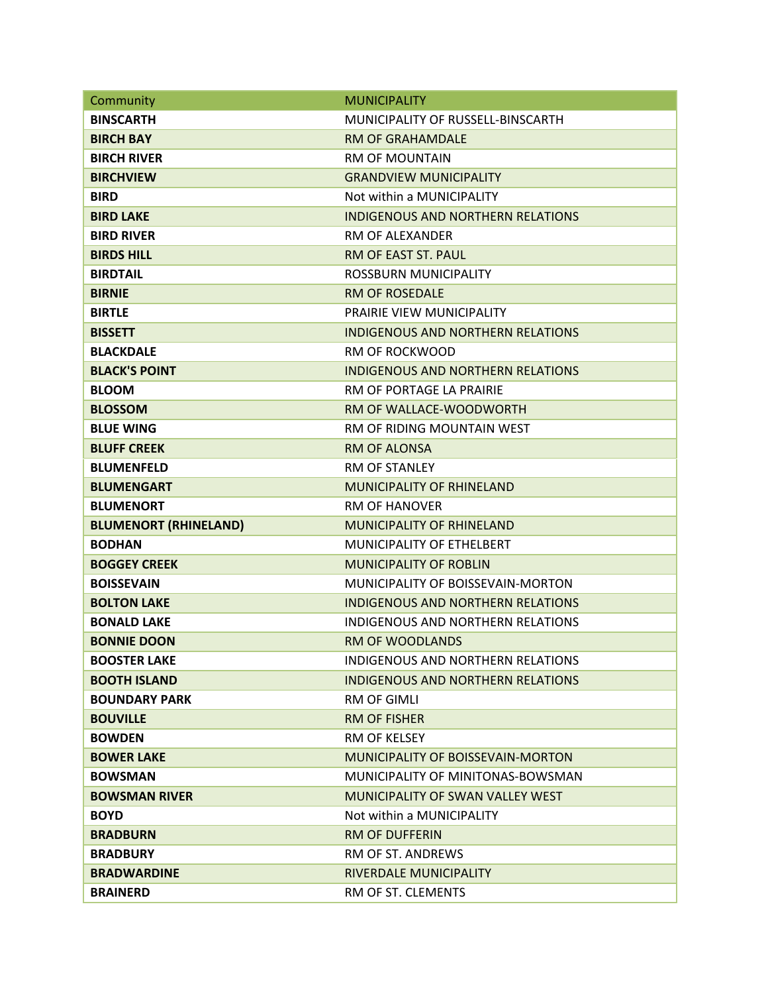| Community                    | <b>MUNICIPALITY</b>                      |
|------------------------------|------------------------------------------|
| <b>BINSCARTH</b>             | MUNICIPALITY OF RUSSELL-BINSCARTH        |
| <b>BIRCH BAY</b>             | <b>RM OF GRAHAMDALE</b>                  |
| <b>BIRCH RIVER</b>           | <b>RM OF MOUNTAIN</b>                    |
| <b>BIRCHVIEW</b>             | <b>GRANDVIEW MUNICIPALITY</b>            |
| <b>BIRD</b>                  | Not within a MUNICIPALITY                |
| <b>BIRD LAKE</b>             | <b>INDIGENOUS AND NORTHERN RELATIONS</b> |
| <b>BIRD RIVER</b>            | RM OF ALEXANDER                          |
| <b>BIRDS HILL</b>            | <b>RM OF EAST ST. PAUL</b>               |
| <b>BIRDTAIL</b>              | ROSSBURN MUNICIPALITY                    |
| <b>BIRNIE</b>                | <b>RM OF ROSEDALE</b>                    |
| <b>BIRTLE</b>                | PRAIRIE VIEW MUNICIPALITY                |
| <b>BISSETT</b>               | <b>INDIGENOUS AND NORTHERN RELATIONS</b> |
| <b>BLACKDALE</b>             | <b>RM OF ROCKWOOD</b>                    |
| <b>BLACK'S POINT</b>         | <b>INDIGENOUS AND NORTHERN RELATIONS</b> |
| <b>BLOOM</b>                 | RM OF PORTAGE LA PRAIRIE                 |
| <b>BLOSSOM</b>               | RM OF WALLACE-WOODWORTH                  |
| <b>BLUE WING</b>             | RM OF RIDING MOUNTAIN WEST               |
| <b>BLUFF CREEK</b>           | <b>RM OF ALONSA</b>                      |
| <b>BLUMENFELD</b>            | <b>RM OF STANLEY</b>                     |
| <b>BLUMENGART</b>            | <b>MUNICIPALITY OF RHINELAND</b>         |
| <b>BLUMENORT</b>             | <b>RM OF HANOVER</b>                     |
| <b>BLUMENORT (RHINELAND)</b> | <b>MUNICIPALITY OF RHINELAND</b>         |
| <b>BODHAN</b>                | <b>MUNICIPALITY OF ETHELBERT</b>         |
| <b>BOGGEY CREEK</b>          | <b>MUNICIPALITY OF ROBLIN</b>            |
| <b>BOISSEVAIN</b>            | MUNICIPALITY OF BOISSEVAIN-MORTON        |
| <b>BOLTON LAKE</b>           | <b>INDIGENOUS AND NORTHERN RELATIONS</b> |
| <b>BONALD LAKE</b>           | <b>INDIGENOUS AND NORTHERN RELATIONS</b> |
| <b>BONNIE DOON</b>           | <b>RM OF WOODLANDS</b>                   |
| <b>BOOSTER LAKE</b>          | INDIGENOUS AND NORTHERN RELATIONS        |
| <b>BOOTH ISLAND</b>          | INDIGENOUS AND NORTHERN RELATIONS        |
| <b>BOUNDARY PARK</b>         | <b>RM OF GIMLI</b>                       |
| <b>BOUVILLE</b>              | <b>RM OF FISHER</b>                      |
| <b>BOWDEN</b>                | <b>RM OF KELSEY</b>                      |
| <b>BOWER LAKE</b>            | MUNICIPALITY OF BOISSEVAIN-MORTON        |
| <b>BOWSMAN</b>               | MUNICIPALITY OF MINITONAS-BOWSMAN        |
| <b>BOWSMAN RIVER</b>         | MUNICIPALITY OF SWAN VALLEY WEST         |
| <b>BOYD</b>                  | Not within a MUNICIPALITY                |
| <b>BRADBURN</b>              | <b>RM OF DUFFERIN</b>                    |
| <b>BRADBURY</b>              | RM OF ST. ANDREWS                        |
| <b>BRADWARDINE</b>           | RIVERDALE MUNICIPALITY                   |
| <b>BRAINERD</b>              | RM OF ST. CLEMENTS                       |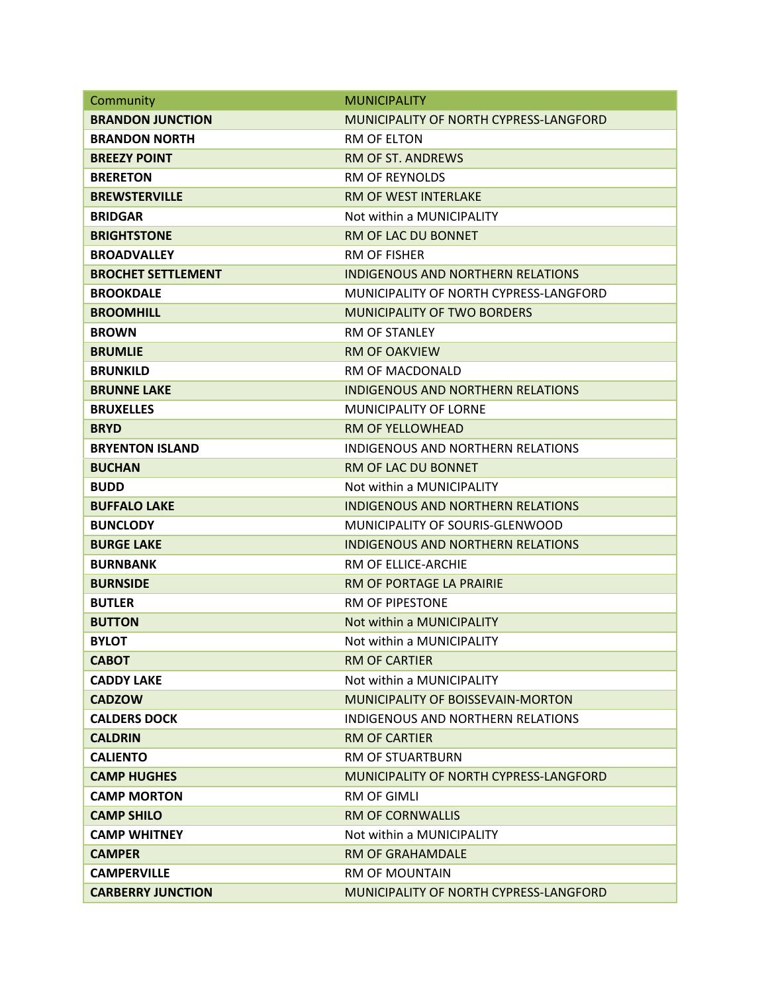| Community                 | <b>MUNICIPALITY</b>                      |
|---------------------------|------------------------------------------|
| <b>BRANDON JUNCTION</b>   | MUNICIPALITY OF NORTH CYPRESS-LANGFORD   |
| <b>BRANDON NORTH</b>      | RM OF ELTON                              |
| <b>BREEZY POINT</b>       | <b>RM OF ST. ANDREWS</b>                 |
| <b>BRERETON</b>           | <b>RM OF REYNOLDS</b>                    |
| <b>BREWSTERVILLE</b>      | RM OF WEST INTERLAKE                     |
| <b>BRIDGAR</b>            | Not within a MUNICIPALITY                |
| <b>BRIGHTSTONE</b>        | RM OF LAC DU BONNET                      |
| <b>BROADVALLEY</b>        | RM OF FISHER                             |
| <b>BROCHET SETTLEMENT</b> | <b>INDIGENOUS AND NORTHERN RELATIONS</b> |
| <b>BROOKDALE</b>          | MUNICIPALITY OF NORTH CYPRESS-LANGFORD   |
| <b>BROOMHILL</b>          | <b>MUNICIPALITY OF TWO BORDERS</b>       |
| <b>BROWN</b>              | <b>RM OF STANLEY</b>                     |
| <b>BRUMLIE</b>            | <b>RM OF OAKVIEW</b>                     |
| <b>BRUNKILD</b>           | RM OF MACDONALD                          |
| <b>BRUNNE LAKE</b>        | <b>INDIGENOUS AND NORTHERN RELATIONS</b> |
| <b>BRUXELLES</b>          | <b>MUNICIPALITY OF LORNE</b>             |
| <b>BRYD</b>               | <b>RM OF YELLOWHEAD</b>                  |
| <b>BRYENTON ISLAND</b>    | <b>INDIGENOUS AND NORTHERN RELATIONS</b> |
| <b>BUCHAN</b>             | RM OF LAC DU BONNET                      |
| <b>BUDD</b>               | Not within a MUNICIPALITY                |
| <b>BUFFALO LAKE</b>       | <b>INDIGENOUS AND NORTHERN RELATIONS</b> |
| <b>BUNCLODY</b>           | MUNICIPALITY OF SOURIS-GLENWOOD          |
| <b>BURGE LAKE</b>         | <b>INDIGENOUS AND NORTHERN RELATIONS</b> |
| <b>BURNBANK</b>           | RM OF ELLICE-ARCHIE                      |
| <b>BURNSIDE</b>           | RM OF PORTAGE LA PRAIRIE                 |
| <b>BUTLER</b>             | <b>RM OF PIPESTONE</b>                   |
| <b>BUTTON</b>             | Not within a MUNICIPALITY                |
| <b>BYLOT</b>              | Not within a MUNICIPALITY                |
| <b>CABOT</b>              | <b>RM OF CARTIER</b>                     |
| <b>CADDY LAKE</b>         | Not within a MUNICIPALITY                |
| <b>CADZOW</b>             | MUNICIPALITY OF BOISSEVAIN-MORTON        |
| <b>CALDERS DOCK</b>       | INDIGENOUS AND NORTHERN RELATIONS        |
| <b>CALDRIN</b>            | <b>RM OF CARTIER</b>                     |
| <b>CALIENTO</b>           | <b>RM OF STUARTBURN</b>                  |
| <b>CAMP HUGHES</b>        | MUNICIPALITY OF NORTH CYPRESS-LANGFORD   |
| <b>CAMP MORTON</b>        | <b>RM OF GIMLI</b>                       |
| <b>CAMP SHILO</b>         | <b>RM OF CORNWALLIS</b>                  |
| <b>CAMP WHITNEY</b>       | Not within a MUNICIPALITY                |
| <b>CAMPER</b>             | RM OF GRAHAMDALE                         |
| <b>CAMPERVILLE</b>        | <b>RM OF MOUNTAIN</b>                    |
| <b>CARBERRY JUNCTION</b>  | MUNICIPALITY OF NORTH CYPRESS-LANGFORD   |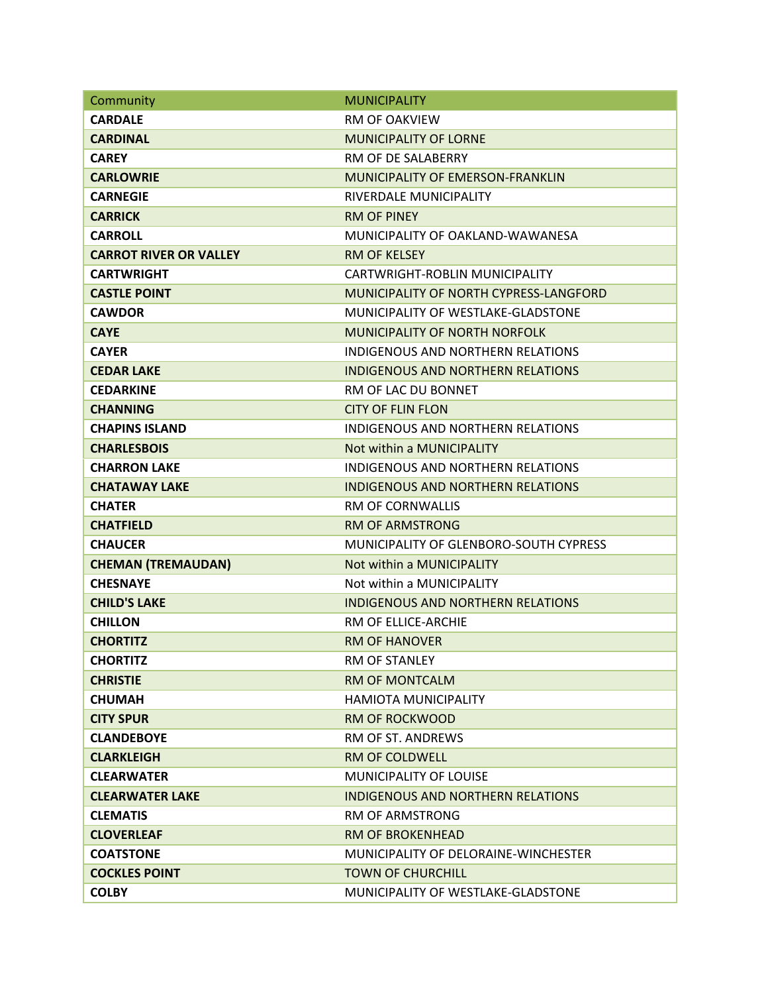| Community                     | <b>MUNICIPALITY</b>                      |
|-------------------------------|------------------------------------------|
| <b>CARDALE</b>                | <b>RM OF OAKVIEW</b>                     |
| <b>CARDINAL</b>               | <b>MUNICIPALITY OF LORNE</b>             |
| <b>CAREY</b>                  | RM OF DE SALABERRY                       |
| <b>CARLOWRIE</b>              | MUNICIPALITY OF EMERSON-FRANKLIN         |
| <b>CARNEGIE</b>               | RIVERDALE MUNICIPALITY                   |
| <b>CARRICK</b>                | <b>RM OF PINEY</b>                       |
| <b>CARROLL</b>                | MUNICIPALITY OF OAKLAND-WAWANESA         |
| <b>CARROT RIVER OR VALLEY</b> | <b>RM OF KELSEY</b>                      |
| <b>CARTWRIGHT</b>             | CARTWRIGHT-ROBLIN MUNICIPALITY           |
| <b>CASTLE POINT</b>           | MUNICIPALITY OF NORTH CYPRESS-LANGFORD   |
| <b>CAWDOR</b>                 | MUNICIPALITY OF WESTLAKE-GLADSTONE       |
| <b>CAYE</b>                   | <b>MUNICIPALITY OF NORTH NORFOLK</b>     |
| <b>CAYER</b>                  | INDIGENOUS AND NORTHERN RELATIONS        |
| <b>CEDAR LAKE</b>             | <b>INDIGENOUS AND NORTHERN RELATIONS</b> |
| <b>CEDARKINE</b>              | RM OF LAC DU BONNET                      |
| <b>CHANNING</b>               | <b>CITY OF FLIN FLON</b>                 |
| <b>CHAPINS ISLAND</b>         | <b>INDIGENOUS AND NORTHERN RELATIONS</b> |
| <b>CHARLESBOIS</b>            | Not within a MUNICIPALITY                |
| <b>CHARRON LAKE</b>           | INDIGENOUS AND NORTHERN RELATIONS        |
| <b>CHATAWAY LAKE</b>          | <b>INDIGENOUS AND NORTHERN RELATIONS</b> |
| <b>CHATER</b>                 | <b>RM OF CORNWALLIS</b>                  |
| <b>CHATFIELD</b>              | <b>RM OF ARMSTRONG</b>                   |
| <b>CHAUCER</b>                | MUNICIPALITY OF GLENBORO-SOUTH CYPRESS   |
| <b>CHEMAN (TREMAUDAN)</b>     | Not within a MUNICIPALITY                |
| <b>CHESNAYE</b>               | Not within a MUNICIPALITY                |
| <b>CHILD'S LAKE</b>           | <b>INDIGENOUS AND NORTHERN RELATIONS</b> |
| <b>CHILLON</b>                | RM OF ELLICE-ARCHIE                      |
| <b>CHORTITZ</b>               | <b>RM OF HANOVER</b>                     |
| <b>CHORTITZ</b>               | <b>RM OF STANLEY</b>                     |
| <b>CHRISTIE</b>               | <b>RM OF MONTCALM</b>                    |
| <b>CHUMAH</b>                 | <b>HAMIOTA MUNICIPALITY</b>              |
| <b>CITY SPUR</b>              | <b>RM OF ROCKWOOD</b>                    |
| <b>CLANDEBOYE</b>             | RM OF ST. ANDREWS                        |
| <b>CLARKLEIGH</b>             | <b>RM OF COLDWELL</b>                    |
| <b>CLEARWATER</b>             | <b>MUNICIPALITY OF LOUISE</b>            |
| <b>CLEARWATER LAKE</b>        | <b>INDIGENOUS AND NORTHERN RELATIONS</b> |
| <b>CLEMATIS</b>               | <b>RM OF ARMSTRONG</b>                   |
| <b>CLOVERLEAF</b>             | <b>RM OF BROKENHEAD</b>                  |
| <b>COATSTONE</b>              | MUNICIPALITY OF DELORAINE-WINCHESTER     |
| <b>COCKLES POINT</b>          | <b>TOWN OF CHURCHILL</b>                 |
| <b>COLBY</b>                  | MUNICIPALITY OF WESTLAKE-GLADSTONE       |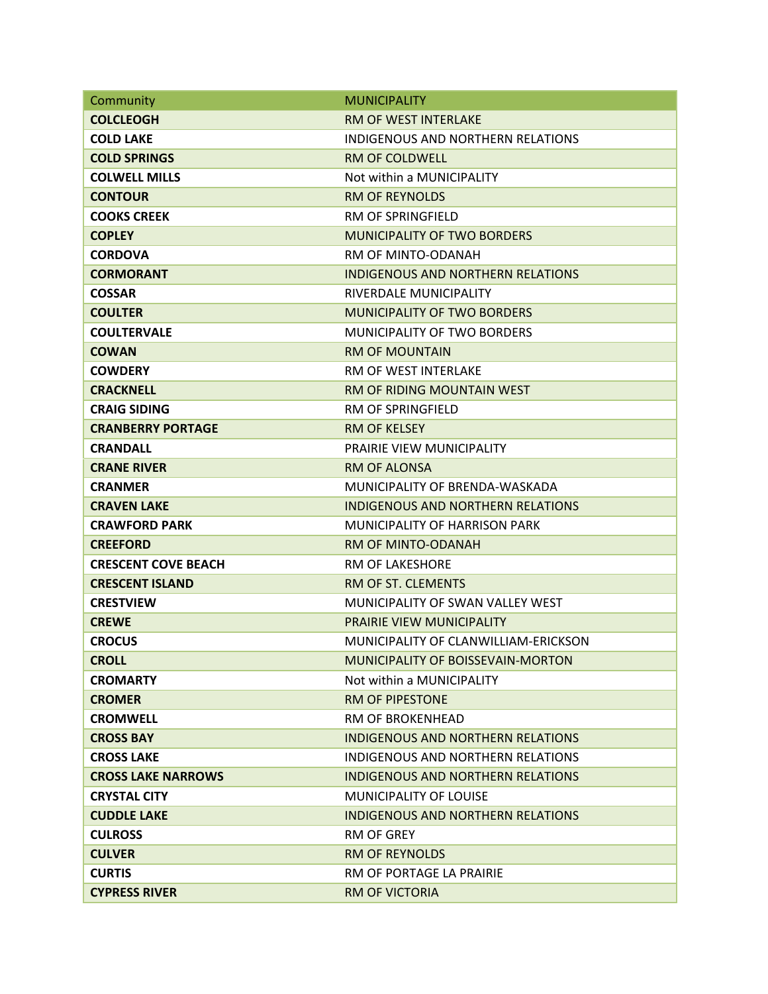| Community                  | <b>MUNICIPALITY</b>                      |
|----------------------------|------------------------------------------|
| <b>COLCLEOGH</b>           | <b>RM OF WEST INTERLAKE</b>              |
| <b>COLD LAKE</b>           | INDIGENOUS AND NORTHERN RELATIONS        |
| <b>COLD SPRINGS</b>        | <b>RM OF COLDWELL</b>                    |
| <b>COLWELL MILLS</b>       | Not within a MUNICIPALITY                |
| <b>CONTOUR</b>             | <b>RM OF REYNOLDS</b>                    |
| <b>COOKS CREEK</b>         | <b>RM OF SPRINGFIELD</b>                 |
| <b>COPLEY</b>              | <b>MUNICIPALITY OF TWO BORDERS</b>       |
| <b>CORDOVA</b>             | RM OF MINTO-ODANAH                       |
| <b>CORMORANT</b>           | <b>INDIGENOUS AND NORTHERN RELATIONS</b> |
| <b>COSSAR</b>              | RIVERDALE MUNICIPALITY                   |
| <b>COULTER</b>             | <b>MUNICIPALITY OF TWO BORDERS</b>       |
| <b>COULTERVALE</b>         | MUNICIPALITY OF TWO BORDERS              |
| <b>COWAN</b>               | <b>RM OF MOUNTAIN</b>                    |
| <b>COWDERY</b>             | <b>RM OF WEST INTERLAKE</b>              |
| <b>CRACKNELL</b>           | <b>RM OF RIDING MOUNTAIN WEST</b>        |
| <b>CRAIG SIDING</b>        | RM OF SPRINGFIELD                        |
| <b>CRANBERRY PORTAGE</b>   | <b>RM OF KELSEY</b>                      |
| <b>CRANDALL</b>            | <b>PRAIRIE VIEW MUNICIPALITY</b>         |
| <b>CRANE RIVER</b>         | <b>RM OF ALONSA</b>                      |
| <b>CRANMER</b>             | MUNICIPALITY OF BRENDA-WASKADA           |
| <b>CRAVEN LAKE</b>         | INDIGENOUS AND NORTHERN RELATIONS        |
| <b>CRAWFORD PARK</b>       | MUNICIPALITY OF HARRISON PARK            |
| <b>CREEFORD</b>            | RM OF MINTO-ODANAH                       |
| <b>CRESCENT COVE BEACH</b> | <b>RM OF LAKESHORE</b>                   |
| <b>CRESCENT ISLAND</b>     | RM OF ST. CLEMENTS                       |
| <b>CRESTVIEW</b>           | MUNICIPALITY OF SWAN VALLEY WEST         |
| <b>CREWE</b>               | PRAIRIE VIEW MUNICIPALITY                |
| <b>CROCUS</b>              | MUNICIPALITY OF CLANWILLIAM-ERICKSON     |
| <b>CROLL</b>               | MUNICIPALITY OF BOISSEVAIN-MORTON        |
| <b>CROMARTY</b>            | Not within a MUNICIPALITY                |
| <b>CROMER</b>              | <b>RM OF PIPESTONE</b>                   |
| <b>CROMWELL</b>            | <b>RM OF BROKENHEAD</b>                  |
| <b>CROSS BAY</b>           | <b>INDIGENOUS AND NORTHERN RELATIONS</b> |
| <b>CROSS LAKE</b>          | INDIGENOUS AND NORTHERN RELATIONS        |
| <b>CROSS LAKE NARROWS</b>  | INDIGENOUS AND NORTHERN RELATIONS        |
| <b>CRYSTAL CITY</b>        | <b>MUNICIPALITY OF LOUISE</b>            |
| <b>CUDDLE LAKE</b>         | INDIGENOUS AND NORTHERN RELATIONS        |
| <b>CULROSS</b>             | RM OF GREY                               |
| <b>CULVER</b>              | <b>RM OF REYNOLDS</b>                    |
| <b>CURTIS</b>              | RM OF PORTAGE LA PRAIRIE                 |
| <b>CYPRESS RIVER</b>       | <b>RM OF VICTORIA</b>                    |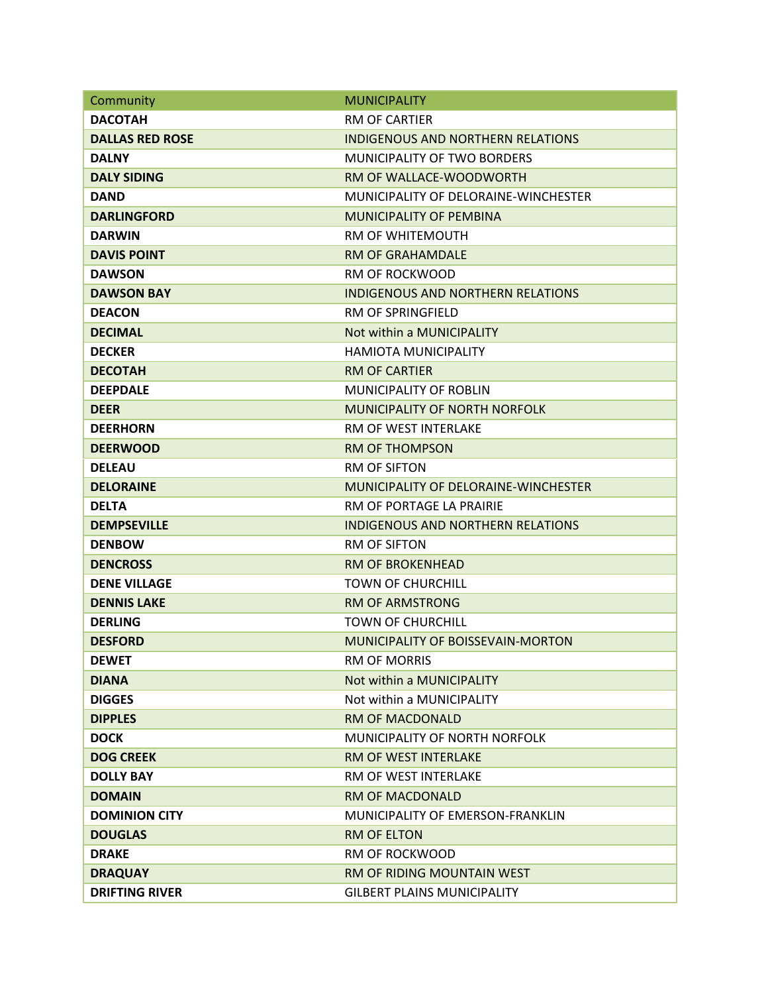| Community              | <b>MUNICIPALITY</b>                      |
|------------------------|------------------------------------------|
| <b>DACOTAH</b>         | <b>RM OF CARTIER</b>                     |
| <b>DALLAS RED ROSE</b> | <b>INDIGENOUS AND NORTHERN RELATIONS</b> |
| <b>DALNY</b>           | <b>MUNICIPALITY OF TWO BORDERS</b>       |
| <b>DALY SIDING</b>     | RM OF WALLACE-WOODWORTH                  |
| <b>DAND</b>            | MUNICIPALITY OF DELORAINE-WINCHESTER     |
| <b>DARLINGFORD</b>     | <b>MUNICIPALITY OF PEMBINA</b>           |
| <b>DARWIN</b>          | RM OF WHITEMOUTH                         |
| <b>DAVIS POINT</b>     | <b>RM OF GRAHAMDALE</b>                  |
| <b>DAWSON</b>          | <b>RM OF ROCKWOOD</b>                    |
| <b>DAWSON BAY</b>      | <b>INDIGENOUS AND NORTHERN RELATIONS</b> |
| <b>DEACON</b>          | RM OF SPRINGFIELD                        |
| <b>DECIMAL</b>         | Not within a MUNICIPALITY                |
| <b>DECKER</b>          | HAMIOTA MUNICIPALITY                     |
| <b>DECOTAH</b>         | <b>RM OF CARTIER</b>                     |
| <b>DEEPDALE</b>        | <b>MUNICIPALITY OF ROBLIN</b>            |
| <b>DEER</b>            | <b>MUNICIPALITY OF NORTH NORFOLK</b>     |
| <b>DEERHORN</b>        | RM OF WEST INTERLAKE                     |
| <b>DEERWOOD</b>        | <b>RM OF THOMPSON</b>                    |
| <b>DELEAU</b>          | <b>RM OF SIFTON</b>                      |
| <b>DELORAINE</b>       | MUNICIPALITY OF DELORAINE-WINCHESTER     |
| <b>DELTA</b>           | RM OF PORTAGE LA PRAIRIE                 |
| <b>DEMPSEVILLE</b>     | <b>INDIGENOUS AND NORTHERN RELATIONS</b> |
| <b>DENBOW</b>          | <b>RM OF SIFTON</b>                      |
| <b>DENCROSS</b>        | <b>RM OF BROKENHEAD</b>                  |
| <b>DENE VILLAGE</b>    | <b>TOWN OF CHURCHILL</b>                 |
| <b>DENNIS LAKE</b>     | <b>RM OF ARMSTRONG</b>                   |
| <b>DERLING</b>         | <b>TOWN OF CHURCHILL</b>                 |
| <b>DESFORD</b>         | <b>MUNICIPALITY OF BOISSEVAIN-MORTON</b> |
| <b>DEWET</b>           | <b>RM OF MORRIS</b>                      |
| <b>DIANA</b>           | Not within a MUNICIPALITY                |
| <b>DIGGES</b>          | Not within a MUNICIPALITY                |
| <b>DIPPLES</b>         | <b>RM OF MACDONALD</b>                   |
| <b>DOCK</b>            | MUNICIPALITY OF NORTH NORFOLK            |
| <b>DOG CREEK</b>       | <b>RM OF WEST INTERLAKE</b>              |
| <b>DOLLY BAY</b>       | <b>RM OF WEST INTERLAKE</b>              |
| <b>DOMAIN</b>          | <b>RM OF MACDONALD</b>                   |
| <b>DOMINION CITY</b>   | MUNICIPALITY OF EMERSON-FRANKLIN         |
| <b>DOUGLAS</b>         | <b>RM OF ELTON</b>                       |
| <b>DRAKE</b>           | RM OF ROCKWOOD                           |
| <b>DRAQUAY</b>         | RM OF RIDING MOUNTAIN WEST               |
| <b>DRIFTING RIVER</b>  | <b>GILBERT PLAINS MUNICIPALITY</b>       |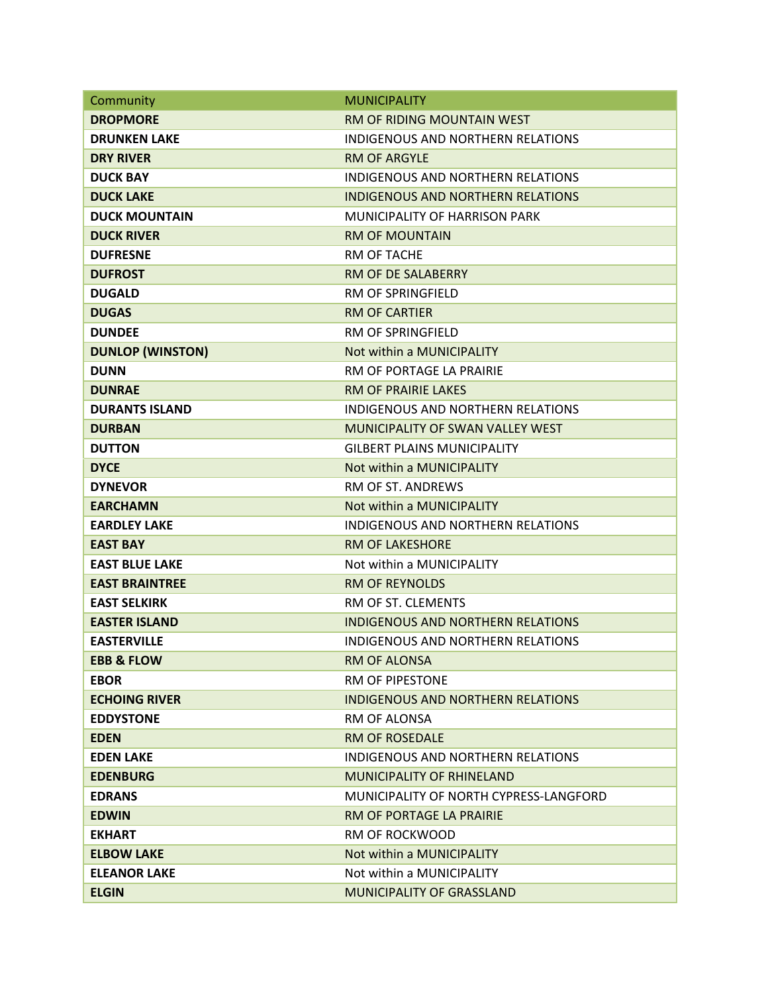| Community               | <b>MUNICIPALITY</b>                      |
|-------------------------|------------------------------------------|
| <b>DROPMORE</b>         | RM OF RIDING MOUNTAIN WEST               |
| <b>DRUNKEN LAKE</b>     | INDIGENOUS AND NORTHERN RELATIONS        |
| <b>DRY RIVER</b>        | <b>RM OF ARGYLE</b>                      |
| <b>DUCK BAY</b>         | <b>INDIGENOUS AND NORTHERN RELATIONS</b> |
| <b>DUCK LAKE</b>        | <b>INDIGENOUS AND NORTHERN RELATIONS</b> |
| <b>DUCK MOUNTAIN</b>    | <b>MUNICIPALITY OF HARRISON PARK</b>     |
| <b>DUCK RIVER</b>       | <b>RM OF MOUNTAIN</b>                    |
| <b>DUFRESNE</b>         | <b>RM OF TACHE</b>                       |
| <b>DUFROST</b>          | <b>RM OF DE SALABERRY</b>                |
| <b>DUGALD</b>           | <b>RM OF SPRINGFIELD</b>                 |
| <b>DUGAS</b>            | <b>RM OF CARTIER</b>                     |
| <b>DUNDEE</b>           | <b>RM OF SPRINGFIELD</b>                 |
| <b>DUNLOP (WINSTON)</b> | Not within a MUNICIPALITY                |
| <b>DUNN</b>             | RM OF PORTAGE LA PRAIRIE                 |
| <b>DUNRAE</b>           | <b>RM OF PRAIRIE LAKES</b>               |
| <b>DURANTS ISLAND</b>   | <b>INDIGENOUS AND NORTHERN RELATIONS</b> |
| <b>DURBAN</b>           | MUNICIPALITY OF SWAN VALLEY WEST         |
| <b>DUTTON</b>           | <b>GILBERT PLAINS MUNICIPALITY</b>       |
| <b>DYCE</b>             | Not within a MUNICIPALITY                |
| <b>DYNEVOR</b>          | RM OF ST. ANDREWS                        |
| <b>EARCHAMN</b>         | Not within a MUNICIPALITY                |
| <b>EARDLEY LAKE</b>     | <b>INDIGENOUS AND NORTHERN RELATIONS</b> |
| <b>EAST BAY</b>         | <b>RM OF LAKESHORE</b>                   |
| <b>EAST BLUE LAKE</b>   | Not within a MUNICIPALITY                |
| <b>EAST BRAINTREE</b>   | <b>RM OF REYNOLDS</b>                    |
| <b>EAST SELKIRK</b>     | RM OF ST. CLEMENTS                       |
| <b>EASTER ISLAND</b>    | <b>INDIGENOUS AND NORTHERN RELATIONS</b> |
| <b>EASTERVILLE</b>      | <b>INDIGENOUS AND NORTHERN RELATIONS</b> |
| <b>EBB &amp; FLOW</b>   | <b>RM OF ALONSA</b>                      |
| <b>EBOR</b>             | RM OF PIPESTONE                          |
| <b>ECHOING RIVER</b>    | <b>INDIGENOUS AND NORTHERN RELATIONS</b> |
| <b>EDDYSTONE</b>        | RM OF ALONSA                             |
| <b>EDEN</b>             | <b>RM OF ROSEDALE</b>                    |
| <b>EDEN LAKE</b>        | INDIGENOUS AND NORTHERN RELATIONS        |
| <b>EDENBURG</b>         | <b>MUNICIPALITY OF RHINELAND</b>         |
| <b>EDRANS</b>           | MUNICIPALITY OF NORTH CYPRESS-LANGFORD   |
| <b>EDWIN</b>            | RM OF PORTAGE LA PRAIRIE                 |
| <b>EKHART</b>           | RM OF ROCKWOOD                           |
| <b>ELBOW LAKE</b>       | Not within a MUNICIPALITY                |
| <b>ELEANOR LAKE</b>     | Not within a MUNICIPALITY                |
| <b>ELGIN</b>            | <b>MUNICIPALITY OF GRASSLAND</b>         |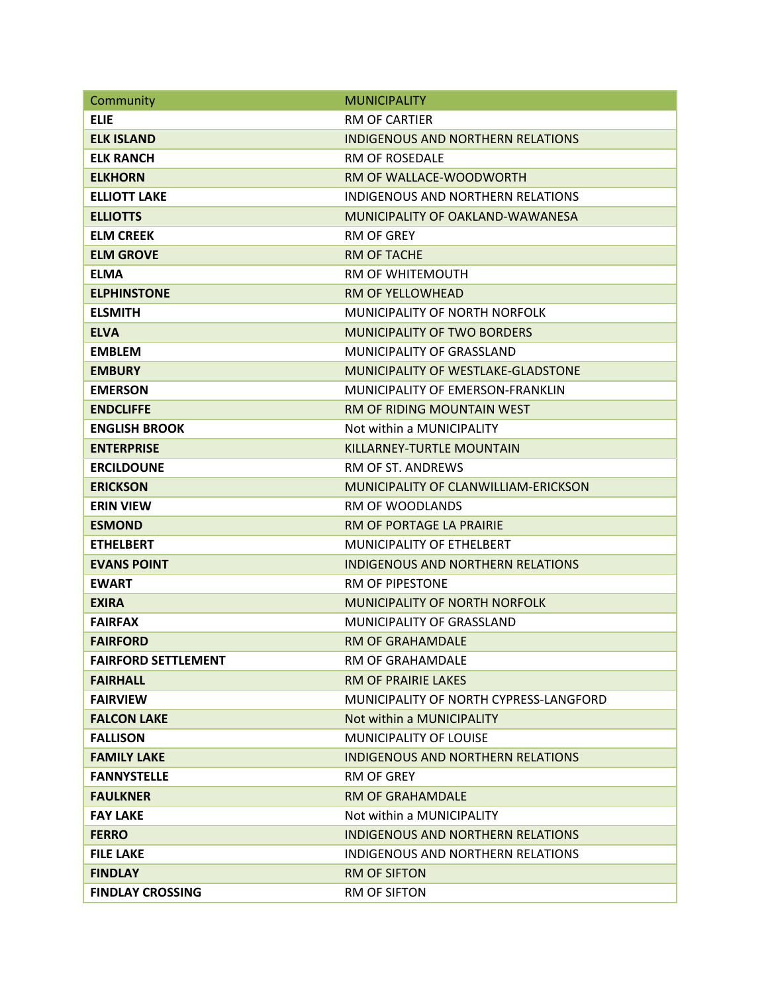| Community                  | <b>MUNICIPALITY</b>                      |
|----------------------------|------------------------------------------|
| <b>ELIE</b>                | <b>RM OF CARTIER</b>                     |
| <b>ELK ISLAND</b>          | <b>INDIGENOUS AND NORTHERN RELATIONS</b> |
| <b>ELK RANCH</b>           | <b>RM OF ROSEDALF</b>                    |
| <b>ELKHORN</b>             | RM OF WALLACE-WOODWORTH                  |
| <b>ELLIOTT LAKE</b>        | <b>INDIGENOUS AND NORTHERN RELATIONS</b> |
| <b>ELLIOTTS</b>            | MUNICIPALITY OF OAKLAND-WAWANESA         |
| <b>ELM CREEK</b>           | <b>RM OF GREY</b>                        |
| <b>ELM GROVE</b>           | <b>RM OF TACHE</b>                       |
| <b>ELMA</b>                | <b>RM OF WHITEMOUTH</b>                  |
| <b>ELPHINSTONE</b>         | <b>RM OF YELLOWHEAD</b>                  |
| <b>ELSMITH</b>             | MUNICIPALITY OF NORTH NORFOLK            |
| <b>ELVA</b>                | <b>MUNICIPALITY OF TWO BORDERS</b>       |
| <b>EMBLEM</b>              | <b>MUNICIPALITY OF GRASSLAND</b>         |
| <b>EMBURY</b>              | MUNICIPALITY OF WESTLAKE-GLADSTONE       |
| <b>EMERSON</b>             | MUNICIPALITY OF EMERSON-FRANKLIN         |
| <b>ENDCLIFFE</b>           | RM OF RIDING MOUNTAIN WEST               |
| <b>ENGLISH BROOK</b>       | Not within a MUNICIPALITY                |
| <b>ENTERPRISE</b>          | KILLARNEY-TURTLE MOUNTAIN                |
| <b>ERCILDOUNE</b>          | RM OF ST. ANDREWS                        |
| <b>ERICKSON</b>            | MUNICIPALITY OF CLANWILLIAM-ERICKSON     |
| <b>ERIN VIEW</b>           | <b>RM OF WOODLANDS</b>                   |
| <b>ESMOND</b>              | RM OF PORTAGE LA PRAIRIE                 |
| <b>ETHELBERT</b>           | <b>MUNICIPALITY OF ETHELBERT</b>         |
| <b>EVANS POINT</b>         | <b>INDIGENOUS AND NORTHERN RELATIONS</b> |
| <b>EWART</b>               | <b>RM OF PIPESTONE</b>                   |
| <b>EXIRA</b>               | <b>MUNICIPALITY OF NORTH NORFOLK</b>     |
| <b>FAIRFAX</b>             | MUNICIPALITY OF GRASSLAND                |
| <b>FAIRFORD</b>            | RM OF GRAHAMDALE                         |
| <b>FAIRFORD SETTLEMENT</b> | <b>RM OF GRAHAMDALE</b>                  |
| <b>FAIRHALL</b>            | <b>RM OF PRAIRIE LAKES</b>               |
| <b>FAIRVIEW</b>            | MUNICIPALITY OF NORTH CYPRESS-LANGFORD   |
| <b>FALCON LAKE</b>         | Not within a MUNICIPALITY                |
| <b>FALLISON</b>            | MUNICIPALITY OF LOUISE                   |
| <b>FAMILY LAKE</b>         | INDIGENOUS AND NORTHERN RELATIONS        |
| <b>FANNYSTELLE</b>         | <b>RM OF GREY</b>                        |
| <b>FAULKNER</b>            | <b>RM OF GRAHAMDALE</b>                  |
| <b>FAY LAKE</b>            | Not within a MUNICIPALITY                |
| <b>FERRO</b>               | <b>INDIGENOUS AND NORTHERN RELATIONS</b> |
| <b>FILE LAKE</b>           | INDIGENOUS AND NORTHERN RELATIONS        |
| <b>FINDLAY</b>             | <b>RM OF SIFTON</b>                      |
| <b>FINDLAY CROSSING</b>    | RM OF SIFTON                             |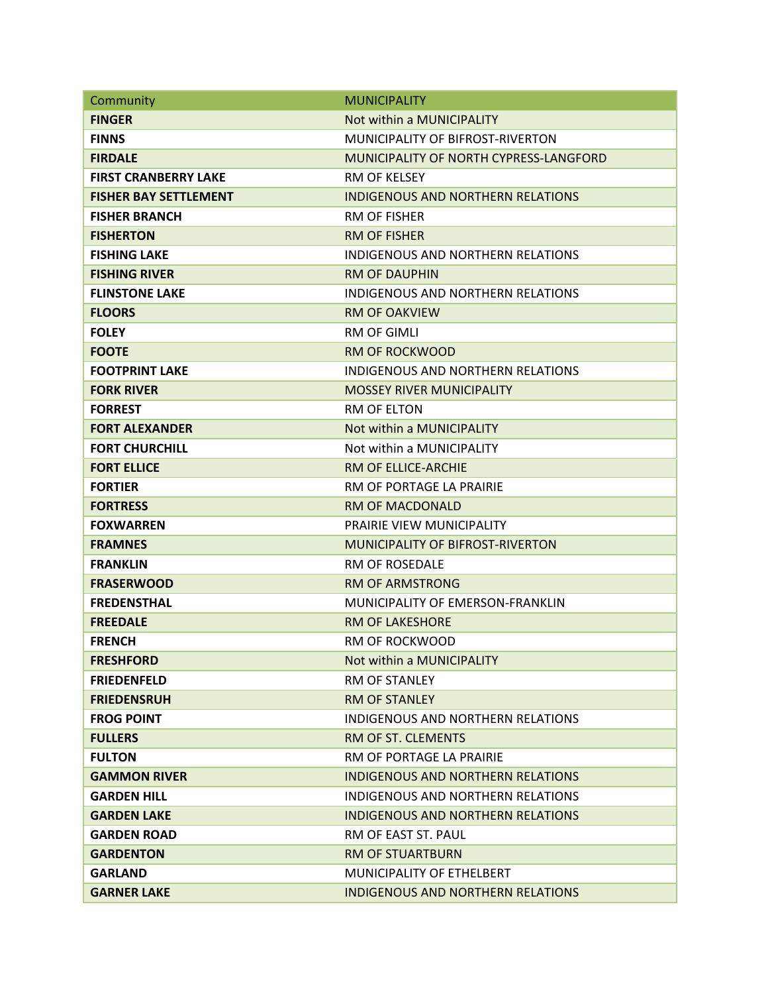| Community                    | <b>MUNICIPALITY</b>                           |
|------------------------------|-----------------------------------------------|
| <b>FINGER</b>                | Not within a MUNICIPALITY                     |
| <b>FINNS</b>                 | MUNICIPALITY OF BIFROST-RIVERTON              |
| <b>FIRDALE</b>               | <b>MUNICIPALITY OF NORTH CYPRESS-LANGFORD</b> |
| <b>FIRST CRANBERRY LAKE</b>  | <b>RM OF KFLSFY</b>                           |
| <b>FISHER BAY SETTLEMENT</b> | INDIGENOUS AND NORTHERN RELATIONS             |
| <b>FISHER BRANCH</b>         | <b>RM OF FISHER</b>                           |
| <b>FISHERTON</b>             | <b>RM OF FISHER</b>                           |
| <b>FISHING LAKE</b>          | <b>INDIGENOUS AND NORTHERN RELATIONS</b>      |
| <b>FISHING RIVER</b>         | <b>RM OF DAUPHIN</b>                          |
| <b>FLINSTONE LAKE</b>        | <b>INDIGENOUS AND NORTHERN RELATIONS</b>      |
| <b>FLOORS</b>                | <b>RM OF OAKVIEW</b>                          |
| <b>FOLEY</b>                 | <b>RM OF GIMLI</b>                            |
| <b>FOOTE</b>                 | <b>RM OF ROCKWOOD</b>                         |
| <b>FOOTPRINT LAKE</b>        | <b>INDIGENOUS AND NORTHERN RELATIONS</b>      |
| <b>FORK RIVER</b>            | <b>MOSSEY RIVER MUNICIPALITY</b>              |
| <b>FORREST</b>               | <b>RM OF ELTON</b>                            |
| <b>FORT ALEXANDER</b>        | Not within a MUNICIPALITY                     |
| <b>FORT CHURCHILL</b>        | Not within a MUNICIPALITY                     |
| <b>FORT ELLICE</b>           | RM OF ELLICE-ARCHIE                           |
| <b>FORTIER</b>               | RM OF PORTAGE LA PRAIRIE                      |
| <b>FORTRESS</b>              | <b>RM OF MACDONALD</b>                        |
| <b>FOXWARREN</b>             | PRAIRIE VIEW MUNICIPALITY                     |
| <b>FRAMNES</b>               | <b>MUNICIPALITY OF BIFROST-RIVERTON</b>       |
| <b>FRANKLIN</b>              | RM OF ROSEDALE                                |
| <b>FRASERWOOD</b>            | <b>RM OF ARMSTRONG</b>                        |
| <b>FREDENSTHAL</b>           | <b>MUNICIPALITY OF EMERSON-FRANKLIN</b>       |
| <b>FREEDALE</b>              | <b>RM OF LAKESHORE</b>                        |
| <b>FRENCH</b>                | RM OF ROCKWOOD                                |
| <b>FRESHFORD</b>             | Not within a MUNICIPALITY                     |
| <b>FRIEDENFELD</b>           | <b>RM OF STANLEY</b>                          |
| <b>FRIEDENSRUH</b>           | <b>RM OF STANLEY</b>                          |
| <b>FROG POINT</b>            | INDIGENOUS AND NORTHERN RELATIONS             |
| <b>FULLERS</b>               | RM OF ST. CLEMENTS                            |
| <b>FULTON</b>                | RM OF PORTAGE LA PRAIRIE                      |
| <b>GAMMON RIVER</b>          | INDIGENOUS AND NORTHERN RELATIONS             |
| <b>GARDEN HILL</b>           | INDIGENOUS AND NORTHERN RELATIONS             |
| <b>GARDEN LAKE</b>           | INDIGENOUS AND NORTHERN RELATIONS             |
| <b>GARDEN ROAD</b>           | RM OF EAST ST. PAUL                           |
| <b>GARDENTON</b>             | <b>RM OF STUARTBURN</b>                       |
| <b>GARLAND</b>               | MUNICIPALITY OF ETHELBERT                     |
| <b>GARNER LAKE</b>           | INDIGENOUS AND NORTHERN RELATIONS             |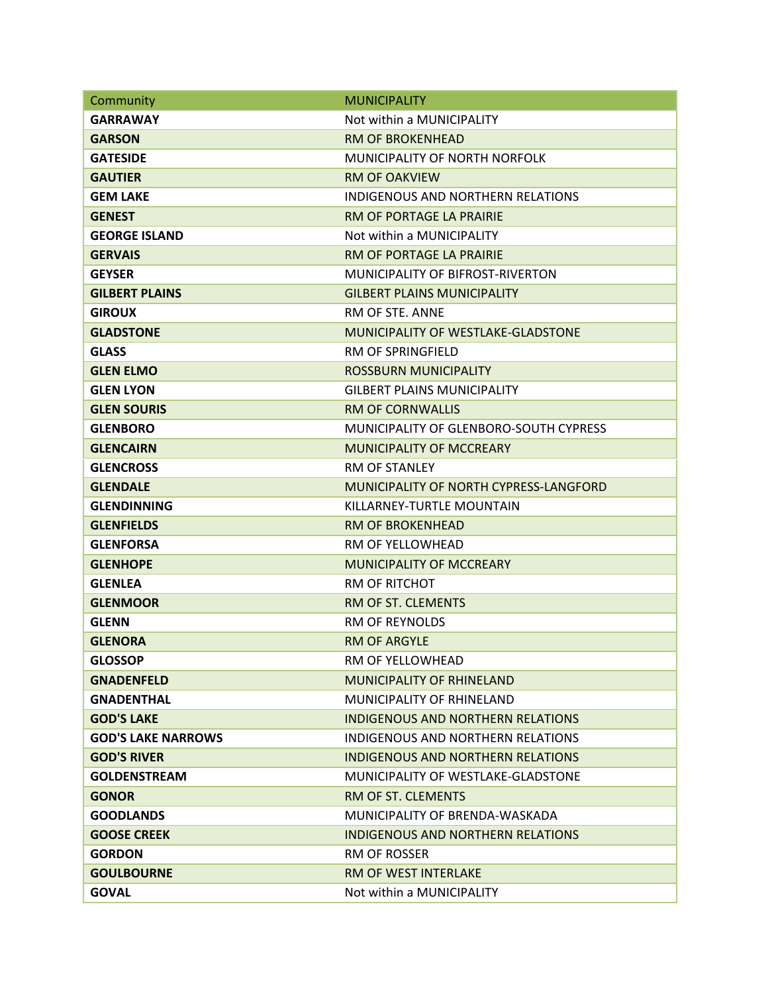| Community                 | <b>MUNICIPALITY</b>                       |
|---------------------------|-------------------------------------------|
| GARRAWAY                  | Not within a MUNICIPALITY                 |
| <b>GARSON</b>             | <b>RM OF BROKENHEAD</b>                   |
| <b>GATESIDE</b>           | MUNICIPALITY OF NORTH NORFOLK             |
| <b>GAUTIER</b>            | <b>RM OF OAKVIEW</b>                      |
| <b>GEM LAKE</b>           | INDIGENOUS AND NORTHERN RELATIONS         |
| <b>GENEST</b>             | RM OF PORTAGE LA PRAIRIE                  |
| <b>GEORGE ISLAND</b>      | Not within a MUNICIPALITY                 |
| <b>GERVAIS</b>            | RM OF PORTAGE LA PRAIRIE                  |
| <b>GEYSER</b>             | MUNICIPALITY OF BIFROST-RIVERTON          |
| <b>GILBERT PLAINS</b>     | <b>GILBERT PLAINS MUNICIPALITY</b>        |
| <b>GIROUX</b>             | RM OF STE. ANNE                           |
| <b>GLADSTONE</b>          | <b>MUNICIPALITY OF WESTLAKE-GLADSTONE</b> |
| <b>GLASS</b>              | <b>RM OF SPRINGFIELD</b>                  |
| <b>GLEN ELMO</b>          | <b>ROSSBURN MUNICIPALITY</b>              |
| <b>GLEN LYON</b>          | <b>GILBERT PLAINS MUNICIPALITY</b>        |
| <b>GLEN SOURIS</b>        | <b>RM OF CORNWALLIS</b>                   |
| <b>GLENBORO</b>           | MUNICIPALITY OF GLENBORO-SOUTH CYPRESS    |
| <b>GLENCAIRN</b>          | <b>MUNICIPALITY OF MCCREARY</b>           |
| <b>GLENCROSS</b>          | RM OF STANLEY                             |
| <b>GLENDALE</b>           | MUNICIPALITY OF NORTH CYPRESS-LANGFORD    |
| <b>GLENDINNING</b>        | KILLARNEY-TURTLE MOUNTAIN                 |
| <b>GLENFIELDS</b>         | <b>RM OF BROKENHEAD</b>                   |
| <b>GLENFORSA</b>          | RM OF YELLOWHEAD                          |
| <b>GLENHOPE</b>           | <b>MUNICIPALITY OF MCCREARY</b>           |
| <b>GLENLEA</b>            | <b>RM OF RITCHOT</b>                      |
| <b>GLENMOOR</b>           | RM OF ST. CLEMENTS                        |
| <b>GLENN</b>              | RM OF REYNOLDS                            |
| <b>GLENORA</b>            | <b>RM OF ARGYLF</b>                       |
| <b>GLOSSOP</b>            | RM OF YELLOWHEAD                          |
| <b>GNADENFELD</b>         | <b>MUNICIPALITY OF RHINELAND</b>          |
| <b>GNADENTHAL</b>         | MUNICIPALITY OF RHINELAND                 |
| <b>GOD'S LAKE</b>         | <b>INDIGENOUS AND NORTHERN RELATIONS</b>  |
| <b>GOD'S LAKE NARROWS</b> | INDIGENOUS AND NORTHERN RELATIONS         |
| <b>GOD'S RIVER</b>        | INDIGENOUS AND NORTHERN RELATIONS         |
| <b>GOLDENSTREAM</b>       | MUNICIPALITY OF WESTLAKE-GLADSTONE        |
| <b>GONOR</b>              | RM OF ST. CLEMENTS                        |
| <b>GOODLANDS</b>          | MUNICIPALITY OF BRENDA-WASKADA            |
| <b>GOOSE CREEK</b>        | <b>INDIGENOUS AND NORTHERN RELATIONS</b>  |
| <b>GORDON</b>             | RM OF ROSSER                              |
| <b>GOULBOURNE</b>         | <b>RM OF WEST INTERLAKE</b>               |
| <b>GOVAL</b>              | Not within a MUNICIPALITY                 |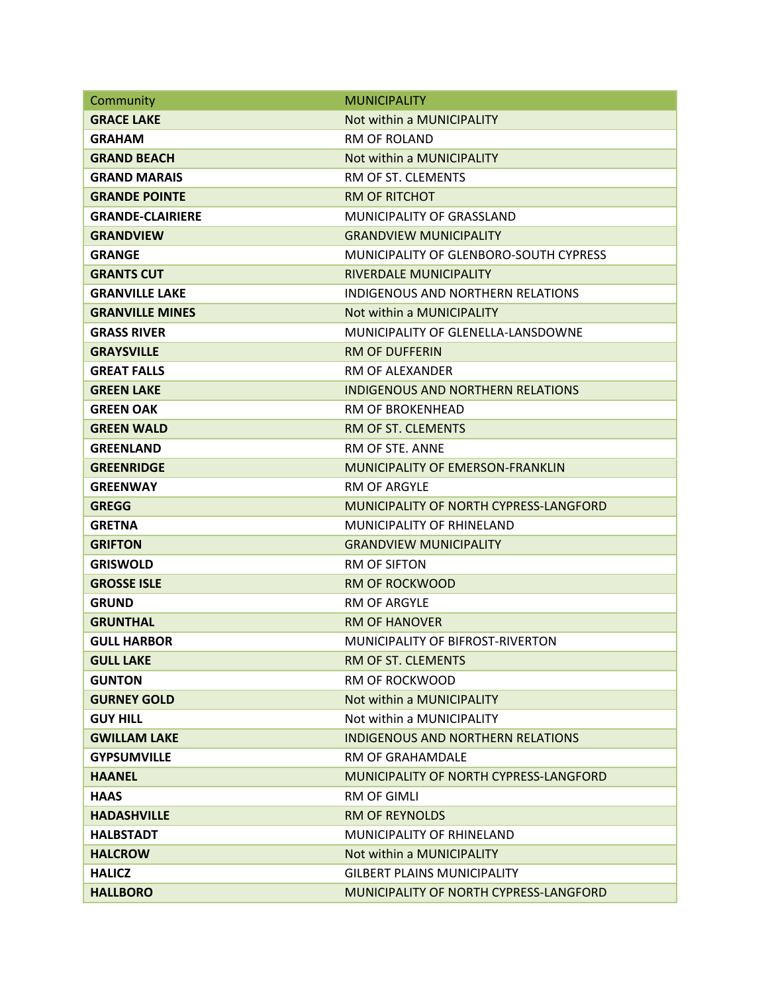| Community               | <b>MUNICIPALITY</b>                      |
|-------------------------|------------------------------------------|
| <b>GRACE LAKE</b>       | Not within a MUNICIPALITY                |
| <b>GRAHAM</b>           | <b>RM OF ROLAND</b>                      |
| <b>GRAND BEACH</b>      | Not within a MUNICIPALITY                |
| <b>GRAND MARAIS</b>     | RM OF ST. CLEMENTS                       |
| <b>GRANDE POINTE</b>    | <b>RM OF RITCHOT</b>                     |
| <b>GRANDE-CLAIRIERE</b> | <b>MUNICIPALITY OF GRASSLAND</b>         |
| <b>GRANDVIEW</b>        | <b>GRANDVIEW MUNICIPALITY</b>            |
| <b>GRANGE</b>           | MUNICIPALITY OF GLENBORO-SOUTH CYPRESS   |
| <b>GRANTS CUT</b>       | <b>RIVERDALE MUNICIPALITY</b>            |
| <b>GRANVILLE LAKE</b>   | <b>INDIGENOUS AND NORTHERN RELATIONS</b> |
| <b>GRANVILLE MINES</b>  | Not within a MUNICIPALITY                |
| <b>GRASS RIVER</b>      | MUNICIPALITY OF GLENELLA-LANSDOWNE       |
| <b>GRAYSVILLE</b>       | <b>RM OF DUFFERIN</b>                    |
| <b>GREAT FALLS</b>      | RM OF ALEXANDER                          |
| <b>GREEN LAKE</b>       | <b>INDIGENOUS AND NORTHERN RELATIONS</b> |
| <b>GREEN OAK</b>        | RM OF BROKENHEAD                         |
| <b>GREEN WALD</b>       | RM OF ST. CLEMENTS                       |
| <b>GREENLAND</b>        | RM OF STE. ANNE                          |
| <b>GREENRIDGE</b>       | MUNICIPALITY OF EMERSON-FRANKLIN         |
| <b>GREENWAY</b>         | <b>RM OF ARGYLE</b>                      |
| <b>GREGG</b>            | MUNICIPALITY OF NORTH CYPRESS-LANGFORD   |
| <b>GRETNA</b>           | MUNICIPALITY OF RHINELAND                |
| <b>GRIFTON</b>          | <b>GRANDVIEW MUNICIPALITY</b>            |
| <b>GRISWOLD</b>         | <b>RM OF SIFTON</b>                      |
| <b>GROSSE ISLE</b>      | <b>RM OF ROCKWOOD</b>                    |
| <b>GRUND</b>            | <b>RM OF ARGYLE</b>                      |
| <b>GRUNTHAL</b>         | <b>RM OF HANOVER</b>                     |
| <b>GULL HARBOR</b>      | MUNICIPALITY OF BIFROST-RIVERTON         |
| <b>GULL LAKE</b>        | RM OF ST. CLEMENTS                       |
| <b>GUNTON</b>           | <b>RM OF ROCKWOOD</b>                    |
| <b>GURNEY GOLD</b>      | Not within a MUNICIPALITY                |
| <b>GUY HILL</b>         | Not within a MUNICIPALITY                |
| <b>GWILLAM LAKE</b>     | <b>INDIGENOUS AND NORTHERN RELATIONS</b> |
| <b>GYPSUMVILLE</b>      | RM OF GRAHAMDALE                         |
| <b>HAANEL</b>           | MUNICIPALITY OF NORTH CYPRESS-LANGFORD   |
| <b>HAAS</b>             | <b>RM OF GIMLI</b>                       |
| <b>HADASHVILLE</b>      | <b>RM OF REYNOLDS</b>                    |
| <b>HALBSTADT</b>        | MUNICIPALITY OF RHINELAND                |
| <b>HALCROW</b>          | Not within a MUNICIPALITY                |
| <b>HALICZ</b>           | <b>GILBERT PLAINS MUNICIPALITY</b>       |
| <b>HALLBORO</b>         | MUNICIPALITY OF NORTH CYPRESS-LANGFORD   |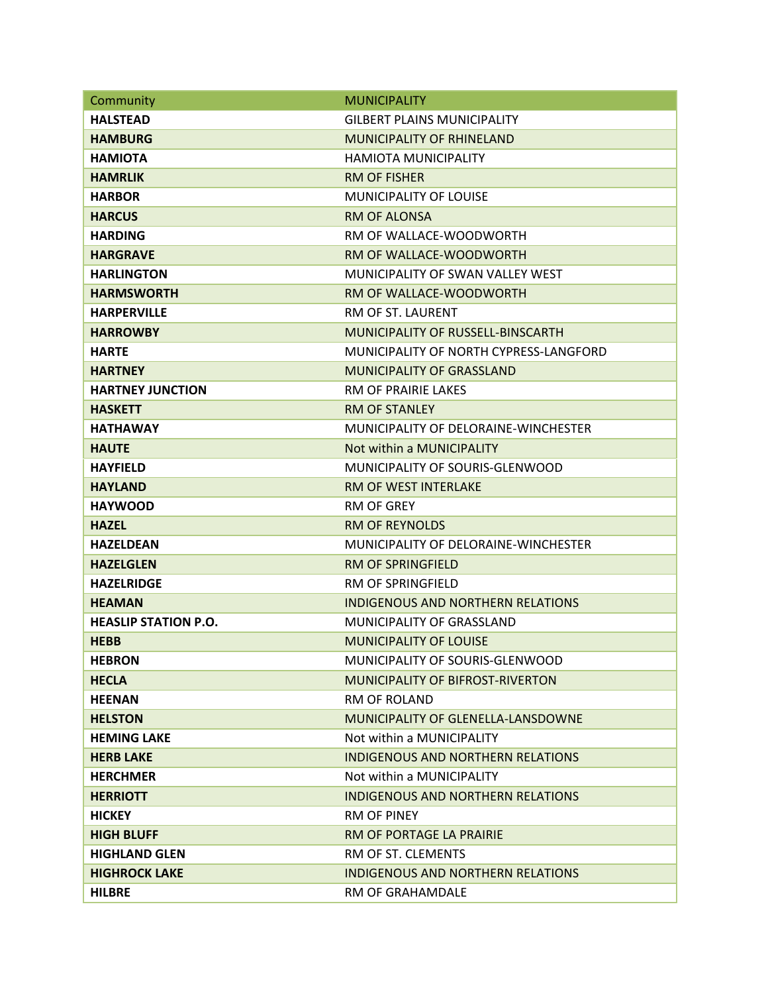| Community                   | <b>MUNICIPALITY</b>                      |
|-----------------------------|------------------------------------------|
| <b>HALSTEAD</b>             | <b>GILBERT PLAINS MUNICIPALITY</b>       |
| <b>HAMBURG</b>              | <b>MUNICIPALITY OF RHINELAND</b>         |
| <b>HAMIOTA</b>              | HAMIOTA MUNICIPALITY                     |
| <b>HAMRLIK</b>              | <b>RM OF FISHER</b>                      |
| <b>HARBOR</b>               | MUNICIPALITY OF LOUISE                   |
| <b>HARCUS</b>               | <b>RM OF ALONSA</b>                      |
| <b>HARDING</b>              | RM OF WALLACE-WOODWORTH                  |
| <b>HARGRAVE</b>             | RM OF WALLACE-WOODWORTH                  |
| <b>HARLINGTON</b>           | MUNICIPALITY OF SWAN VALLEY WEST         |
| <b>HARMSWORTH</b>           | RM OF WALLACE-WOODWORTH                  |
| <b>HARPERVILLE</b>          | RM OF ST. LAURENT                        |
| <b>HARROWBY</b>             | MUNICIPALITY OF RUSSELL-BINSCARTH        |
| <b>HARTE</b>                | MUNICIPALITY OF NORTH CYPRESS-LANGFORD   |
| <b>HARTNEY</b>              | <b>MUNICIPALITY OF GRASSLAND</b>         |
| <b>HARTNEY JUNCTION</b>     | <b>RM OF PRAIRIE LAKES</b>               |
| <b>HASKETT</b>              | <b>RM OF STANLEY</b>                     |
| <b>HATHAWAY</b>             | MUNICIPALITY OF DELORAINE-WINCHESTER     |
| <b>HAUTE</b>                | Not within a MUNICIPALITY                |
| <b>HAYFIELD</b>             | MUNICIPALITY OF SOURIS-GLENWOOD          |
| <b>HAYLAND</b>              | <b>RM OF WEST INTERLAKE</b>              |
| <b>HAYWOOD</b>              | <b>RM OF GREY</b>                        |
| <b>HAZEL</b>                | <b>RM OF REYNOLDS</b>                    |
| <b>HAZELDEAN</b>            | MUNICIPALITY OF DELORAINE-WINCHESTER     |
| <b>HAZELGLEN</b>            | <b>RM OF SPRINGFIELD</b>                 |
| <b>HAZELRIDGE</b>           | <b>RM OF SPRINGFIELD</b>                 |
| <b>HEAMAN</b>               | <b>INDIGENOUS AND NORTHERN RELATIONS</b> |
| <b>HEASLIP STATION P.O.</b> | <b>MUNICIPALITY OF GRASSLAND</b>         |
| <b>HEBB</b>                 | <b>MUNICIPALITY OF LOUISE</b>            |
| <b>HEBRON</b>               | MUNICIPALITY OF SOURIS-GLENWOOD          |
| <b>HECLA</b>                | <b>MUNICIPALITY OF BIFROST-RIVERTON</b>  |
| <b>HEENAN</b>               | <b>RM OF ROLAND</b>                      |
| <b>HELSTON</b>              | MUNICIPALITY OF GLENELLA-LANSDOWNE       |
| <b>HEMING LAKE</b>          | Not within a MUNICIPALITY                |
| <b>HERB LAKE</b>            | <b>INDIGENOUS AND NORTHERN RELATIONS</b> |
| <b>HERCHMER</b>             | Not within a MUNICIPALITY                |
| <b>HERRIOTT</b>             | <b>INDIGENOUS AND NORTHERN RELATIONS</b> |
| <b>HICKEY</b>               | <b>RM OF PINEY</b>                       |
| <b>HIGH BLUFF</b>           | RM OF PORTAGE LA PRAIRIE                 |
| <b>HIGHLAND GLEN</b>        | RM OF ST. CLEMENTS                       |
| <b>HIGHROCK LAKE</b>        | INDIGENOUS AND NORTHERN RELATIONS        |
| <b>HILBRE</b>               | RM OF GRAHAMDALE                         |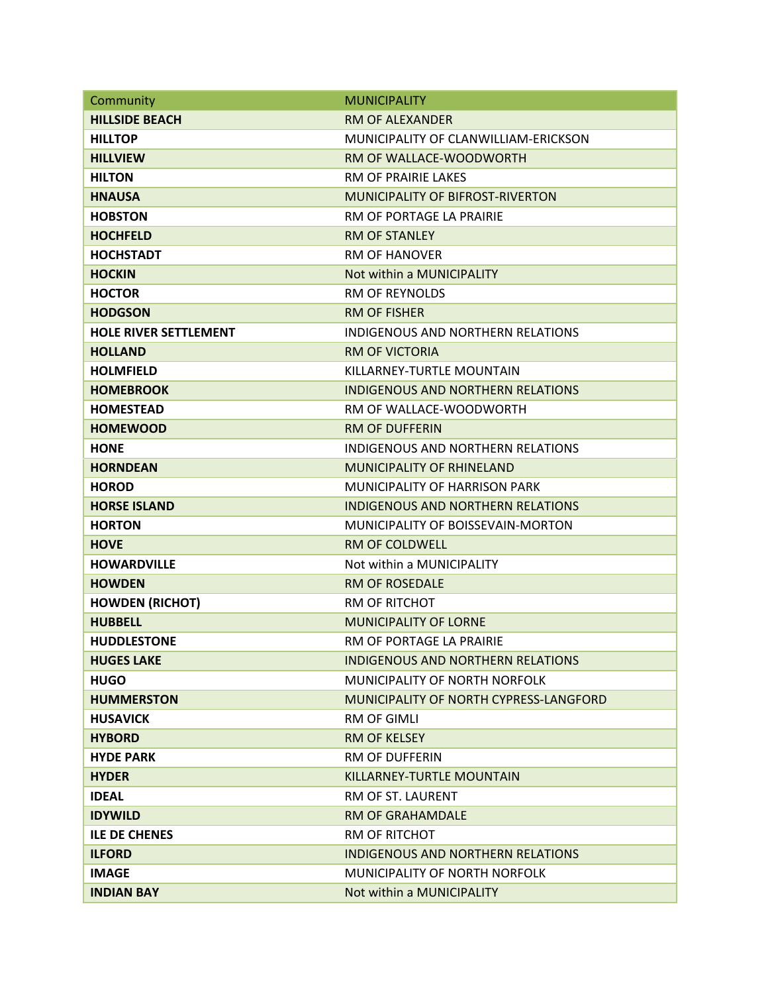| Community                    | <b>MUNICIPALITY</b>                      |
|------------------------------|------------------------------------------|
| <b>HILLSIDE BEACH</b>        | <b>RM OF ALEXANDER</b>                   |
| <b>HILLTOP</b>               | MUNICIPALITY OF CLANWILLIAM-ERICKSON     |
| <b>HILLVIEW</b>              | RM OF WALLACE-WOODWORTH                  |
| <b>HILTON</b>                | <b>RM OF PRAIRIF LAKES</b>               |
| <b>HNAUSA</b>                | <b>MUNICIPALITY OF BIFROST-RIVERTON</b>  |
| <b>HOBSTON</b>               | RM OF PORTAGE LA PRAIRIE                 |
| <b>HOCHFELD</b>              | <b>RM OF STANLEY</b>                     |
| <b>HOCHSTADT</b>             | <b>RM OF HANOVER</b>                     |
| <b>HOCKIN</b>                | Not within a MUNICIPALITY                |
| <b>HOCTOR</b>                | <b>RM OF REYNOLDS</b>                    |
| <b>HODGSON</b>               | <b>RM OF FISHER</b>                      |
| <b>HOLE RIVER SETTLEMENT</b> | INDIGENOUS AND NORTHERN RELATIONS        |
| <b>HOLLAND</b>               | <b>RM OF VICTORIA</b>                    |
| <b>HOLMFIELD</b>             | KILLARNEY-TURTLE MOUNTAIN                |
| <b>HOMEBROOK</b>             | <b>INDIGENOUS AND NORTHERN RELATIONS</b> |
| <b>HOMESTEAD</b>             | RM OF WALLACE-WOODWORTH                  |
| <b>HOMEWOOD</b>              | <b>RM OF DUFFERIN</b>                    |
| <b>HONE</b>                  | INDIGENOUS AND NORTHERN RELATIONS        |
| <b>HORNDEAN</b>              | <b>MUNICIPALITY OF RHINELAND</b>         |
| <b>HOROD</b>                 | <b>MUNICIPALITY OF HARRISON PARK</b>     |
| <b>HORSE ISLAND</b>          | INDIGENOUS AND NORTHERN RELATIONS        |
| <b>HORTON</b>                | MUNICIPALITY OF BOISSEVAIN-MORTON        |
| <b>HOVE</b>                  | <b>RM OF COLDWELL</b>                    |
| <b>HOWARDVILLE</b>           | Not within a MUNICIPALITY                |
| <b>HOWDEN</b>                | <b>RM OF ROSEDALE</b>                    |
| <b>HOWDEN (RICHOT)</b>       | <b>RM OF RITCHOT</b>                     |
| <b>HUBBELL</b>               | <b>MUNICIPALITY OF LORNE</b>             |
| <b>HUDDLESTONE</b>           | RM OF PORTAGE LA PRAIRIE                 |
| <b>HUGES LAKE</b>            | <b>INDIGENOUS AND NORTHERN RELATIONS</b> |
| <b>HUGO</b>                  | MUNICIPALITY OF NORTH NORFOLK            |
| <b>HUMMERSTON</b>            | MUNICIPALITY OF NORTH CYPRESS-LANGFORD   |
| <b>HUSAVICK</b>              | <b>RM OF GIMLI</b>                       |
| <b>HYBORD</b>                | <b>RM OF KELSEY</b>                      |
| <b>HYDE PARK</b>             | <b>RM OF DUFFERIN</b>                    |
| <b>HYDER</b>                 | KILLARNEY-TURTLE MOUNTAIN                |
| <b>IDEAL</b>                 | RM OF ST. LAURENT                        |
| <b>IDYWILD</b>               | <b>RM OF GRAHAMDALE</b>                  |
| <b>ILE DE CHENES</b>         | <b>RM OF RITCHOT</b>                     |
| <b>ILFORD</b>                | <b>INDIGENOUS AND NORTHERN RELATIONS</b> |
| <b>IMAGE</b>                 | MUNICIPALITY OF NORTH NORFOLK            |
| <b>INDIAN BAY</b>            | Not within a MUNICIPALITY                |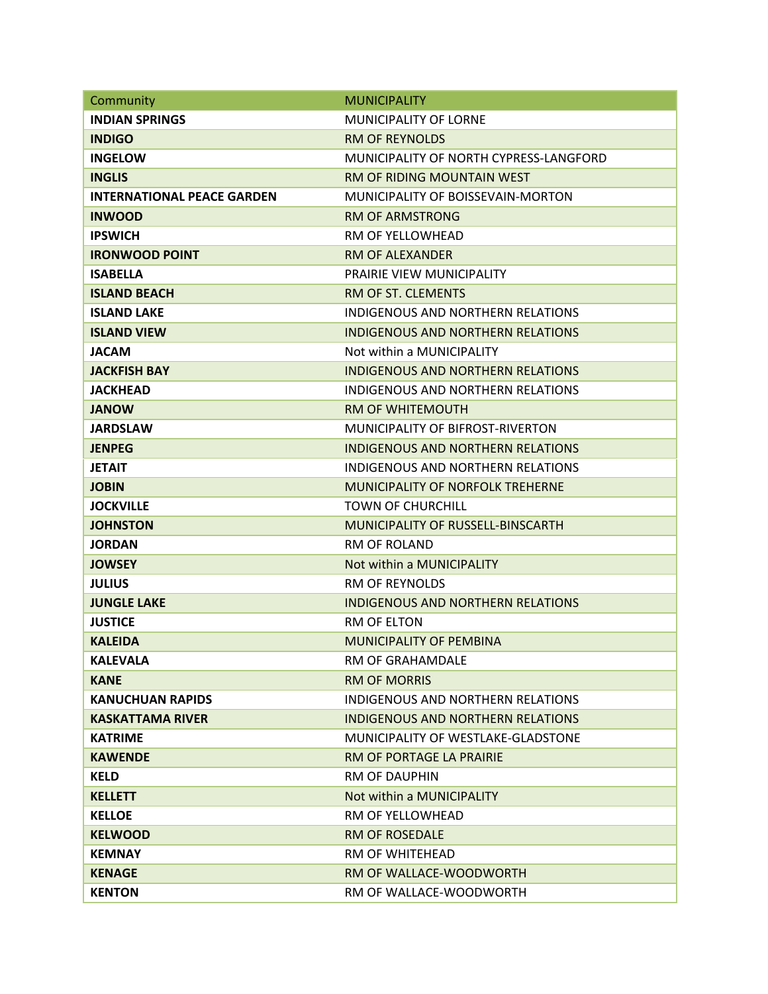| Community                         | <b>MUNICIPALITY</b>                      |
|-----------------------------------|------------------------------------------|
| <b>INDIAN SPRINGS</b>             | <b>MUNICIPALITY OF LORNE</b>             |
| <b>INDIGO</b>                     | <b>RM OF REYNOLDS</b>                    |
| <b>INGELOW</b>                    | MUNICIPALITY OF NORTH CYPRESS-LANGFORD   |
| <b>INGLIS</b>                     | <b>RM OF RIDING MOUNTAIN WEST</b>        |
| <b>INTERNATIONAL PEACE GARDEN</b> | MUNICIPALITY OF BOISSEVAIN-MORTON        |
| <b>INWOOD</b>                     | <b>RM OF ARMSTRONG</b>                   |
| <b>IPSWICH</b>                    | <b>RM OF YELLOWHEAD</b>                  |
| <b>IRONWOOD POINT</b>             | <b>RM OF ALEXANDER</b>                   |
| <b>ISABELLA</b>                   | <b>PRAIRIE VIEW MUNICIPALITY</b>         |
| <b>ISLAND BEACH</b>               | RM OF ST. CLEMENTS                       |
| <b>ISLAND LAKE</b>                | <b>INDIGENOUS AND NORTHERN RELATIONS</b> |
| <b>ISLAND VIEW</b>                | <b>INDIGENOUS AND NORTHERN RELATIONS</b> |
| <b>JACAM</b>                      | Not within a MUNICIPALITY                |
| <b>JACKFISH BAY</b>               | <b>INDIGENOUS AND NORTHERN RELATIONS</b> |
| <b>JACKHEAD</b>                   | INDIGENOUS AND NORTHERN RELATIONS        |
| <b>JANOW</b>                      | <b>RM OF WHITEMOUTH</b>                  |
| <b>JARDSLAW</b>                   | MUNICIPALITY OF BIFROST-RIVERTON         |
| <b>JENPEG</b>                     | <b>INDIGENOUS AND NORTHERN RELATIONS</b> |
| <b>JETAIT</b>                     | INDIGENOUS AND NORTHERN RELATIONS        |
| <b>JOBIN</b>                      | <b>MUNICIPALITY OF NORFOLK TREHERNE</b>  |
| <b>JOCKVILLE</b>                  | <b>TOWN OF CHURCHILL</b>                 |
| <b>JOHNSTON</b>                   | <b>MUNICIPALITY OF RUSSELL-BINSCARTH</b> |
| <b>JORDAN</b>                     | <b>RM OF ROLAND</b>                      |
| <b>JOWSEY</b>                     | Not within a MUNICIPALITY                |
| <b>JULIUS</b>                     | <b>RM OF REYNOLDS</b>                    |
| <b>JUNGLE LAKE</b>                | <b>INDIGENOUS AND NORTHERN RELATIONS</b> |
| <b>JUSTICE</b>                    | <b>RM OF FLTON</b>                       |
| <b>KALEIDA</b>                    | <b>MUNICIPALITY OF PEMBINA</b>           |
| <b>KALEVALA</b>                   | RM OF GRAHAMDALE                         |
| <b>KANE</b>                       | <b>RM OF MORRIS</b>                      |
| <b>KANUCHUAN RAPIDS</b>           | INDIGENOUS AND NORTHERN RELATIONS        |
| KASKATTAMA RIVER                  | <b>INDIGENOUS AND NORTHERN RELATIONS</b> |
| <b>KATRIME</b>                    | MUNICIPALITY OF WESTLAKE-GLADSTONE       |
| <b>KAWENDE</b>                    | <b>RM OF PORTAGE LA PRAIRIE</b>          |
| <b>KELD</b>                       | <b>RM OF DAUPHIN</b>                     |
| <b>KELLETT</b>                    | Not within a MUNICIPALITY                |
| <b>KELLOE</b>                     | RM OF YELLOWHEAD                         |
| <b>KELWOOD</b>                    | <b>RM OF ROSEDALE</b>                    |
| <b>KEMNAY</b>                     | RM OF WHITEHEAD                          |
| <b>KENAGE</b>                     | RM OF WALLACE-WOODWORTH                  |
| <b>KENTON</b>                     | RM OF WALLACE-WOODWORTH                  |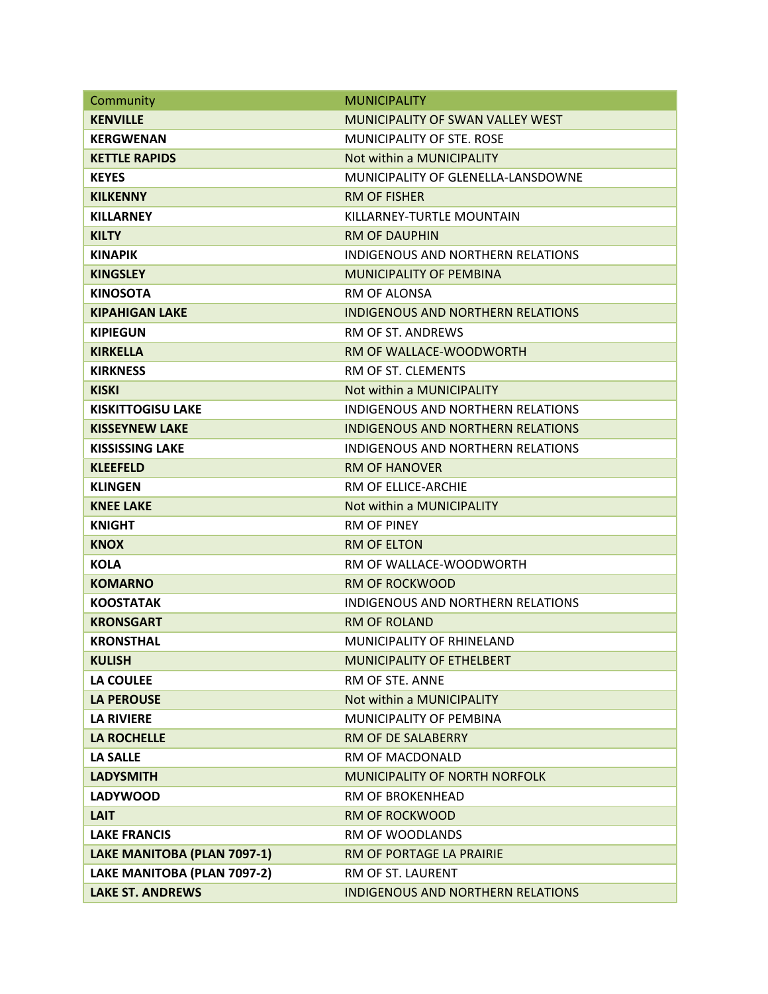| Community                   | <b>MUNICIPALITY</b>                       |
|-----------------------------|-------------------------------------------|
| <b>KENVILLE</b>             | MUNICIPALITY OF SWAN VALLEY WEST          |
| <b>KERGWENAN</b>            | MUNICIPALITY OF STE. ROSE                 |
| <b>KETTLE RAPIDS</b>        | Not within a MUNICIPALITY                 |
| <b>KEYES</b>                | <b>MUNICIPALITY OF GLENELLA-LANSDOWNE</b> |
| <b>KILKENNY</b>             | RM OF FISHER                              |
| <b>KILLARNEY</b>            | KILLARNEY-TURTLE MOUNTAIN                 |
| <b>KILTY</b>                | <b>RM OF DAUPHIN</b>                      |
| <b>KINAPIK</b>              | <b>INDIGENOUS AND NORTHERN RELATIONS</b>  |
| <b>KINGSLEY</b>             | MUNICIPALITY OF PEMBINA                   |
| <b>KINOSOTA</b>             | RM OF ALONSA                              |
| <b>KIPAHIGAN LAKE</b>       | <b>INDIGENOUS AND NORTHERN RELATIONS</b>  |
| <b>KIPIEGUN</b>             | RM OF ST. ANDREWS                         |
| <b>KIRKELLA</b>             | RM OF WALLACE-WOODWORTH                   |
| <b>KIRKNESS</b>             | RM OF ST. CLEMENTS                        |
| <b>KISKI</b>                | Not within a MUNICIPALITY                 |
| <b>KISKITTOGISU LAKE</b>    | INDIGENOUS AND NORTHERN RELATIONS         |
| <b>KISSEYNEW LAKE</b>       | <b>INDIGENOUS AND NORTHERN RELATIONS</b>  |
| <b>KISSISSING LAKE</b>      | INDIGENOUS AND NORTHERN RELATIONS         |
| <b>KLEEFELD</b>             | <b>RM OF HANOVER</b>                      |
| <b>KLINGEN</b>              | RM OF ELLICE-ARCHIE                       |
| <b>KNEE LAKE</b>            | Not within a MUNICIPALITY                 |
| <b>KNIGHT</b>               | <b>RM OF PINEY</b>                        |
| <b>KNOX</b>                 | <b>RM OF ELTON</b>                        |
| <b>KOLA</b>                 | RM OF WALLACE-WOODWORTH                   |
| <b>KOMARNO</b>              | <b>RM OF ROCKWOOD</b>                     |
| <b>KOOSTATAK</b>            | INDIGENOUS AND NORTHERN RELATIONS         |
| <b>KRONSGART</b>            | <b>RM OF ROLAND</b>                       |
| <b>KRONSTHAL</b>            | MUNICIPALITY OF RHINELAND                 |
| <b>KULISH</b>               | MUNICIPALITY OF ETHELBERT                 |
| <b>LA COULEE</b>            | RM OF STE. ANNE                           |
| <b>LA PEROUSE</b>           | Not within a MUNICIPALITY                 |
| <b>LA RIVIERE</b>           | MUNICIPALITY OF PEMBINA                   |
| <b>LA ROCHELLE</b>          | RM OF DE SALABERRY                        |
| <b>LA SALLE</b>             | RM OF MACDONALD                           |
| <b>LADYSMITH</b>            | <b>MUNICIPALITY OF NORTH NORFOLK</b>      |
| <b>LADYWOOD</b>             | <b>RM OF BROKENHEAD</b>                   |
| <b>LAIT</b>                 | <b>RM OF ROCKWOOD</b>                     |
| <b>LAKE FRANCIS</b>         | RM OF WOODLANDS                           |
| LAKE MANITOBA (PLAN 7097-1) | RM OF PORTAGE LA PRAIRIE                  |
| LAKE MANITOBA (PLAN 7097-2) | RM OF ST. LAURENT                         |
| <b>LAKE ST. ANDREWS</b>     | INDIGENOUS AND NORTHERN RELATIONS         |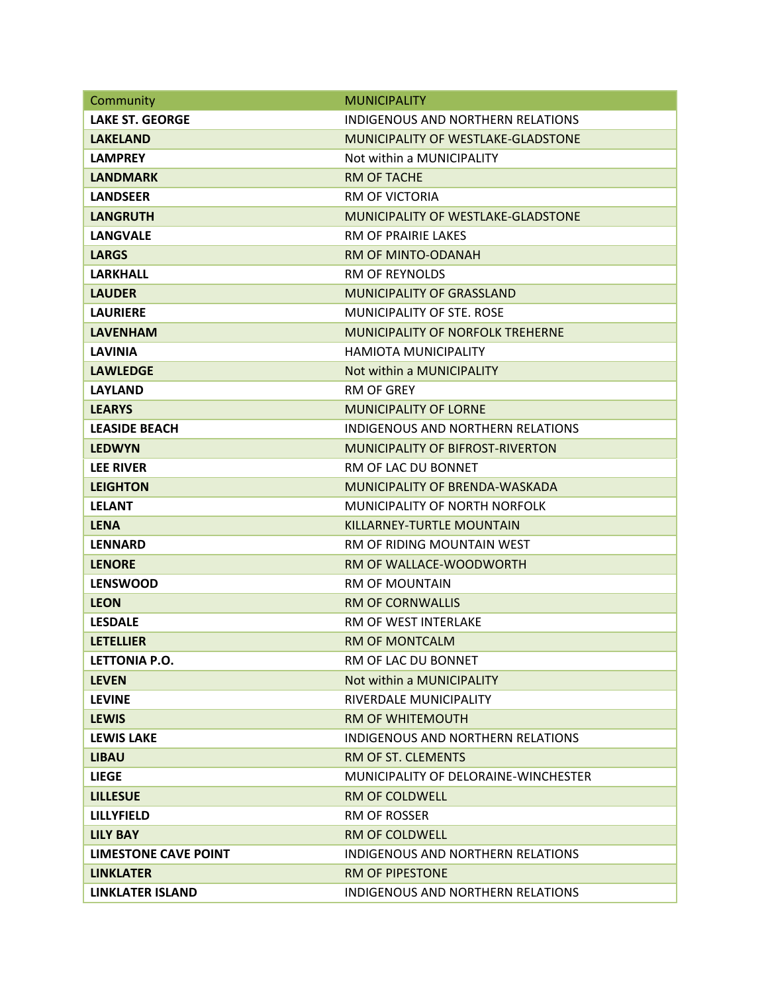| Community              | <b>MUNICIPALITY</b>                       |
|------------------------|-------------------------------------------|
| <b>LAKE ST. GEORGE</b> | <b>INDIGENOUS AND NORTHERN RELATIONS</b>  |
| <b>LAKELAND</b>        | <b>MUNICIPALITY OF WESTLAKE-GLADSTONE</b> |
| <b>LAMPREY</b>         | Not within a MUNICIPALITY                 |
| <b>LANDMARK</b>        | <b>RM OF TACHE</b>                        |
| <b>LANDSEER</b>        | <b>RM OF VICTORIA</b>                     |
| <b>LANGRUTH</b>        | MUNICIPALITY OF WESTLAKE-GLADSTONE        |
| <b>LANGVALE</b>        | RM OF PRAIRIE LAKES                       |
| <b>LARGS</b>           | RM OF MINTO-ODANAH                        |
| <b>LARKHALL</b>        | <b>RM OF REYNOLDS</b>                     |
| <b>LAUDER</b>          | <b>MUNICIPALITY OF GRASSLAND</b>          |
| <b>LAURIERE</b>        | <b>MUNICIPALITY OF STE. ROSE</b>          |
| <b>LAVENHAM</b>        | <b>MUNICIPALITY OF NORFOLK TREHERNE</b>   |
| <b>LAVINIA</b>         | <b>HAMIOTA MUNICIPALITY</b>               |
| <b>LAWLEDGE</b>        | Not within a MUNICIPALITY                 |
| <b>LAYLAND</b>         | <b>RM OF GREY</b>                         |
| <b>LEARYS</b>          | <b>MUNICIPALITY OF LORNE</b>              |
| <b>LEASIDE BEACH</b>   | <b>INDIGENOUS AND NORTHERN RELATIONS</b>  |
| <b>LEDWYN</b>          | <b>MUNICIPALITY OF BIFROST-RIVERTON</b>   |
| <b>LEE RIVER</b>       | RM OF LAC DU BONNET                       |
| <b>LEIGHTON</b>        | MUNICIPALITY OF BRENDA-WASKADA            |
| <b>LELANT</b>          | MUNICIPALITY OF NORTH NORFOLK             |
| <b>LENA</b>            | KILLARNEY-TURTLE MOUNTAIN                 |
| <b>LENNARD</b>         | RM OF RIDING MOUNTAIN WEST                |
| <b>LENORE</b>          | RM OF WALLACE-WOODWORTH                   |
| <b>LENSWOOD</b>        | RM OF MOUNTAIN                            |
| <b>LEON</b>            | <b>RM OF CORNWALLIS</b>                   |
| <b>LESDALE</b>         | <b>RM OF WEST INTERLAKE</b>               |
| <b>LETELLIER</b>       | <b>RM OF MONTCALM</b>                     |
| <b>LETTONIA P.O.</b>   | RM OF LAC DU BONNET                       |
| <b>LEVEN</b>           | Not within a MUNICIPALITY                 |
| <b>LEVINE</b>          | RIVERDALE MUNICIPALITY                    |
| <b>LEWIS</b>           | <b>RM OF WHITEMOUTH</b>                   |
| <b>LEWIS LAKE</b>      | <b>INDIGENOUS AND NORTHERN RELATIONS</b>  |
| <b>LIBAU</b>           | RM OF ST. CLEMENTS                        |
| <b>LIEGE</b>           | MUNICIPALITY OF DELORAINE-WINCHESTER      |
| <b>LILLESUE</b>        | <b>RM OF COLDWELL</b>                     |
| <b>LILLYFIELD</b>      | <b>RM OF ROSSER</b>                       |
| <b>LILY BAY</b>        | <b>RM OF COLDWELL</b>                     |
| LIMESTONE CAVE POINT   | INDIGENOUS AND NORTHERN RELATIONS         |
| <b>LINKLATER</b>       | <b>RM OF PIPESTONE</b>                    |
| LINKLATER ISLAND       | INDIGENOUS AND NORTHERN RELATIONS         |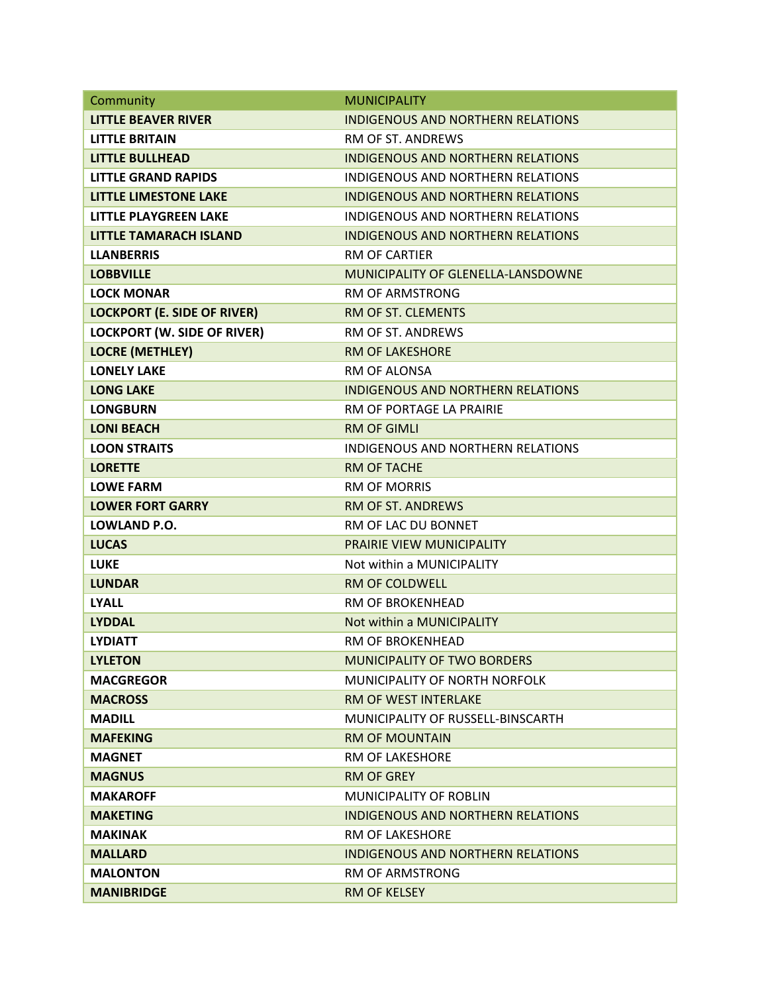| Community                          | <b>MUNICIPALITY</b>                      |
|------------------------------------|------------------------------------------|
| <b>LITTLE BEAVER RIVER</b>         | <b>INDIGENOUS AND NORTHERN RELATIONS</b> |
| <b>LITTLE BRITAIN</b>              | RM OF ST. ANDREWS                        |
| <b>LITTLE BULLHEAD</b>             | <b>INDIGENOUS AND NORTHERN RELATIONS</b> |
| <b>LITTLE GRAND RAPIDS</b>         | INDIGENOUS AND NORTHERN RELATIONS        |
| <b>LITTLE LIMESTONE LAKE</b>       | <b>INDIGENOUS AND NORTHERN RELATIONS</b> |
| <b>LITTLE PLAYGREEN LAKE</b>       | INDIGENOUS AND NORTHERN RELATIONS        |
| <b>LITTLE TAMARACH ISLAND</b>      | <b>INDIGENOUS AND NORTHERN RELATIONS</b> |
| <b>LLANBERRIS</b>                  | <b>RM OF CARTIER</b>                     |
| <b>LOBBVILLE</b>                   | MUNICIPALITY OF GLENELLA-LANSDOWNE       |
| <b>LOCK MONAR</b>                  | <b>RM OF ARMSTRONG</b>                   |
| <b>LOCKPORT (E. SIDE OF RIVER)</b> | RM OF ST. CLEMENTS                       |
| <b>LOCKPORT (W. SIDE OF RIVER)</b> | RM OF ST. ANDREWS                        |
| <b>LOCRE (METHLEY)</b>             | <b>RM OF LAKESHORE</b>                   |
| <b>LONELY LAKE</b>                 | <b>RM OF ALONSA</b>                      |
| <b>LONG LAKE</b>                   | <b>INDIGENOUS AND NORTHERN RELATIONS</b> |
| <b>LONGBURN</b>                    | RM OF PORTAGE LA PRAIRIE                 |
| <b>LONI BEACH</b>                  | <b>RM OF GIMLI</b>                       |
| <b>LOON STRAITS</b>                | <b>INDIGENOUS AND NORTHERN RELATIONS</b> |
| <b>LORETTE</b>                     | <b>RM OF TACHE</b>                       |
| <b>LOWE FARM</b>                   | <b>RM OF MORRIS</b>                      |
| <b>LOWER FORT GARRY</b>            | <b>RM OF ST. ANDREWS</b>                 |
| LOWLAND P.O.                       | RM OF LAC DU BONNET                      |
| <b>LUCAS</b>                       | PRAIRIE VIEW MUNICIPALITY                |
| <b>LUKE</b>                        | Not within a MUNICIPALITY                |
| <b>LUNDAR</b>                      | <b>RM OF COLDWELL</b>                    |
| <b>LYALL</b>                       | <b>RM OF BROKENHEAD</b>                  |
| <b>LYDDAL</b>                      | Not within a MUNICIPALITY                |
| <b>LYDIATT</b>                     | RM OF BROKENHEAD                         |
| <b>LYLETON</b>                     | <b>MUNICIPALITY OF TWO BORDERS</b>       |
| <b>MACGREGOR</b>                   | MUNICIPALITY OF NORTH NORFOLK            |
| <b>MACROSS</b>                     | <b>RM OF WEST INTERLAKE</b>              |
| <b>MADILL</b>                      | MUNICIPALITY OF RUSSELL-BINSCARTH        |
| <b>MAFEKING</b>                    | <b>RM OF MOUNTAIN</b>                    |
| <b>MAGNET</b>                      | <b>RM OF LAKESHORE</b>                   |
| <b>MAGNUS</b>                      | <b>RM OF GREY</b>                        |
| <b>MAKAROFF</b>                    | MUNICIPALITY OF ROBLIN                   |
| <b>MAKETING</b>                    | INDIGENOUS AND NORTHERN RELATIONS        |
| <b>MAKINAK</b>                     | <b>RM OF LAKESHORE</b>                   |
| <b>MALLARD</b>                     | <b>INDIGENOUS AND NORTHERN RELATIONS</b> |
| <b>MALONTON</b>                    | <b>RM OF ARMSTRONG</b>                   |
| <b>MANIBRIDGE</b>                  | <b>RM OF KELSEY</b>                      |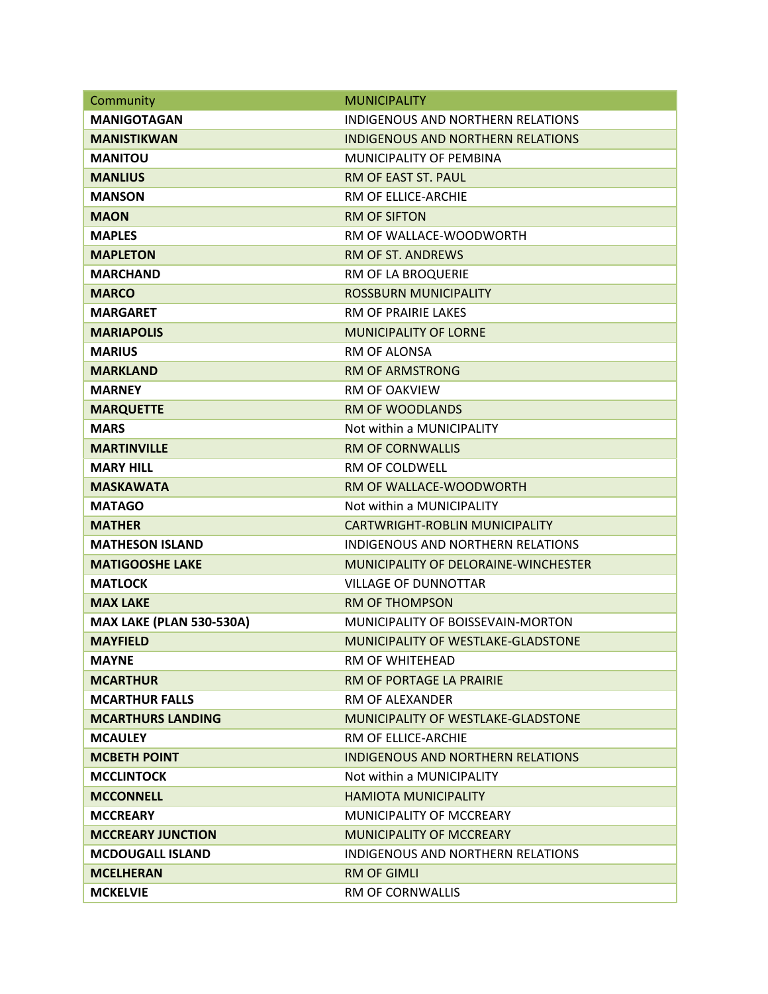| Community                       | <b>MUNICIPALITY</b>                       |
|---------------------------------|-------------------------------------------|
| <b>MANIGOTAGAN</b>              | <b>INDIGENOUS AND NORTHERN RELATIONS</b>  |
| <b>MANISTIKWAN</b>              | <b>INDIGENOUS AND NORTHERN RELATIONS</b>  |
| <b>MANITOU</b>                  | MUNICIPALITY OF PEMBINA                   |
| <b>MANLIUS</b>                  | <b>RM OF EAST ST. PAUL</b>                |
| <b>MANSON</b>                   | RM OF ELLICE-ARCHIE                       |
| <b>MAON</b>                     | <b>RM OF SIFTON</b>                       |
| <b>MAPLES</b>                   | RM OF WALLACE-WOODWORTH                   |
| <b>MAPLETON</b>                 | <b>RM OF ST. ANDREWS</b>                  |
| <b>MARCHAND</b>                 | RM OF LA BROQUERIE                        |
| <b>MARCO</b>                    | <b>ROSSBURN MUNICIPALITY</b>              |
| <b>MARGARET</b>                 | RM OF PRAIRIE LAKES                       |
| <b>MARIAPOLIS</b>               | <b>MUNICIPALITY OF LORNE</b>              |
| <b>MARIUS</b>                   | RM OF ALONSA                              |
| <b>MARKLAND</b>                 | <b>RM OF ARMSTRONG</b>                    |
| <b>MARNEY</b>                   | <b>RM OF OAKVIEW</b>                      |
| <b>MARQUETTE</b>                | <b>RM OF WOODLANDS</b>                    |
| <b>MARS</b>                     | Not within a MUNICIPALITY                 |
| <b>MARTINVILLE</b>              | <b>RM OF CORNWALLIS</b>                   |
| <b>MARY HILL</b>                | RM OF COLDWELL                            |
| <b>MASKAWATA</b>                | RM OF WALLACE-WOODWORTH                   |
| <b>MATAGO</b>                   | Not within a MUNICIPALITY                 |
| <b>MATHER</b>                   | CARTWRIGHT-ROBLIN MUNICIPALITY            |
| <b>MATHESON ISLAND</b>          | <b>INDIGENOUS AND NORTHERN RELATIONS</b>  |
| <b>MATIGOOSHE LAKE</b>          | MUNICIPALITY OF DELORAINE-WINCHESTER      |
| <b>MATLOCK</b>                  | <b>VILLAGE OF DUNNOTTAR</b>               |
| <b>MAX LAKE</b>                 | <b>RM OF THOMPSON</b>                     |
| <b>MAX LAKE (PLAN 530-530A)</b> | MUNICIPALITY OF BOISSEVAIN-MORTON         |
| <b>MAYFIELD</b>                 | <b>MUNICIPALITY OF WESTLAKE-GLADSTONE</b> |
| <b>MAYNE</b>                    | RM OF WHITEHEAD                           |
| <b>MCARTHUR</b>                 | RM OF PORTAGE LA PRAIRIE                  |
| <b>MCARTHUR FALLS</b>           | RM OF ALEXANDER                           |
| <b>MCARTHURS LANDING</b>        | MUNICIPALITY OF WESTLAKE-GLADSTONE        |
| <b>MCAULEY</b>                  | RM OF ELLICE-ARCHIE                       |
| <b>MCBETH POINT</b>             | INDIGENOUS AND NORTHERN RELATIONS         |
| <b>MCCLINTOCK</b>               | Not within a MUNICIPALITY                 |
| <b>MCCONNELL</b>                | <b>HAMIOTA MUNICIPALITY</b>               |
| <b>MCCREARY</b>                 | MUNICIPALITY OF MCCREARY                  |
| <b>MCCREARY JUNCTION</b>        | <b>MUNICIPALITY OF MCCREARY</b>           |
| <b>MCDOUGALL ISLAND</b>         | INDIGENOUS AND NORTHERN RELATIONS         |
| <b>MCELHERAN</b>                | <b>RM OF GIMLI</b>                        |
| <b>MCKELVIE</b>                 | <b>RM OF CORNWALLIS</b>                   |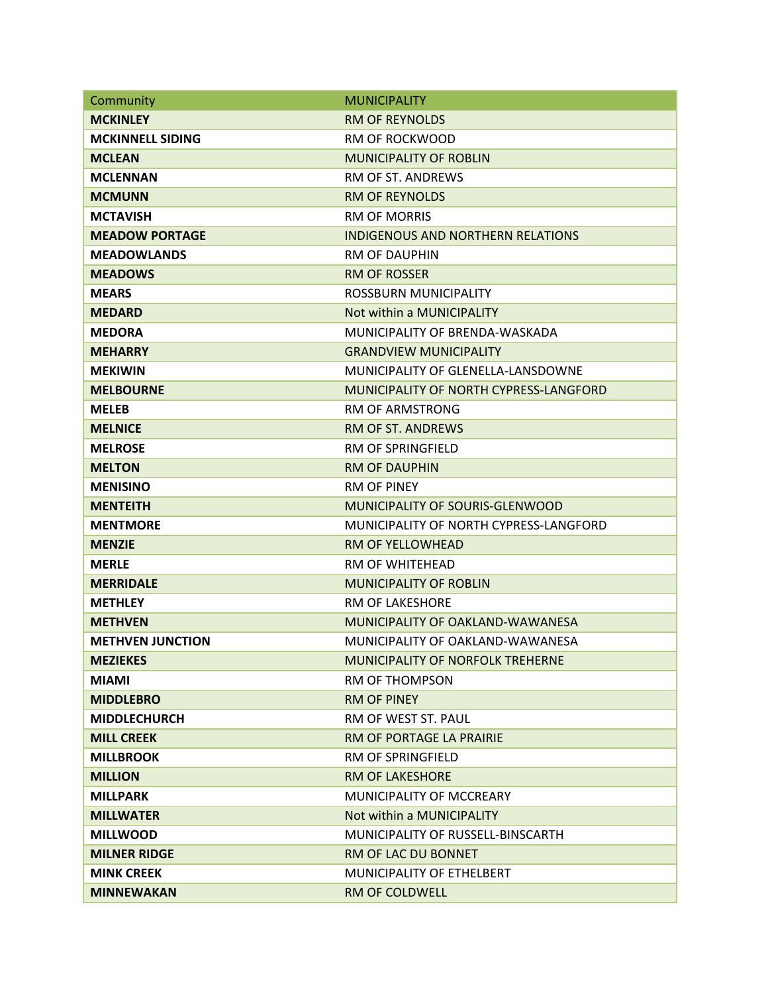| Community               | <b>MUNICIPALITY</b>                      |
|-------------------------|------------------------------------------|
| <b>MCKINLEY</b>         | <b>RM OF REYNOLDS</b>                    |
| <b>MCKINNELL SIDING</b> | <b>RM OF ROCKWOOD</b>                    |
| <b>MCLEAN</b>           | <b>MUNICIPALITY OF ROBLIN</b>            |
| <b>MCLENNAN</b>         | <b>RM OF ST. ANDREWS</b>                 |
| <b>MCMUNN</b>           | <b>RM OF REYNOLDS</b>                    |
| <b>MCTAVISH</b>         | <b>RM OF MORRIS</b>                      |
| <b>MEADOW PORTAGE</b>   | <b>INDIGENOUS AND NORTHERN RELATIONS</b> |
| <b>MEADOWLANDS</b>      | <b>RM OF DAUPHIN</b>                     |
| <b>MEADOWS</b>          | <b>RM OF ROSSER</b>                      |
| <b>MEARS</b>            | ROSSBURN MUNICIPALITY                    |
| <b>MEDARD</b>           | Not within a MUNICIPALITY                |
| <b>MEDORA</b>           | MUNICIPALITY OF BRENDA-WASKADA           |
| <b>MEHARRY</b>          | <b>GRANDVIEW MUNICIPALITY</b>            |
| <b>MEKIWIN</b>          | MUNICIPALITY OF GLENELLA-LANSDOWNE       |
| <b>MELBOURNE</b>        | MUNICIPALITY OF NORTH CYPRESS-LANGFORD   |
| <b>MELEB</b>            | RM OF ARMSTRONG                          |
| <b>MELNICE</b>          | <b>RM OF ST. ANDREWS</b>                 |
| <b>MELROSE</b>          | <b>RM OF SPRINGFIELD</b>                 |
| <b>MELTON</b>           | <b>RM OF DAUPHIN</b>                     |
| <b>MENISINO</b>         | <b>RM OF PINEY</b>                       |
| <b>MENTEITH</b>         | MUNICIPALITY OF SOURIS-GLENWOOD          |
| <b>MENTMORE</b>         | MUNICIPALITY OF NORTH CYPRESS-LANGFORD   |
| <b>MENZIE</b>           | <b>RM OF YELLOWHEAD</b>                  |
| <b>MERLE</b>            | <b>RM OF WHITEHEAD</b>                   |
| <b>MERRIDALE</b>        | <b>MUNICIPALITY OF ROBLIN</b>            |
| <b>METHLEY</b>          | <b>RM OF LAKESHORE</b>                   |
| <b>METHVEN</b>          | MUNICIPALITY OF OAKLAND-WAWANESA         |
| <b>METHVEN JUNCTION</b> | MUNICIPALITY OF OAKLAND-WAWANESA         |
| <b>MEZIEKES</b>         | MUNICIPALITY OF NORFOLK TREHERNE         |
| <b>MIAMI</b>            | <b>RM OF THOMPSON</b>                    |
| <b>MIDDLEBRO</b>        | <b>RM OF PINEY</b>                       |
| <b>MIDDLECHURCH</b>     | RM OF WEST ST. PAUL                      |
| <b>MILL CREEK</b>       | RM OF PORTAGE LA PRAIRIE                 |
| <b>MILLBROOK</b>        | <b>RM OF SPRINGFIELD</b>                 |
| <b>MILLION</b>          | <b>RM OF LAKESHORE</b>                   |
| <b>MILLPARK</b>         | MUNICIPALITY OF MCCREARY                 |
| <b>MILLWATER</b>        | Not within a MUNICIPALITY                |
| <b>MILLWOOD</b>         | MUNICIPALITY OF RUSSELL-BINSCARTH        |
| <b>MILNER RIDGE</b>     | RM OF LAC DU BONNET                      |
| <b>MINK CREEK</b>       | MUNICIPALITY OF ETHELBERT                |
| <b>MINNEWAKAN</b>       | RM OF COLDWELL                           |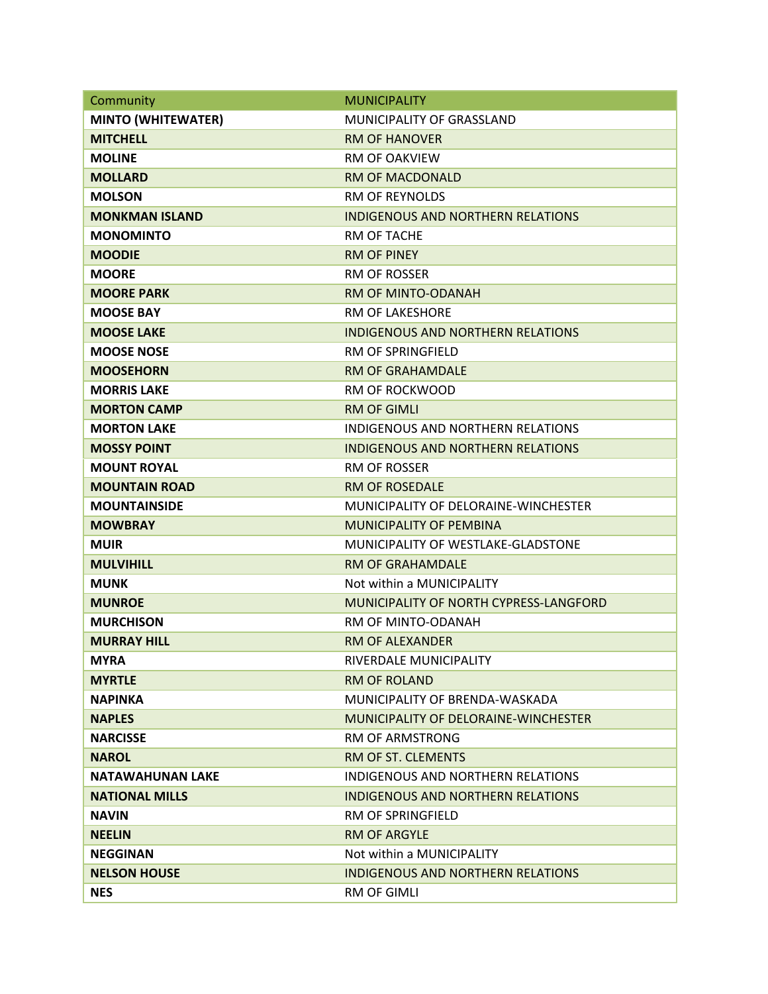| Community                 | <b>MUNICIPALITY</b>                      |
|---------------------------|------------------------------------------|
| <b>MINTO (WHITEWATER)</b> | <b>MUNICIPALITY OF GRASSLAND</b>         |
| <b>MITCHELL</b>           | <b>RM OF HANOVER</b>                     |
| <b>MOLINE</b>             | <b>RM OF OAKVIEW</b>                     |
| <b>MOLLARD</b>            | <b>RM OF MACDONALD</b>                   |
| <b>MOLSON</b>             | <b>RM OF REYNOLDS</b>                    |
| <b>MONKMAN ISLAND</b>     | <b>INDIGENOUS AND NORTHERN RELATIONS</b> |
| <b>MONOMINTO</b>          | RM OF TACHE                              |
| <b>MOODIE</b>             | <b>RM OF PINEY</b>                       |
| <b>MOORE</b>              | <b>RM OF ROSSER</b>                      |
| <b>MOORE PARK</b>         | RM OF MINTO-ODANAH                       |
| <b>MOOSE BAY</b>          | <b>RM OF LAKESHORE</b>                   |
| <b>MOOSE LAKE</b>         | <b>INDIGENOUS AND NORTHERN RELATIONS</b> |
| <b>MOOSE NOSE</b>         | <b>RM OF SPRINGFIELD</b>                 |
| <b>MOOSEHORN</b>          | <b>RM OF GRAHAMDALE</b>                  |
| <b>MORRIS LAKE</b>        | <b>RM OF ROCKWOOD</b>                    |
| <b>MORTON CAMP</b>        | <b>RM OF GIMLI</b>                       |
| <b>MORTON LAKE</b>        | INDIGENOUS AND NORTHERN RELATIONS        |
| <b>MOSSY POINT</b>        | <b>INDIGENOUS AND NORTHERN RELATIONS</b> |
| <b>MOUNT ROYAL</b>        | <b>RM OF ROSSER</b>                      |
| <b>MOUNTAIN ROAD</b>      | <b>RM OF ROSEDALE</b>                    |
| <b>MOUNTAINSIDE</b>       | MUNICIPALITY OF DELORAINE-WINCHESTER     |
| <b>MOWBRAY</b>            | <b>MUNICIPALITY OF PEMBINA</b>           |
| <b>MUIR</b>               | MUNICIPALITY OF WESTLAKE-GLADSTONE       |
| <b>MULVIHILL</b>          | <b>RM OF GRAHAMDALE</b>                  |
| <b>MUNK</b>               | Not within a MUNICIPALITY                |
| <b>MUNROE</b>             | MUNICIPALITY OF NORTH CYPRESS-LANGFORD   |
| <b>MURCHISON</b>          | RM OF MINTO-ODANAH                       |
| <b>MURRAY HILL</b>        | <b>RM OF ALEXANDER</b>                   |
| <b>MYRA</b>               | RIVERDALE MUNICIPALITY                   |
| <b>MYRTLE</b>             | <b>RM OF ROLAND</b>                      |
| <b>NAPINKA</b>            | MUNICIPALITY OF BRENDA-WASKADA           |
| <b>NAPLES</b>             | MUNICIPALITY OF DELORAINE-WINCHESTER     |
| <b>NARCISSE</b>           | <b>RM OF ARMSTRONG</b>                   |
| <b>NAROL</b>              | RM OF ST. CLEMENTS                       |
| <b>NATAWAHUNAN LAKE</b>   | INDIGENOUS AND NORTHERN RELATIONS        |
| <b>NATIONAL MILLS</b>     | INDIGENOUS AND NORTHERN RELATIONS        |
| <b>NAVIN</b>              | RM OF SPRINGFIELD                        |
| <b>NEELIN</b>             | <b>RM OF ARGYLE</b>                      |
| <b>NEGGINAN</b>           | Not within a MUNICIPALITY                |
| <b>NELSON HOUSE</b>       | <b>INDIGENOUS AND NORTHERN RELATIONS</b> |
| <b>NES</b>                | <b>RM OF GIMLI</b>                       |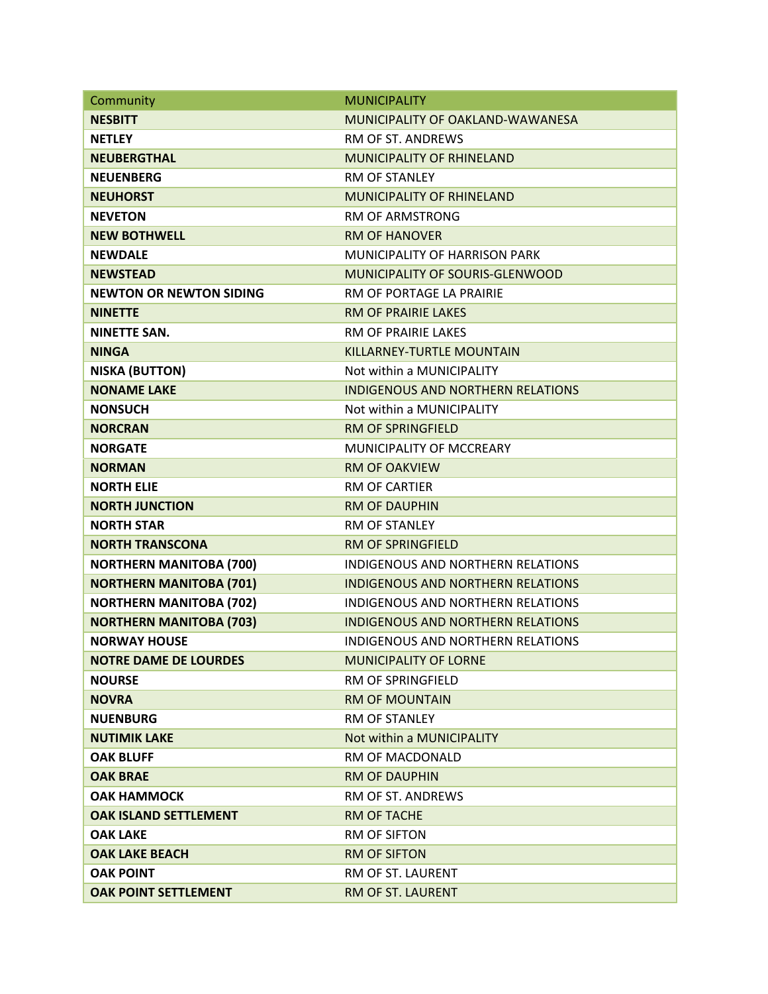| Community                      | <b>MUNICIPALITY</b>                      |
|--------------------------------|------------------------------------------|
| <b>NESBITT</b>                 | MUNICIPALITY OF OAKLAND-WAWANESA         |
| <b>NETLEY</b>                  | <b>RM OF ST. ANDREWS</b>                 |
| <b>NEUBERGTHAL</b>             | <b>MUNICIPALITY OF RHINELAND</b>         |
| <b>NEUENBERG</b>               | <b>RM OF STANLEY</b>                     |
| <b>NEUHORST</b>                | <b>MUNICIPALITY OF RHINELAND</b>         |
| <b>NEVETON</b>                 | <b>RM OF ARMSTRONG</b>                   |
| <b>NEW BOTHWELL</b>            | <b>RM OF HANOVER</b>                     |
| <b>NEWDALE</b>                 | MUNICIPALITY OF HARRISON PARK            |
| <b>NEWSTEAD</b>                | MUNICIPALITY OF SOURIS-GLENWOOD          |
| <b>NEWTON OR NEWTON SIDING</b> | RM OF PORTAGE LA PRAIRIE                 |
| <b>NINETTE</b>                 | <b>RM OF PRAIRIE LAKES</b>               |
| <b>NINETTE SAN.</b>            | <b>RM OF PRAIRIE LAKES</b>               |
| <b>NINGA</b>                   | KILLARNEY-TURTLE MOUNTAIN                |
| <b>NISKA (BUTTON)</b>          | Not within a MUNICIPALITY                |
| <b>NONAME LAKE</b>             | <b>INDIGENOUS AND NORTHERN RELATIONS</b> |
| <b>NONSUCH</b>                 | Not within a MUNICIPALITY                |
| <b>NORCRAN</b>                 | <b>RM OF SPRINGFIELD</b>                 |
| <b>NORGATE</b>                 | MUNICIPALITY OF MCCREARY                 |
| <b>NORMAN</b>                  | <b>RM OF OAKVIEW</b>                     |
| <b>NORTH ELIE</b>              | <b>RM OF CARTIER</b>                     |
| <b>NORTH JUNCTION</b>          | <b>RM OF DAUPHIN</b>                     |
| <b>NORTH STAR</b>              | RM OF STANLEY                            |
| <b>NORTH TRANSCONA</b>         | <b>RM OF SPRINGFIELD</b>                 |
| <b>NORTHERN MANITOBA (700)</b> | <b>INDIGENOUS AND NORTHERN RELATIONS</b> |
| <b>NORTHERN MANITOBA (701)</b> | <b>INDIGENOUS AND NORTHERN RELATIONS</b> |
| <b>NORTHERN MANITOBA (702)</b> | INDIGENOUS AND NORTHERN RELATIONS        |
| <b>NORTHERN MANITOBA (703)</b> | <b>INDIGENOUS AND NORTHERN RELATIONS</b> |
| <b>NORWAY HOUSE</b>            | <b>INDIGENOUS AND NORTHERN RELATIONS</b> |
| <b>NOTRE DAME DE LOURDES</b>   | <b>MUNICIPALITY OF LORNE</b>             |
| <b>NOURSE</b>                  | <b>RM OF SPRINGFIELD</b>                 |
| <b>NOVRA</b>                   | <b>RM OF MOUNTAIN</b>                    |
| <b>NUENBURG</b>                | <b>RM OF STANLEY</b>                     |
| <b>NUTIMIK LAKE</b>            | Not within a MUNICIPALITY                |
| <b>OAK BLUFF</b>               | RM OF MACDONALD                          |
| <b>OAK BRAE</b>                | <b>RM OF DAUPHIN</b>                     |
| <b>OAK HAMMOCK</b>             | RM OF ST. ANDREWS                        |
| <b>OAK ISLAND SETTLEMENT</b>   | <b>RM OF TACHE</b>                       |
| <b>OAK LAKE</b>                | <b>RM OF SIFTON</b>                      |
| <b>OAK LAKE BEACH</b>          | <b>RM OF SIFTON</b>                      |
| <b>OAK POINT</b>               | RM OF ST. LAURENT                        |
| <b>OAK POINT SETTLEMENT</b>    | RM OF ST. LAURENT                        |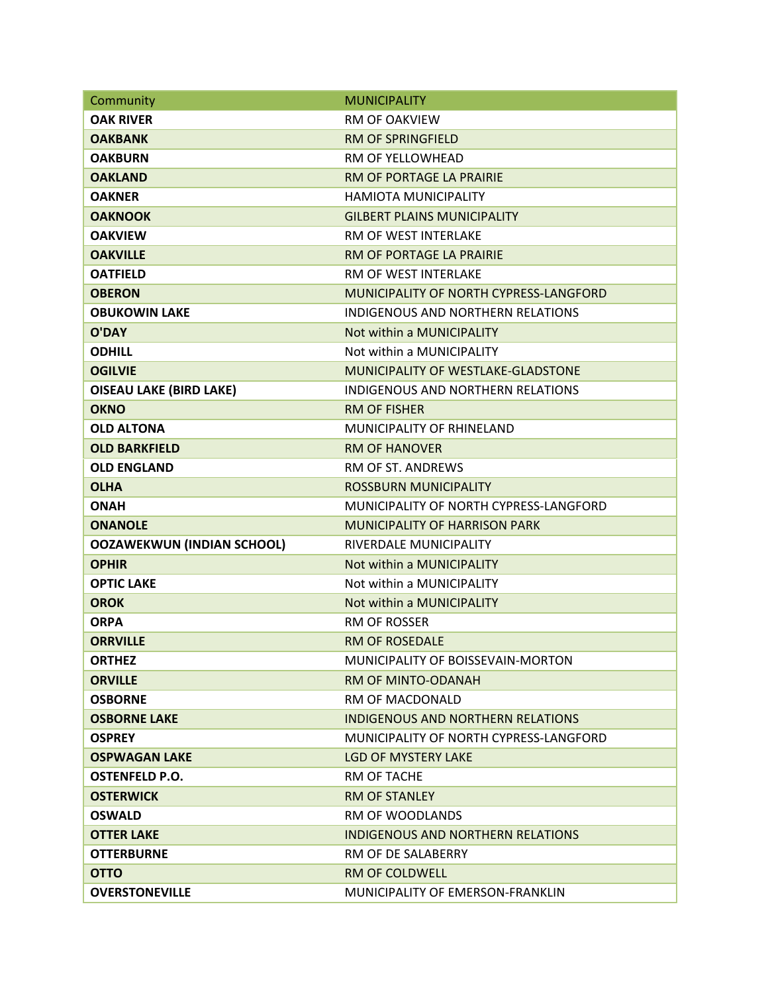| Community                         | <b>MUNICIPALITY</b>                      |
|-----------------------------------|------------------------------------------|
| <b>OAK RIVER</b>                  | <b>RM OF OAKVIEW</b>                     |
| <b>OAKBANK</b>                    | <b>RM OF SPRINGFIELD</b>                 |
| <b>OAKBURN</b>                    | RM OF YELLOWHEAD                         |
| <b>OAKLAND</b>                    | RM OF PORTAGE LA PRAIRIE                 |
| <b>OAKNER</b>                     | <b>HAMIOTA MUNICIPALITY</b>              |
| <b>OAKNOOK</b>                    | <b>GILBERT PLAINS MUNICIPALITY</b>       |
| <b>OAKVIEW</b>                    | RM OF WEST INTERLAKE                     |
| <b>OAKVILLE</b>                   | RM OF PORTAGE LA PRAIRIE                 |
| <b>OATFIELD</b>                   | RM OF WEST INTERLAKE                     |
| <b>OBERON</b>                     | MUNICIPALITY OF NORTH CYPRESS-LANGFORD   |
| <b>OBUKOWIN LAKE</b>              | INDIGENOUS AND NORTHERN RELATIONS        |
| <b>O'DAY</b>                      | Not within a MUNICIPALITY                |
| <b>ODHILL</b>                     | Not within a MUNICIPALITY                |
| <b>OGILVIE</b>                    | MUNICIPALITY OF WESTLAKE-GLADSTONE       |
| <b>OISEAU LAKE (BIRD LAKE)</b>    | INDIGENOUS AND NORTHERN RELATIONS        |
| <b>OKNO</b>                       | <b>RM OF FISHER</b>                      |
| <b>OLD ALTONA</b>                 | MUNICIPALITY OF RHINFLAND                |
| <b>OLD BARKFIELD</b>              | <b>RM OF HANOVER</b>                     |
| <b>OLD ENGLAND</b>                | RM OF ST. ANDREWS                        |
| <b>OLHA</b>                       | <b>ROSSBURN MUNICIPALITY</b>             |
| <b>ONAH</b>                       | MUNICIPALITY OF NORTH CYPRESS-LANGFORD   |
| <b>ONANOLE</b>                    | <b>MUNICIPALITY OF HARRISON PARK</b>     |
| <b>OOZAWEKWUN (INDIAN SCHOOL)</b> | RIVERDALE MUNICIPALITY                   |
| <b>OPHIR</b>                      | Not within a MUNICIPALITY                |
| <b>OPTIC LAKE</b>                 | Not within a MUNICIPALITY                |
| <b>OROK</b>                       | Not within a MUNICIPALITY                |
| <b>ORPA</b>                       | <b>RM OF ROSSER</b>                      |
| <b>ORRVILLE</b>                   | <b>RM OF ROSEDALE</b>                    |
| <b>ORTHEZ</b>                     | MUNICIPALITY OF BOISSEVAIN-MORTON        |
| <b>ORVILLE</b>                    | RM OF MINTO-ODANAH                       |
| <b>OSBORNE</b>                    | RM OF MACDONALD                          |
| <b>OSBORNE LAKE</b>               | <b>INDIGENOUS AND NORTHERN RELATIONS</b> |
| <b>OSPREY</b>                     | MUNICIPALITY OF NORTH CYPRESS-LANGFORD   |
| <b>OSPWAGAN LAKE</b>              | LGD OF MYSTERY LAKE                      |
| <b>OSTENFELD P.O.</b>             | RM OF TACHE                              |
| <b>OSTERWICK</b>                  | <b>RM OF STANLEY</b>                     |
| <b>OSWALD</b>                     | RM OF WOODLANDS                          |
| <b>OTTER LAKE</b>                 | <b>INDIGENOUS AND NORTHERN RELATIONS</b> |
| <b>OTTERBURNE</b>                 | RM OF DE SALABERRY                       |
| <b>OTTO</b>                       | <b>RM OF COLDWELL</b>                    |
| <b>OVERSTONEVILLE</b>             | MUNICIPALITY OF EMERSON-FRANKLIN         |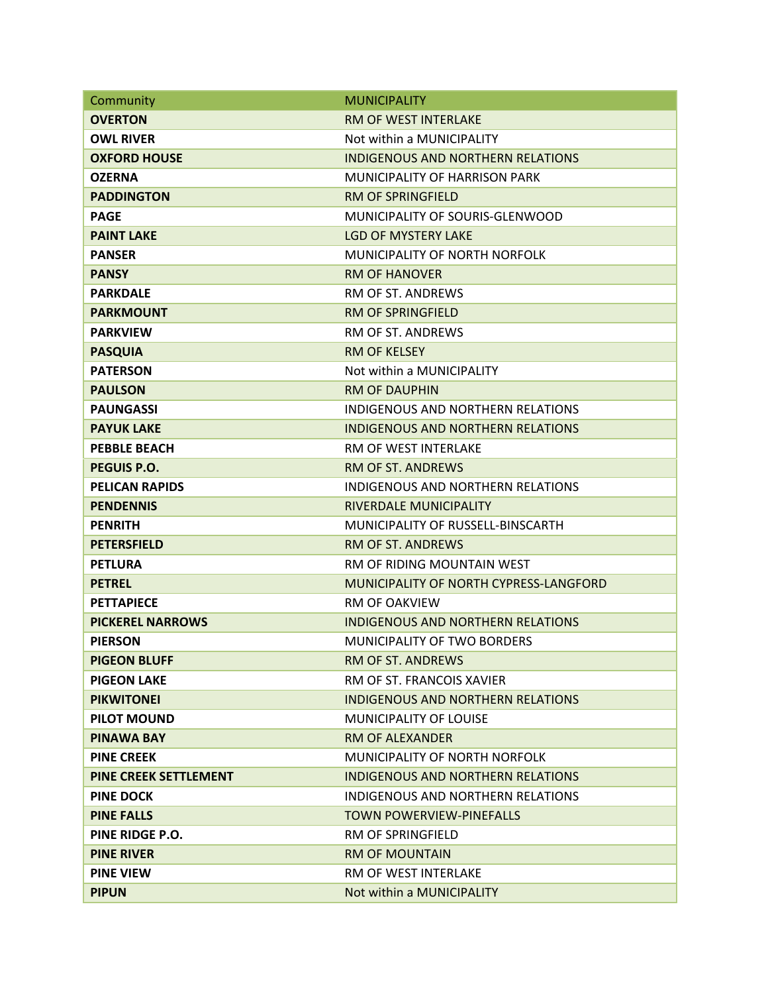| Community                    | <b>MUNICIPALITY</b>                      |
|------------------------------|------------------------------------------|
| <b>OVERTON</b>               | RM OF WEST INTERLAKE                     |
| <b>OWL RIVER</b>             | Not within a MUNICIPALITY                |
| <b>OXFORD HOUSE</b>          | <b>INDIGENOUS AND NORTHERN RELATIONS</b> |
| <b>OZERNA</b>                | <b>MUNICIPALITY OF HARRISON PARK</b>     |
| <b>PADDINGTON</b>            | <b>RM OF SPRINGFIELD</b>                 |
| <b>PAGE</b>                  | MUNICIPALITY OF SOURIS-GLENWOOD          |
| <b>PAINT LAKE</b>            | <b>LGD OF MYSTERY LAKE</b>               |
| <b>PANSER</b>                | MUNICIPALITY OF NORTH NORFOLK            |
| <b>PANSY</b>                 | <b>RM OF HANOVER</b>                     |
| <b>PARKDALE</b>              | RM OF ST. ANDREWS                        |
| <b>PARKMOUNT</b>             | <b>RM OF SPRINGFIELD</b>                 |
| <b>PARKVIEW</b>              | RM OF ST. ANDREWS                        |
| <b>PASQUIA</b>               | <b>RM OF KELSEY</b>                      |
| <b>PATERSON</b>              | Not within a MUNICIPALITY                |
| <b>PAULSON</b>               | <b>RM OF DAUPHIN</b>                     |
| <b>PAUNGASSI</b>             | INDIGENOUS AND NORTHERN RELATIONS        |
| <b>PAYUK LAKE</b>            | <b>INDIGENOUS AND NORTHERN RELATIONS</b> |
| <b>PEBBLE BEACH</b>          | <b>RM OF WEST INTERLAKE</b>              |
| <b>PEGUIS P.O.</b>           | <b>RM OF ST. ANDREWS</b>                 |
| <b>PELICAN RAPIDS</b>        | INDIGENOUS AND NORTHERN RELATIONS        |
| <b>PENDENNIS</b>             | RIVERDALE MUNICIPALITY                   |
| <b>PENRITH</b>               | MUNICIPALITY OF RUSSELL-BINSCARTH        |
| <b>PETERSFIELD</b>           | <b>RM OF ST. ANDREWS</b>                 |
| <b>PETLURA</b>               | RM OF RIDING MOUNTAIN WEST               |
| <b>PETREL</b>                | MUNICIPALITY OF NORTH CYPRESS-LANGFORD   |
| <b>PETTAPIECE</b>            | <b>RM OF OAKVIFW</b>                     |
| <b>PICKEREL NARROWS</b>      | <b>INDIGENOUS AND NORTHERN RELATIONS</b> |
| <b>PIERSON</b>               | MUNICIPALITY OF TWO BORDERS              |
| <b>PIGEON BLUFF</b>          | <b>RM OF ST. ANDREWS</b>                 |
| <b>PIGEON LAKE</b>           | RM OF ST. FRANCOIS XAVIER                |
| <b>PIKWITONEI</b>            | <b>INDIGENOUS AND NORTHERN RELATIONS</b> |
| <b>PILOT MOUND</b>           | <b>MUNICIPALITY OF LOUISE</b>            |
| <b>PINAWA BAY</b>            | <b>RM OF ALEXANDER</b>                   |
| <b>PINE CREEK</b>            | MUNICIPALITY OF NORTH NORFOLK            |
| <b>PINE CREEK SETTLEMENT</b> | INDIGENOUS AND NORTHERN RELATIONS        |
| <b>PINE DOCK</b>             | <b>INDIGENOUS AND NORTHERN RELATIONS</b> |
| <b>PINE FALLS</b>            | <b>TOWN POWERVIEW-PINEFALLS</b>          |
| PINE RIDGE P.O.              | <b>RM OF SPRINGFIELD</b>                 |
| <b>PINE RIVER</b>            | <b>RM OF MOUNTAIN</b>                    |
| <b>PINE VIEW</b>             | RM OF WEST INTERLAKE                     |
| <b>PIPUN</b>                 | Not within a MUNICIPALITY                |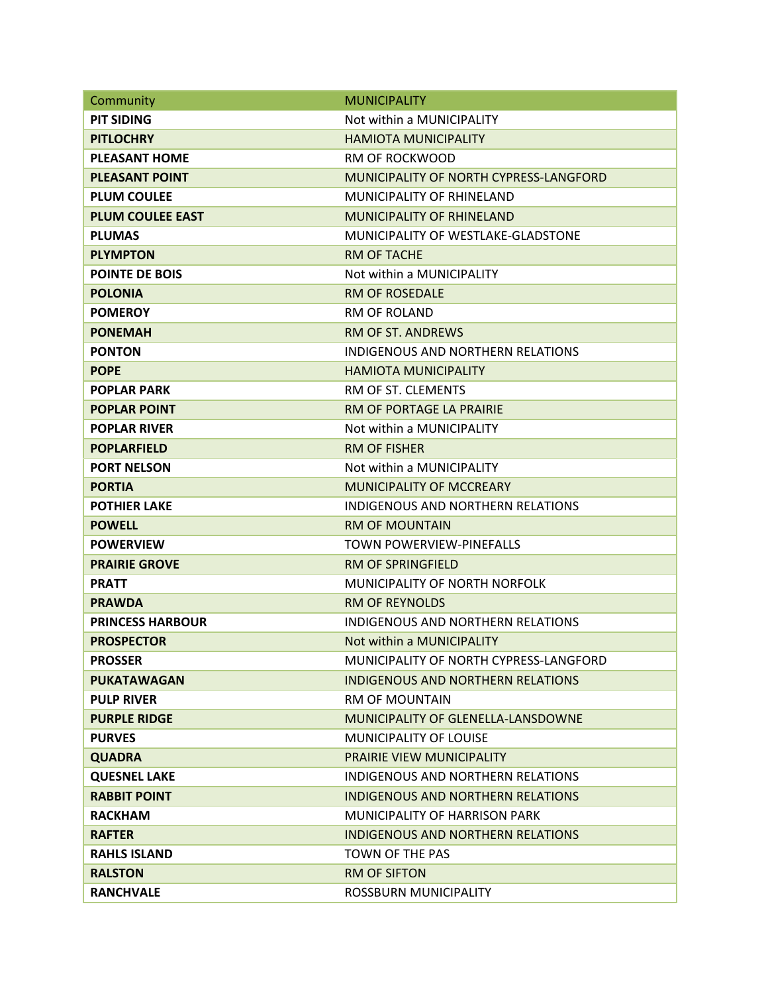| Community               | <b>MUNICIPALITY</b>                       |
|-------------------------|-------------------------------------------|
| <b>PIT SIDING</b>       | Not within a MUNICIPALITY                 |
| <b>PITLOCHRY</b>        | <b>HAMIOTA MUNICIPALITY</b>               |
| <b>PLEASANT HOME</b>    | <b>RM OF ROCKWOOD</b>                     |
| <b>PLEASANT POINT</b>   | MUNICIPALITY OF NORTH CYPRESS-LANGFORD    |
| <b>PLUM COULEE</b>      | MUNICIPALITY OF RHINELAND                 |
| <b>PLUM COULEE EAST</b> | <b>MUNICIPALITY OF RHINELAND</b>          |
| <b>PLUMAS</b>           | <b>MUNICIPALITY OF WESTLAKE-GLADSTONE</b> |
| <b>PLYMPTON</b>         | <b>RM OF TACHE</b>                        |
| <b>POINTE DE BOIS</b>   | Not within a MUNICIPALITY                 |
| <b>POLONIA</b>          | <b>RM OF ROSEDALE</b>                     |
| <b>POMEROY</b>          | <b>RM OF ROLAND</b>                       |
| <b>PONEMAH</b>          | <b>RM OF ST. ANDREWS</b>                  |
| <b>PONTON</b>           | INDIGENOUS AND NORTHERN RELATIONS         |
| <b>POPE</b>             | <b>HAMIOTA MUNICIPALITY</b>               |
| <b>POPLAR PARK</b>      | RM OF ST. CLEMENTS                        |
| <b>POPLAR POINT</b>     | RM OF PORTAGE LA PRAIRIE                  |
| <b>POPLAR RIVER</b>     | Not within a MUNICIPALITY                 |
| <b>POPLARFIELD</b>      | <b>RM OF FISHER</b>                       |
| <b>PORT NELSON</b>      | Not within a MUNICIPALITY                 |
| <b>PORTIA</b>           | <b>MUNICIPALITY OF MCCREARY</b>           |
| <b>POTHIER LAKE</b>     | INDIGENOUS AND NORTHERN RELATIONS         |
| <b>POWELL</b>           | <b>RM OF MOUNTAIN</b>                     |
| <b>POWERVIEW</b>        | TOWN POWERVIEW-PINEFALLS                  |
| <b>PRAIRIE GROVE</b>    | <b>RM OF SPRINGFIELD</b>                  |
| <b>PRATT</b>            | MUNICIPALITY OF NORTH NORFOLK             |
| <b>PRAWDA</b>           | <b>RM OF REYNOLDS</b>                     |
| <b>PRINCESS HARBOUR</b> | <b>INDIGENOUS AND NORTHERN RELATIONS</b>  |
| <b>PROSPECTOR</b>       | Not within a MUNICIPALITY                 |
| <b>PROSSER</b>          | MUNICIPALITY OF NORTH CYPRESS-LANGFORD    |
| <b>PUKATAWAGAN</b>      | INDIGENOUS AND NORTHERN RELATIONS         |
| <b>PULP RIVER</b>       | <b>RM OF MOUNTAIN</b>                     |
| <b>PURPLE RIDGE</b>     | MUNICIPALITY OF GLENELLA-LANSDOWNE        |
| <b>PURVES</b>           | <b>MUNICIPALITY OF LOUISE</b>             |
| <b>QUADRA</b>           | <b>PRAIRIE VIEW MUNICIPALITY</b>          |
| <b>QUESNEL LAKE</b>     | INDIGENOUS AND NORTHERN RELATIONS         |
| <b>RABBIT POINT</b>     | <b>INDIGENOUS AND NORTHERN RELATIONS</b>  |
| <b>RACKHAM</b>          | <b>MUNICIPALITY OF HARRISON PARK</b>      |
| <b>RAFTER</b>           | INDIGENOUS AND NORTHERN RELATIONS         |
| <b>RAHLS ISLAND</b>     | TOWN OF THE PAS                           |
| <b>RALSTON</b>          | <b>RM OF SIFTON</b>                       |
| <b>RANCHVALE</b>        | ROSSBURN MUNICIPALITY                     |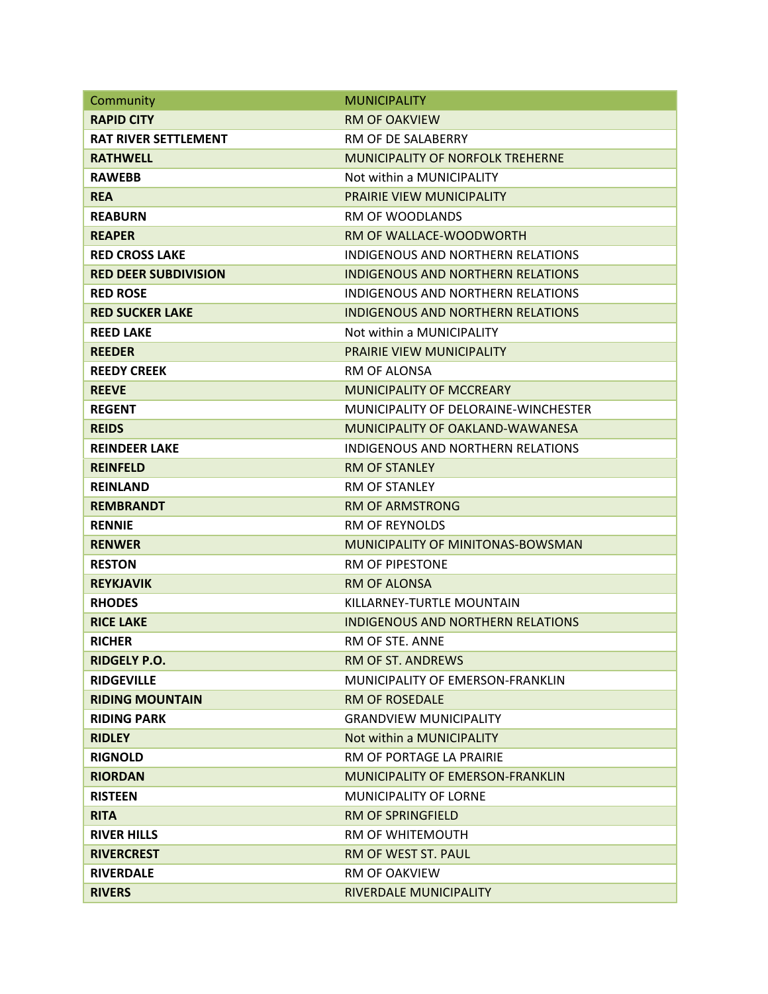| Community                   | <b>MUNICIPALITY</b>                      |
|-----------------------------|------------------------------------------|
| <b>RAPID CITY</b>           | <b>RM OF OAKVIEW</b>                     |
| <b>RAT RIVER SETTLEMENT</b> | RM OF DE SALABERRY                       |
| <b>RATHWELL</b>             | <b>MUNICIPALITY OF NORFOLK TREHERNE</b>  |
| <b>RAWEBB</b>               | Not within a MUNICIPALITY                |
| <b>REA</b>                  | PRAIRIE VIEW MUNICIPALITY                |
| <b>REABURN</b>              | <b>RM OF WOODLANDS</b>                   |
| <b>REAPER</b>               | RM OF WALLACE-WOODWORTH                  |
| <b>RED CROSS LAKE</b>       | <b>INDIGENOUS AND NORTHERN RELATIONS</b> |
| <b>RED DEER SUBDIVISION</b> | <b>INDIGENOUS AND NORTHERN RELATIONS</b> |
| <b>RED ROSE</b>             | <b>INDIGENOUS AND NORTHERN RELATIONS</b> |
| <b>RED SUCKER LAKE</b>      | <b>INDIGENOUS AND NORTHERN RELATIONS</b> |
| <b>REED LAKE</b>            | Not within a MUNICIPALITY                |
| <b>REEDER</b>               | PRAIRIE VIEW MUNICIPALITY                |
| <b>REEDY CREEK</b>          | <b>RM OF ALONSA</b>                      |
| <b>REEVE</b>                | <b>MUNICIPALITY OF MCCREARY</b>          |
| <b>REGENT</b>               | MUNICIPALITY OF DELORAINE-WINCHESTER     |
| <b>REIDS</b>                | MUNICIPALITY OF OAKLAND-WAWANESA         |
| <b>REINDEER LAKE</b>        | <b>INDIGENOUS AND NORTHERN RELATIONS</b> |
| <b>REINFELD</b>             | <b>RM OF STANLEY</b>                     |
| <b>REINLAND</b>             | <b>RM OF STANLEY</b>                     |
| <b>REMBRANDT</b>            | <b>RM OF ARMSTRONG</b>                   |
| <b>RENNIE</b>               | <b>RM OF REYNOLDS</b>                    |
| <b>RENWER</b>               | MUNICIPALITY OF MINITONAS-BOWSMAN        |
| <b>RESTON</b>               | <b>RM OF PIPESTONE</b>                   |
| <b>REYKJAVIK</b>            | <b>RM OF ALONSA</b>                      |
| <b>RHODES</b>               | KILLARNEY-TURTLE MOUNTAIN                |
| <b>RICE LAKE</b>            | <b>INDIGENOUS AND NORTHERN RELATIONS</b> |
| <b>RICHER</b>               | RM OF STE. ANNE                          |
| <b>RIDGELY P.O.</b>         | <b>RM OF ST. ANDREWS</b>                 |
| <b>RIDGEVILLE</b>           | <b>MUNICIPALITY OF EMERSON-FRANKLIN</b>  |
| <b>RIDING MOUNTAIN</b>      | <b>RM OF ROSEDALE</b>                    |
| <b>RIDING PARK</b>          | <b>GRANDVIEW MUNICIPALITY</b>            |
| <b>RIDLEY</b>               | Not within a MUNICIPALITY                |
| <b>RIGNOLD</b>              | RM OF PORTAGE LA PRAIRIE                 |
| <b>RIORDAN</b>              | <b>MUNICIPALITY OF EMERSON-FRANKLIN</b>  |
| <b>RISTEEN</b>              | <b>MUNICIPALITY OF LORNE</b>             |
| <b>RITA</b>                 | <b>RM OF SPRINGFIELD</b>                 |
| <b>RIVER HILLS</b>          | RM OF WHITEMOUTH                         |
| <b>RIVERCREST</b>           | RM OF WEST ST. PAUL                      |
| <b>RIVERDALE</b>            | <b>RM OF OAKVIEW</b>                     |
| <b>RIVERS</b>               | RIVERDALE MUNICIPALITY                   |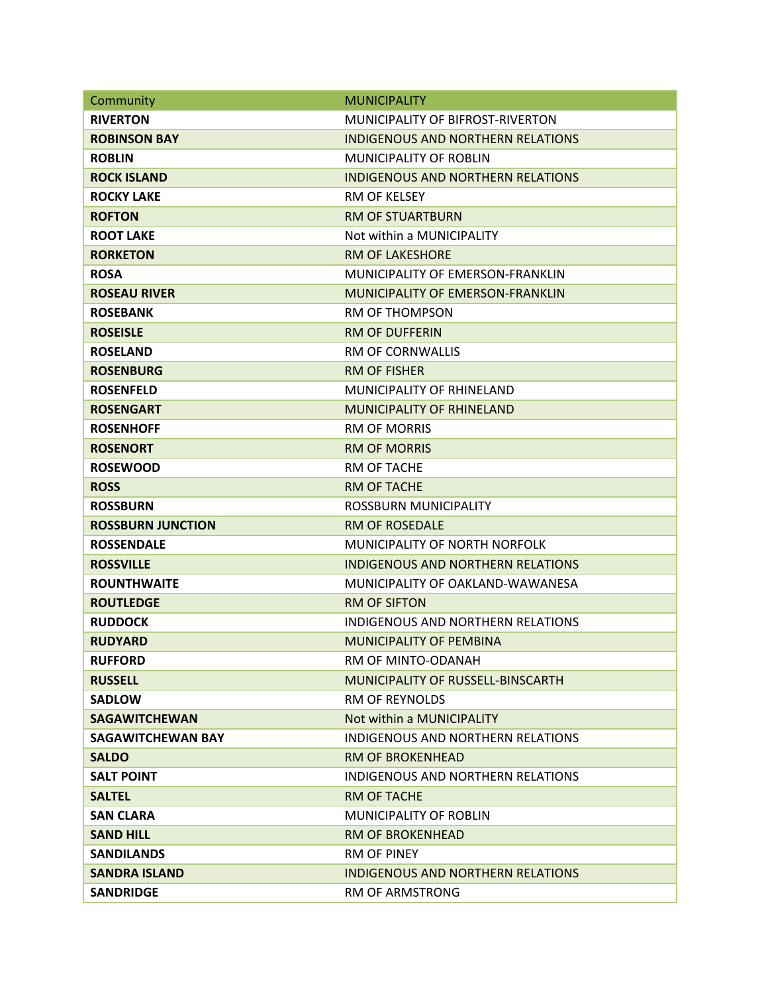| Community                | <b>MUNICIPALITY</b>                      |
|--------------------------|------------------------------------------|
| <b>RIVERTON</b>          | MUNICIPALITY OF BIFROST-RIVERTON         |
| <b>ROBINSON BAY</b>      | <b>INDIGENOUS AND NORTHERN RELATIONS</b> |
| <b>ROBLIN</b>            | <b>MUNICIPALITY OF ROBLIN</b>            |
| <b>ROCK ISLAND</b>       | <b>INDIGENOUS AND NORTHERN RELATIONS</b> |
| <b>ROCKY LAKE</b>        | RM OF KELSEY                             |
| <b>ROFTON</b>            | <b>RM OF STUARTBURN</b>                  |
| <b>ROOT LAKE</b>         | Not within a MUNICIPALITY                |
| <b>RORKETON</b>          | <b>RM OF LAKESHORE</b>                   |
| <b>ROSA</b>              | MUNICIPALITY OF EMERSON-FRANKLIN         |
| <b>ROSEAU RIVER</b>      | MUNICIPALITY OF EMERSON-FRANKLIN         |
| <b>ROSEBANK</b>          | <b>RM OF THOMPSON</b>                    |
| <b>ROSEISLE</b>          | <b>RM OF DUFFERIN</b>                    |
| <b>ROSELAND</b>          | <b>RM OF CORNWALLIS</b>                  |
| <b>ROSENBURG</b>         | <b>RM OF FISHER</b>                      |
| <b>ROSENFELD</b>         | MUNICIPALITY OF RHINELAND                |
| <b>ROSENGART</b>         | <b>MUNICIPALITY OF RHINELAND</b>         |
| <b>ROSENHOFF</b>         | <b>RM OF MORRIS</b>                      |
| <b>ROSENORT</b>          | <b>RM OF MORRIS</b>                      |
| <b>ROSEWOOD</b>          | RM OF TACHE                              |
| <b>ROSS</b>              | <b>RM OF TACHE</b>                       |
| <b>ROSSBURN</b>          | ROSSBURN MUNICIPALITY                    |
| <b>ROSSBURN JUNCTION</b> | <b>RM OF ROSEDALE</b>                    |
| <b>ROSSENDALE</b>        | MUNICIPALITY OF NORTH NORFOLK            |
| <b>ROSSVILLE</b>         | <b>INDIGENOUS AND NORTHERN RELATIONS</b> |
| <b>ROUNTHWAITE</b>       | MUNICIPALITY OF OAKLAND-WAWANESA         |
| <b>ROUTLEDGE</b>         | <b>RM OF SIFTON</b>                      |
| <b>RUDDOCK</b>           | <b>INDIGENOUS AND NORTHERN RELATIONS</b> |
| <b>RUDYARD</b>           | <b>MUNICIPALITY OF PEMBINA</b>           |
| <b>RUFFORD</b>           | RM OF MINTO-ODANAH                       |
| <b>RUSSELL</b>           | MUNICIPALITY OF RUSSELL-BINSCARTH        |
| <b>SADLOW</b>            | <b>RM OF REYNOLDS</b>                    |
| <b>SAGAWITCHEWAN</b>     | Not within a MUNICIPALITY                |
| <b>SAGAWITCHEWAN BAY</b> | <b>INDIGENOUS AND NORTHERN RELATIONS</b> |
| <b>SALDO</b>             | <b>RM OF BROKENHEAD</b>                  |
| <b>SALT POINT</b>        | INDIGENOUS AND NORTHERN RELATIONS        |
| <b>SALTEL</b>            | <b>RM OF TACHE</b>                       |
| <b>SAN CLARA</b>         | <b>MUNICIPALITY OF ROBLIN</b>            |
| <b>SAND HILL</b>         | <b>RM OF BROKENHEAD</b>                  |
| <b>SANDILANDS</b>        | <b>RM OF PINEY</b>                       |
| <b>SANDRA ISLAND</b>     | <b>INDIGENOUS AND NORTHERN RELATIONS</b> |
| <b>SANDRIDGE</b>         | <b>RM OF ARMSTRONG</b>                   |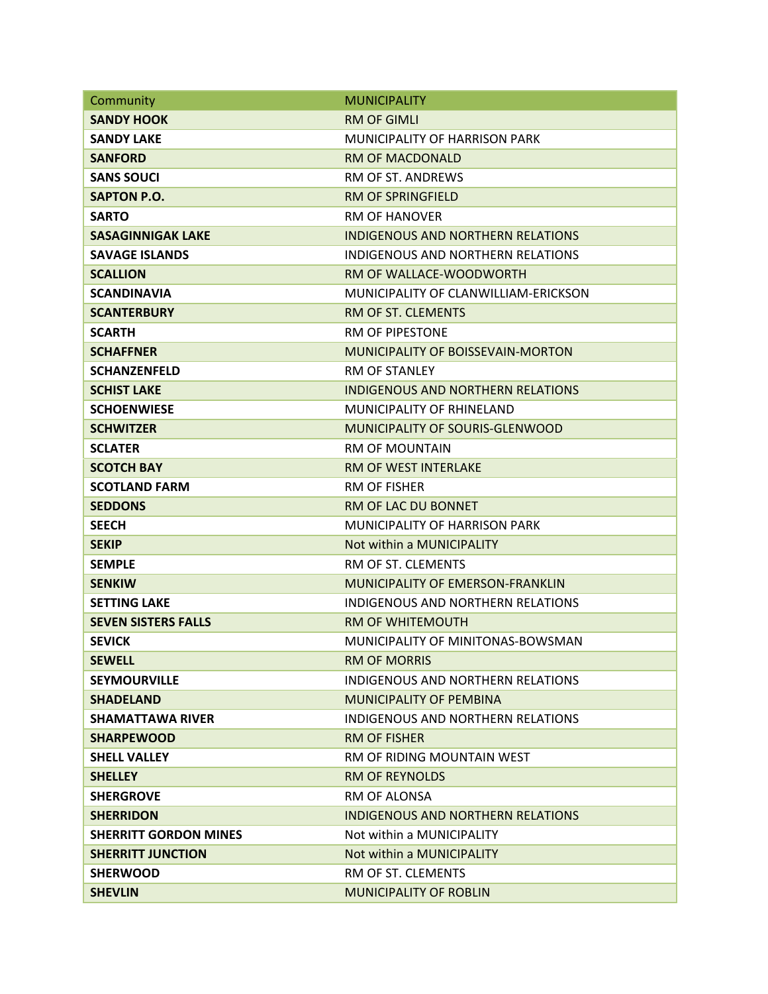| Community                    | <b>MUNICIPALITY</b>                      |
|------------------------------|------------------------------------------|
| <b>SANDY HOOK</b>            | <b>RM OF GIMLI</b>                       |
| <b>SANDY LAKE</b>            | <b>MUNICIPALITY OF HARRISON PARK</b>     |
| <b>SANFORD</b>               | <b>RM OF MACDONALD</b>                   |
| <b>SANS SOUCI</b>            | <b>RM OF ST. ANDREWS</b>                 |
| <b>SAPTON P.O.</b>           | <b>RM OF SPRINGFIELD</b>                 |
| <b>SARTO</b>                 | <b>RM OF HANOVER</b>                     |
| <b>SASAGINNIGAK LAKE</b>     | INDIGENOUS AND NORTHERN RELATIONS        |
| <b>SAVAGE ISLANDS</b>        | INDIGENOUS AND NORTHERN RELATIONS        |
| <b>SCALLION</b>              | RM OF WALLACE-WOODWORTH                  |
| <b>SCANDINAVIA</b>           | MUNICIPALITY OF CLANWILLIAM-ERICKSON     |
| <b>SCANTERBURY</b>           | RM OF ST. CLEMENTS                       |
| <b>SCARTH</b>                | <b>RM OF PIPESTONE</b>                   |
| <b>SCHAFFNER</b>             | MUNICIPALITY OF BOISSEVAIN-MORTON        |
| <b>SCHANZENFELD</b>          | <b>RM OF STANLEY</b>                     |
| <b>SCHIST LAKE</b>           | <b>INDIGENOUS AND NORTHERN RELATIONS</b> |
| <b>SCHOENWIESE</b>           | <b>MUNICIPALITY OF RHINELAND</b>         |
| <b>SCHWITZER</b>             | MUNICIPALITY OF SOURIS-GLENWOOD          |
| <b>SCLATER</b>               | <b>RM OF MOUNTAIN</b>                    |
| <b>SCOTCH BAY</b>            | <b>RM OF WEST INTERLAKE</b>              |
| <b>SCOTLAND FARM</b>         | <b>RM OF FISHER</b>                      |
| <b>SEDDONS</b>               | RM OF LAC DU BONNET                      |
| <b>SEECH</b>                 | MUNICIPALITY OF HARRISON PARK            |
| <b>SEKIP</b>                 | Not within a MUNICIPALITY                |
| <b>SEMPLE</b>                | RM OF ST. CLEMENTS                       |
| <b>SENKIW</b>                | <b>MUNICIPALITY OF EMERSON-FRANKLIN</b>  |
| <b>SETTING LAKE</b>          | INDIGENOUS AND NORTHERN RELATIONS        |
| <b>SEVEN SISTERS FALLS</b>   | <b>RM OF WHITEMOUTH</b>                  |
| <b>SEVICK</b>                | MUNICIPALITY OF MINITONAS-BOWSMAN        |
| <b>SEWELL</b>                | <b>RM OF MORRIS</b>                      |
| <b>SEYMOURVILLE</b>          | INDIGENOUS AND NORTHERN RELATIONS        |
| <b>SHADELAND</b>             | <b>MUNICIPALITY OF PEMBINA</b>           |
| <b>SHAMATTAWA RIVER</b>      | INDIGENOUS AND NORTHERN RELATIONS        |
| <b>SHARPEWOOD</b>            | <b>RM OF FISHER</b>                      |
| <b>SHELL VALLEY</b>          | RM OF RIDING MOUNTAIN WEST               |
| <b>SHELLEY</b>               | <b>RM OF REYNOLDS</b>                    |
| <b>SHERGROVE</b>             | RM OF ALONSA                             |
| <b>SHERRIDON</b>             | INDIGENOUS AND NORTHERN RELATIONS        |
| <b>SHERRITT GORDON MINES</b> | Not within a MUNICIPALITY                |
| <b>SHERRITT JUNCTION</b>     | Not within a MUNICIPALITY                |
| <b>SHERWOOD</b>              | RM OF ST. CLEMENTS                       |
| <b>SHEVLIN</b>               | <b>MUNICIPALITY OF ROBLIN</b>            |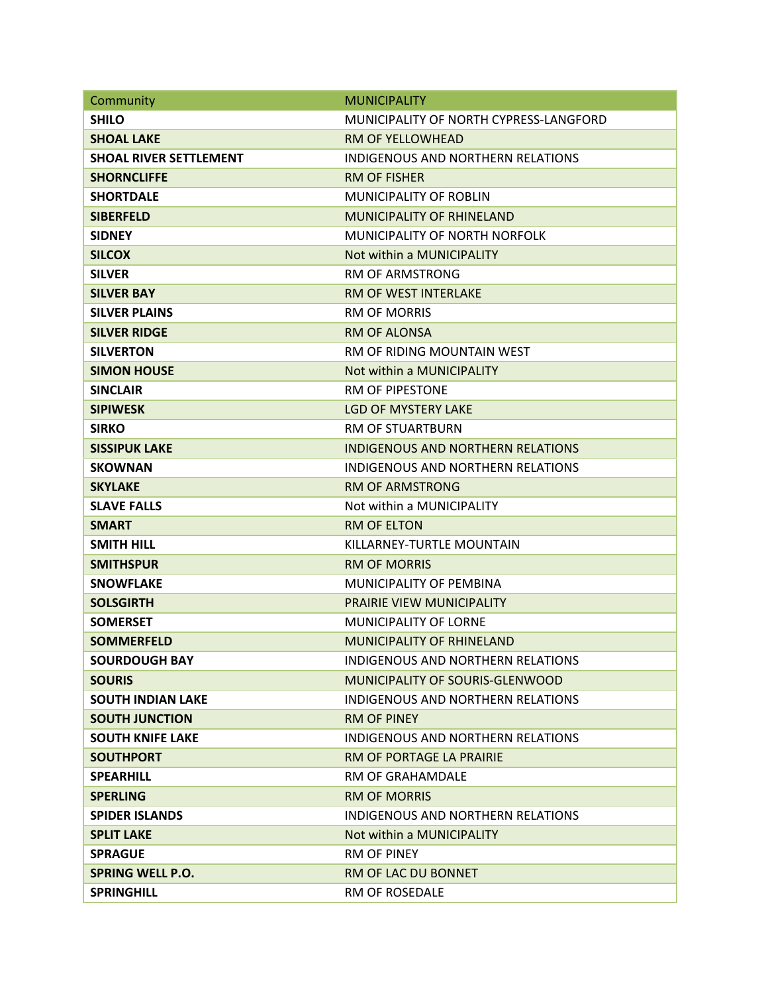| Community                     | <b>MUNICIPALITY</b>                      |
|-------------------------------|------------------------------------------|
| <b>SHILO</b>                  | MUNICIPALITY OF NORTH CYPRESS-LANGFORD   |
| <b>SHOAL LAKE</b>             | <b>RM OF YELLOWHEAD</b>                  |
| <b>SHOAL RIVER SETTLEMENT</b> | <b>INDIGENOUS AND NORTHERN RELATIONS</b> |
| <b>SHORNCLIFFE</b>            | <b>RM OF FISHER</b>                      |
| <b>SHORTDALE</b>              | <b>MUNICIPALITY OF ROBLIN</b>            |
| <b>SIBERFELD</b>              | <b>MUNICIPALITY OF RHINELAND</b>         |
| <b>SIDNEY</b>                 | MUNICIPALITY OF NORTH NORFOLK            |
| <b>SILCOX</b>                 | Not within a MUNICIPALITY                |
| <b>SILVER</b>                 | <b>RM OF ARMSTRONG</b>                   |
| <b>SILVER BAY</b>             | RM OF WEST INTERLAKE                     |
| <b>SILVER PLAINS</b>          | <b>RM OF MORRIS</b>                      |
| <b>SILVER RIDGE</b>           | <b>RM OF ALONSA</b>                      |
| <b>SILVERTON</b>              | RM OF RIDING MOUNTAIN WEST               |
| <b>SIMON HOUSE</b>            | Not within a MUNICIPALITY                |
| <b>SINCLAIR</b>               | <b>RM OF PIPESTONE</b>                   |
| <b>SIPIWESK</b>               | <b>LGD OF MYSTERY LAKE</b>               |
| <b>SIRKO</b>                  | <b>RM OF STUARTBURN</b>                  |
| <b>SISSIPUK LAKE</b>          | <b>INDIGENOUS AND NORTHERN RELATIONS</b> |
| <b>SKOWNAN</b>                | <b>INDIGENOUS AND NORTHERN RELATIONS</b> |
| <b>SKYLAKE</b>                | <b>RM OF ARMSTRONG</b>                   |
| <b>SLAVE FALLS</b>            | Not within a MUNICIPALITY                |
| <b>SMART</b>                  | <b>RM OF ELTON</b>                       |
| <b>SMITH HILL</b>             | KILLARNEY-TURTLE MOUNTAIN                |
| <b>SMITHSPUR</b>              | <b>RM OF MORRIS</b>                      |
| <b>SNOWFLAKE</b>              | MUNICIPALITY OF PEMBINA                  |
| <b>SOLSGIRTH</b>              | PRAIRIE VIEW MUNICIPALITY                |
| <b>SOMERSET</b>               | <b>MUNICIPALITY OF LORNE</b>             |
| <b>SOMMERFELD</b>             | <b>MUNICIPALITY OF RHINELAND</b>         |
| <b>SOURDOUGH BAY</b>          | <b>INDIGENOUS AND NORTHERN RELATIONS</b> |
| <b>SOURIS</b>                 | MUNICIPALITY OF SOURIS-GLENWOOD          |
| <b>SOUTH INDIAN LAKE</b>      | <b>INDIGENOUS AND NORTHERN RELATIONS</b> |
| <b>SOUTH JUNCTION</b>         | <b>RM OF PINEY</b>                       |
| <b>SOUTH KNIFE LAKE</b>       | <b>INDIGENOUS AND NORTHERN RELATIONS</b> |
| <b>SOUTHPORT</b>              | RM OF PORTAGE LA PRAIRIE                 |
| <b>SPEARHILL</b>              | <b>RM OF GRAHAMDALE</b>                  |
| <b>SPERLING</b>               | <b>RM OF MORRIS</b>                      |
| <b>SPIDER ISLANDS</b>         | INDIGENOUS AND NORTHERN RELATIONS        |
| <b>SPLIT LAKE</b>             | Not within a MUNICIPALITY                |
| <b>SPRAGUE</b>                | <b>RM OF PINEY</b>                       |
| <b>SPRING WELL P.O.</b>       | RM OF LAC DU BONNET                      |
| <b>SPRINGHILL</b>             | RM OF ROSEDALE                           |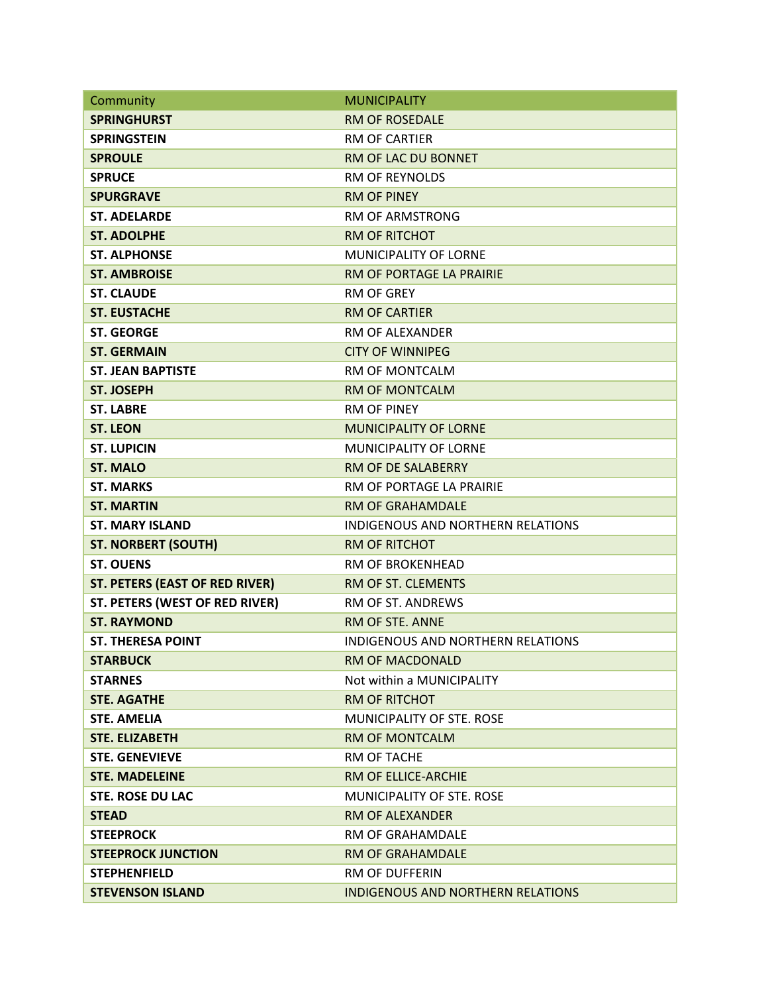| Community                             | <b>MUNICIPALITY</b>               |
|---------------------------------------|-----------------------------------|
| <b>SPRINGHURST</b>                    | <b>RM OF ROSEDALE</b>             |
| <b>SPRINGSTEIN</b>                    | <b>RM OF CARTIER</b>              |
| <b>SPROULE</b>                        | RM OF LAC DU BONNET               |
| <b>SPRUCE</b>                         | <b>RM OF REYNOLDS</b>             |
| <b>SPURGRAVE</b>                      | <b>RM OF PINEY</b>                |
| <b>ST. ADELARDE</b>                   | <b>RM OF ARMSTRONG</b>            |
| <b>ST. ADOLPHE</b>                    | <b>RM OF RITCHOT</b>              |
| <b>ST. ALPHONSE</b>                   | <b>MUNICIPALITY OF LORNE</b>      |
| <b>ST. AMBROISE</b>                   | RM OF PORTAGE LA PRAIRIE          |
| <b>ST. CLAUDE</b>                     | <b>RM OF GREY</b>                 |
| <b>ST. EUSTACHE</b>                   | <b>RM OF CARTIER</b>              |
| <b>ST. GEORGE</b>                     | RM OF ALEXANDER                   |
| <b>ST. GERMAIN</b>                    | <b>CITY OF WINNIPEG</b>           |
| <b>ST. JEAN BAPTISTE</b>              | RM OF MONTCALM                    |
| <b>ST. JOSEPH</b>                     | <b>RM OF MONTCALM</b>             |
| <b>ST. LABRE</b>                      | <b>RM OF PINEY</b>                |
| <b>ST. LEON</b>                       | <b>MUNICIPALITY OF LORNE</b>      |
| <b>ST. LUPICIN</b>                    | <b>MUNICIPALITY OF LORNE</b>      |
| <b>ST. MALO</b>                       | RM OF DE SALABERRY                |
| <b>ST. MARKS</b>                      | RM OF PORTAGE LA PRAIRIE          |
| <b>ST. MARTIN</b>                     | <b>RM OF GRAHAMDALE</b>           |
| <b>ST. MARY ISLAND</b>                | INDIGENOUS AND NORTHERN RELATIONS |
| <b>ST. NORBERT (SOUTH)</b>            | <b>RM OF RITCHOT</b>              |
| <b>ST. OUENS</b>                      | RM OF BROKENHEAD                  |
| <b>ST. PETERS (EAST OF RED RIVER)</b> | RM OF ST. CLEMENTS                |
| ST. PETERS (WEST OF RED RIVER)        | <b>RM OF ST. ANDREWS</b>          |
| <b>ST. RAYMOND</b>                    | <b>RM OF STE. ANNE</b>            |
| <b>ST. THERESA POINT</b>              | INDIGENOUS AND NORTHERN RELATIONS |
| <b>STARBUCK</b>                       | <b>RM OF MACDONALD</b>            |
| <b>STARNES</b>                        | Not within a MUNICIPALITY         |
| <b>STE. AGATHE</b>                    | <b>RM OF RITCHOT</b>              |
| <b>STE. AMELIA</b>                    | MUNICIPALITY OF STE. ROSE         |
| <b>STE. ELIZABETH</b>                 | <b>RM OF MONTCALM</b>             |
| <b>STE. GENEVIEVE</b>                 | RM OF TACHE                       |
| <b>STE. MADELEINE</b>                 | <b>RM OF ELLICE-ARCHIE</b>        |
| <b>STE. ROSE DU LAC</b>               | <b>MUNICIPALITY OF STE. ROSE</b>  |
| <b>STEAD</b>                          | <b>RM OF ALFXANDER</b>            |
| <b>STEEPROCK</b>                      | RM OF GRAHAMDALE                  |
| <b>STEEPROCK JUNCTION</b>             | <b>RM OF GRAHAMDALE</b>           |
| <b>STEPHENFIELD</b>                   | <b>RM OF DUFFERIN</b>             |
| <b>STEVENSON ISLAND</b>               | INDIGENOUS AND NORTHERN RELATIONS |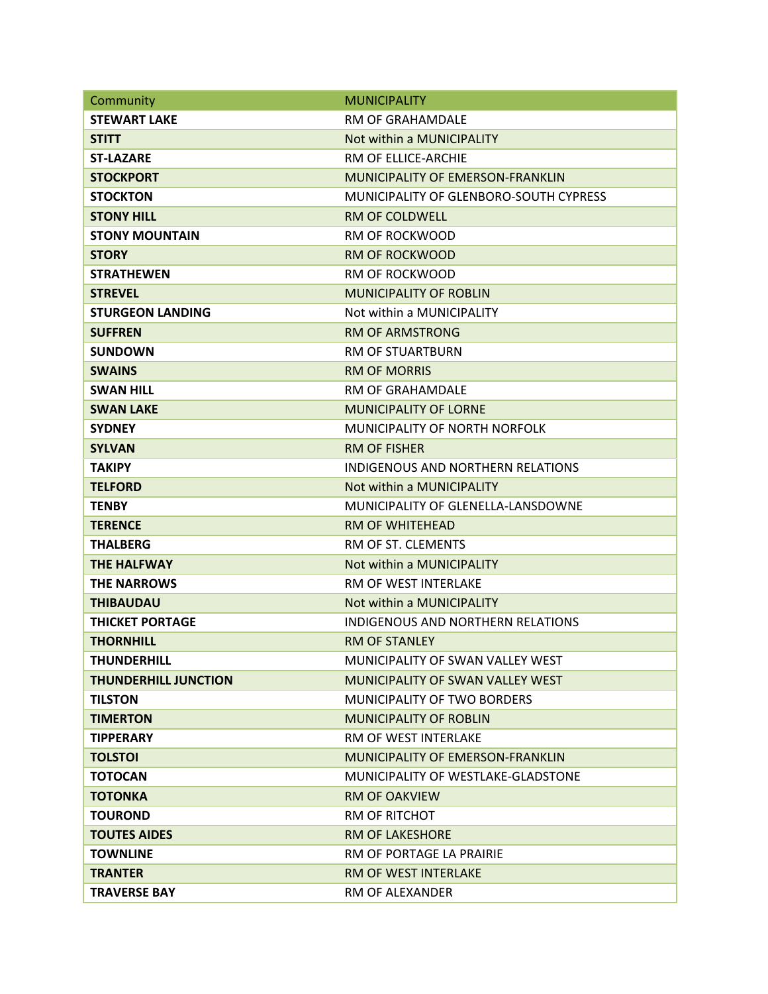| Community                   | <b>MUNICIPALITY</b>                      |
|-----------------------------|------------------------------------------|
| <b>STEWART LAKE</b>         | RM OF GRAHAMDALE                         |
| <b>STITT</b>                | Not within a MUNICIPALITY                |
| <b>ST-LAZARE</b>            | RM OF ELLICE-ARCHIE                      |
| <b>STOCKPORT</b>            | MUNICIPALITY OF EMERSON-FRANKLIN         |
| <b>STOCKTON</b>             | MUNICIPALITY OF GLENBORO-SOUTH CYPRESS   |
| <b>STONY HILL</b>           | <b>RM OF COLDWELL</b>                    |
| <b>STONY MOUNTAIN</b>       | RM OF ROCKWOOD                           |
| <b>STORY</b>                | <b>RM OF ROCKWOOD</b>                    |
| <b>STRATHEWEN</b>           | <b>RM OF ROCKWOOD</b>                    |
| <b>STREVEL</b>              | <b>MUNICIPALITY OF ROBLIN</b>            |
| <b>STURGEON LANDING</b>     | Not within a MUNICIPALITY                |
| <b>SUFFREN</b>              | <b>RM OF ARMSTRONG</b>                   |
| <b>SUNDOWN</b>              | <b>RM OF STUARTBURN</b>                  |
| <b>SWAINS</b>               | <b>RM OF MORRIS</b>                      |
| <b>SWAN HILL</b>            | RM OF GRAHAMDALE                         |
| <b>SWAN LAKE</b>            | <b>MUNICIPALITY OF LORNE</b>             |
| <b>SYDNEY</b>               | MUNICIPALITY OF NORTH NORFOLK            |
| <b>SYLVAN</b>               | <b>RM OF FISHER</b>                      |
| <b>TAKIPY</b>               | INDIGENOUS AND NORTHERN RELATIONS        |
| <b>TELFORD</b>              | Not within a MUNICIPALITY                |
| <b>TENBY</b>                | MUNICIPALITY OF GLENELLA-LANSDOWNE       |
| <b>TERENCE</b>              | <b>RM OF WHITEHEAD</b>                   |
| <b>THALBERG</b>             | RM OF ST. CLEMENTS                       |
| <b>THE HALFWAY</b>          | Not within a MUNICIPALITY                |
| <b>THE NARROWS</b>          | <b>RM OF WEST INTERLAKE</b>              |
| <b>THIBAUDAU</b>            | Not within a MUNICIPALITY                |
| <b>THICKET PORTAGE</b>      | <b>INDIGENOUS AND NORTHERN RELATIONS</b> |
| <b>THORNHILL</b>            | <b>RM OF STANLEY</b>                     |
| <b>THUNDERHILL</b>          | MUNICIPALITY OF SWAN VALLEY WEST         |
| <b>THUNDERHILL JUNCTION</b> | MUNICIPALITY OF SWAN VALLEY WEST         |
| <b>TILSTON</b>              | <b>MUNICIPALITY OF TWO BORDERS</b>       |
| <b>TIMERTON</b>             | <b>MUNICIPALITY OF ROBLIN</b>            |
| <b>TIPPERARY</b>            | RM OF WEST INTERLAKE                     |
| <b>TOLSTOI</b>              | MUNICIPALITY OF EMERSON-FRANKLIN         |
| <b>TOTOCAN</b>              | MUNICIPALITY OF WESTLAKE-GLADSTONE       |
| <b>TOTONKA</b>              | <b>RM OF OAKVIEW</b>                     |
| <b>TOUROND</b>              | RM OF RITCHOT                            |
| <b>TOUTES AIDES</b>         | <b>RM OF LAKESHORE</b>                   |
| <b>TOWNLINE</b>             | RM OF PORTAGE LA PRAIRIE                 |
| <b>TRANTER</b>              | <b>RM OF WEST INTERLAKE</b>              |
| <b>TRAVERSE BAY</b>         | RM OF ALEXANDER                          |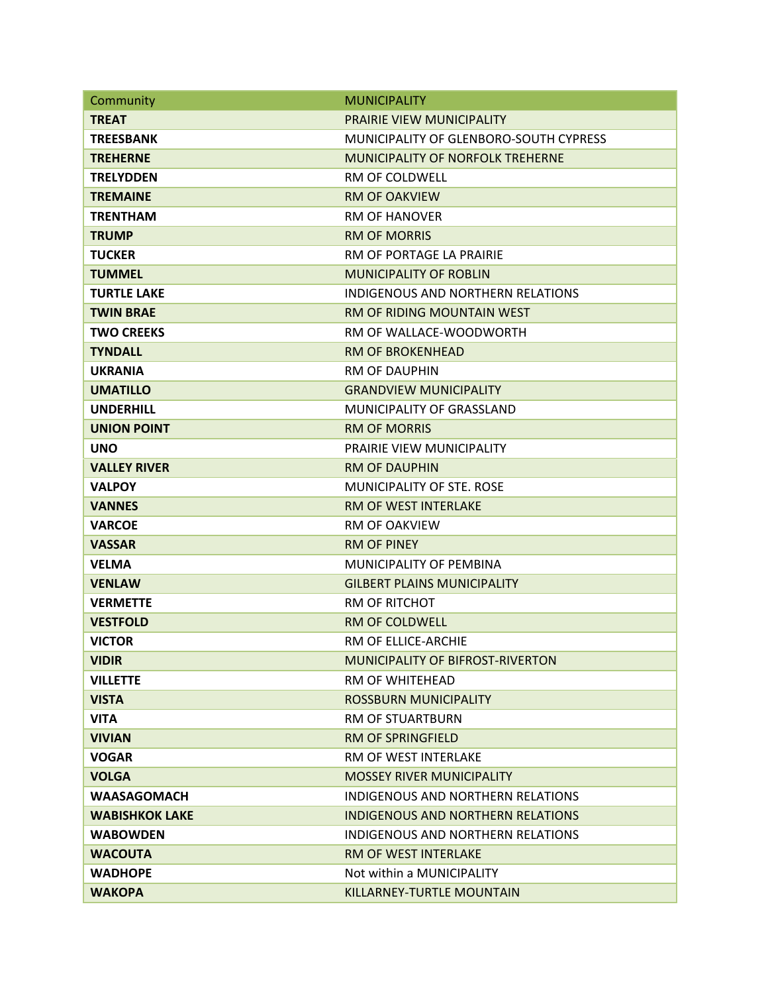| Community             | <b>MUNICIPALITY</b>                      |
|-----------------------|------------------------------------------|
| <b>TREAT</b>          | PRAIRIE VIEW MUNICIPALITY                |
| <b>TREESBANK</b>      | MUNICIPALITY OF GLENBORO-SOUTH CYPRESS   |
| <b>TREHERNE</b>       | MUNICIPALITY OF NORFOLK TREHERNE         |
| <b>TRELYDDEN</b>      | <b>RM OF COLDWELL</b>                    |
| <b>TREMAINE</b>       | <b>RM OF OAKVIEW</b>                     |
| <b>TRENTHAM</b>       | <b>RM OF HANOVER</b>                     |
| <b>TRUMP</b>          | <b>RM OF MORRIS</b>                      |
| <b>TUCKER</b>         | RM OF PORTAGE LA PRAIRIE                 |
| <b>TUMMEL</b>         | <b>MUNICIPALITY OF ROBLIN</b>            |
| <b>TURTLE LAKE</b>    | INDIGENOUS AND NORTHERN RELATIONS        |
| <b>TWIN BRAE</b>      | <b>RM OF RIDING MOUNTAIN WEST</b>        |
| <b>TWO CREEKS</b>     | RM OF WALLACE-WOODWORTH                  |
| <b>TYNDALL</b>        | <b>RM OF BROKENHEAD</b>                  |
| <b>UKRANIA</b>        | RM OF DAUPHIN                            |
| <b>UMATILLO</b>       | <b>GRANDVIEW MUNICIPALITY</b>            |
| <b>UNDERHILL</b>      | MUNICIPALITY OF GRASSLAND                |
| <b>UNION POINT</b>    | <b>RM OF MORRIS</b>                      |
| <b>UNO</b>            | PRAIRIE VIEW MUNICIPALITY                |
| <b>VALLEY RIVER</b>   | <b>RM OF DAUPHIN</b>                     |
| <b>VALPOY</b>         | MUNICIPALITY OF STE. ROSE                |
| <b>VANNES</b>         | <b>RM OF WEST INTERLAKE</b>              |
| <b>VARCOE</b>         | <b>RM OF OAKVIEW</b>                     |
| <b>VASSAR</b>         | <b>RM OF PINEY</b>                       |
| <b>VELMA</b>          | MUNICIPALITY OF PEMBINA                  |
| <b>VENLAW</b>         | <b>GILBERT PLAINS MUNICIPALITY</b>       |
| <b>VERMETTE</b>       | <b>RM OF RITCHOT</b>                     |
| <b>VESTFOLD</b>       | <b>RM OF COLDWELL</b>                    |
| <b>VICTOR</b>         | RM OF ELLICE-ARCHIE                      |
| <b>VIDIR</b>          | <b>MUNICIPALITY OF BIFROST-RIVERTON</b>  |
| <b>VILLETTE</b>       | RM OF WHITEHEAD                          |
| <b>VISTA</b>          | <b>ROSSBURN MUNICIPALITY</b>             |
| <b>VITA</b>           | <b>RM OF STUARTBURN</b>                  |
| <b>VIVIAN</b>         | <b>RM OF SPRINGFIELD</b>                 |
| <b>VOGAR</b>          | RM OF WEST INTERLAKE                     |
| <b>VOLGA</b>          | <b>MOSSEY RIVER MUNICIPALITY</b>         |
| <b>WAASAGOMACH</b>    | INDIGENOUS AND NORTHERN RELATIONS        |
| <b>WABISHKOK LAKE</b> | <b>INDIGENOUS AND NORTHERN RELATIONS</b> |
| <b>WABOWDEN</b>       | INDIGENOUS AND NORTHERN RELATIONS        |
| <b>WACOUTA</b>        | <b>RM OF WEST INTERLAKE</b>              |
| <b>WADHOPE</b>        | Not within a MUNICIPALITY                |
| <b>WAKOPA</b>         | KILLARNEY-TURTLE MOUNTAIN                |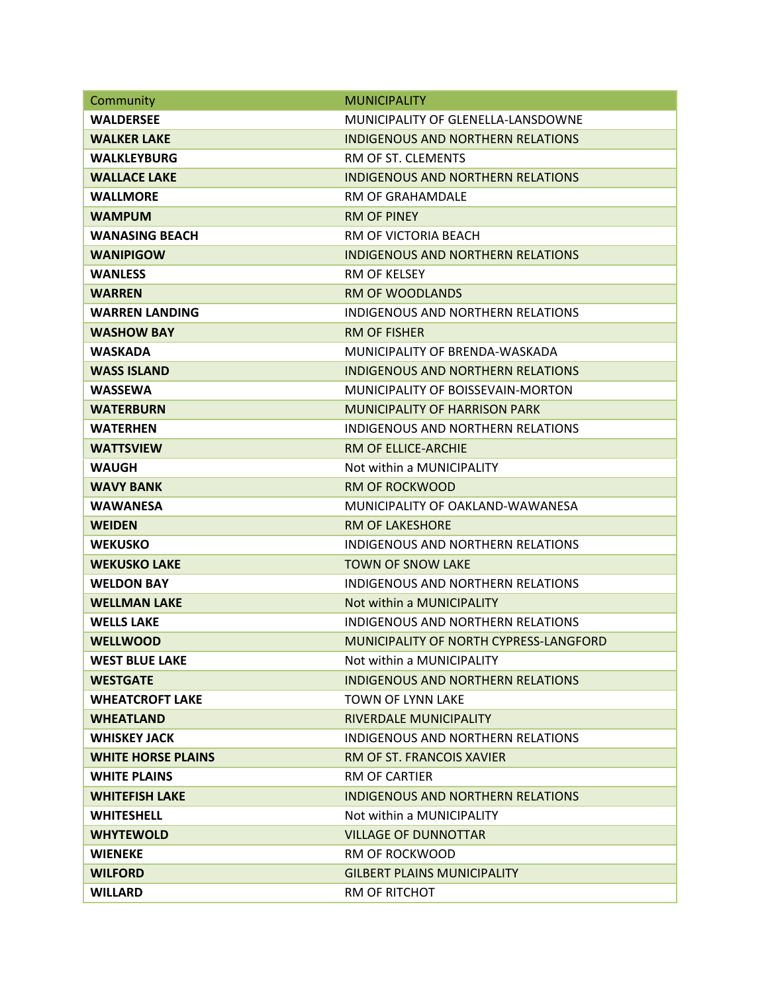| Community                 | <b>MUNICIPALITY</b>                      |
|---------------------------|------------------------------------------|
| <b>WALDERSEE</b>          | MUNICIPALITY OF GLENELLA-LANSDOWNE       |
| <b>WALKER LAKE</b>        | <b>INDIGENOUS AND NORTHERN RELATIONS</b> |
| <b>WALKLEYBURG</b>        | RM OF ST. CLEMENTS                       |
| <b>WALLACE LAKE</b>       | <b>INDIGENOUS AND NORTHERN RELATIONS</b> |
| <b>WALLMORE</b>           | RM OF GRAHAMDALE                         |
| <b>WAMPUM</b>             | <b>RM OF PINEY</b>                       |
| <b>WANASING BEACH</b>     | RM OF VICTORIA BEACH                     |
| <b>WANIPIGOW</b>          | <b>INDIGENOUS AND NORTHERN RELATIONS</b> |
| <b>WANLESS</b>            | <b>RM OF KELSEY</b>                      |
| <b>WARREN</b>             | <b>RM OF WOODLANDS</b>                   |
| <b>WARREN LANDING</b>     | INDIGENOUS AND NORTHERN RELATIONS        |
| <b>WASHOW BAY</b>         | RM OF FISHER                             |
| <b>WASKADA</b>            | MUNICIPALITY OF BRENDA-WASKADA           |
| <b>WASS ISLAND</b>        | INDIGENOUS AND NORTHERN RELATIONS        |
| <b>WASSEWA</b>            | MUNICIPALITY OF BOISSEVAIN-MORTON        |
| <b>WATERBURN</b>          | <b>MUNICIPALITY OF HARRISON PARK</b>     |
| <b>WATERHEN</b>           | <b>INDIGENOUS AND NORTHERN RELATIONS</b> |
| <b>WATTSVIEW</b>          | <b>RM OF ELLICE-ARCHIE</b>               |
| <b>WAUGH</b>              | Not within a MUNICIPALITY                |
| <b>WAVY BANK</b>          | <b>RM OF ROCKWOOD</b>                    |
| WAWANESA                  | MUNICIPALITY OF OAKLAND-WAWANESA         |
| <b>WEIDEN</b>             | <b>RM OF LAKESHORE</b>                   |
| <b>WEKUSKO</b>            | INDIGENOUS AND NORTHERN RELATIONS        |
| <b>WEKUSKO LAKE</b>       | <b>TOWN OF SNOW LAKE</b>                 |
| <b>WELDON BAY</b>         | INDIGENOUS AND NORTHERN RELATIONS        |
| <b>WELLMAN LAKE</b>       | Not within a MUNICIPALITY                |
| <b>WELLS LAKE</b>         | INDIGENOUS AND NORTHERN RELATIONS        |
| <b>WELLWOOD</b>           | MUNICIPALITY OF NORTH CYPRESS-LANGFORD   |
| <b>WEST BLUE LAKE</b>     | Not within a MUNICIPALITY                |
| <b>WESTGATE</b>           | INDIGENOUS AND NORTHERN RELATIONS        |
| <b>WHEATCROFT LAKE</b>    | TOWN OF LYNN LAKE                        |
| <b>WHEATLAND</b>          | RIVERDALE MUNICIPALITY                   |
| <b>WHISKEY JACK</b>       | INDIGENOUS AND NORTHERN RELATIONS        |
| <b>WHITE HORSE PLAINS</b> | RM OF ST. FRANCOIS XAVIER                |
| <b>WHITE PLAINS</b>       | RM OF CARTIER                            |
| <b>WHITEFISH LAKE</b>     | INDIGENOUS AND NORTHERN RELATIONS        |
| <b>WHITESHELL</b>         | Not within a MUNICIPALITY                |
| <b>WHYTEWOLD</b>          | <b>VILLAGE OF DUNNOTTAR</b>              |
| <b>WIENEKE</b>            | <b>RM OF ROCKWOOD</b>                    |
| <b>WILFORD</b>            | <b>GILBERT PLAINS MUNICIPALITY</b>       |
| <b>WILLARD</b>            | RM OF RITCHOT                            |